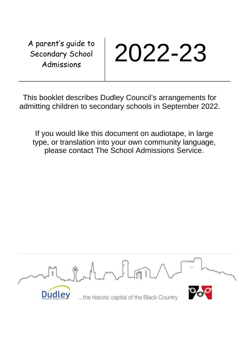A parent's guide to Secondary School



This booklet describes Dudley Council's arrangements for admitting children to secondary schools in September 2022.

If you would like this document on audiotape, in large type, or translation into your own community language, please contact The School Admissions Service.

**Dudley** ...the historic capital of the Black Country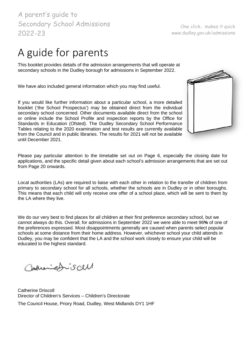A guide for parents

This booklet provides details of the admission arrangements that will operate at secondary schools in the Dudley borough for admissions in September 2022.

We have also included general information which you may find useful.

If you would like further information about a particular school, a more detailed booklet ('the School Prospectus') may be obtained direct from the individual secondary school concerned. Other documents available direct from the school or online include the School Profile and inspection reports by the Office for Standards in Education (Ofsted). The Dudley Secondary School Performance Tables relating to the 2020 examination and test results are currently available from the Council and in public libraries. The results for 2021 will not be available until December 2021.

Please pay particular attention to the timetable set out on Page [6,](#page-5-0) especially the closing date for applications, and the specific detail given about each school's admission arrangements that are set out from Page 20 onwards.

Local authorities (LAs) are required to liaise with each other in relation to the transfer of children from primary to secondary school for all schools, whether the schools are in Dudley or in other boroughs. This means that each child will only receive one offer of a school place, which will be sent to them by the LA where they live.

We do our very best to find places for all children at their first preference secondary school, but we cannot always do this. Overall, for admissions in September 2022 we were able to meet 96**%** of one of the preferences expressed. Most disappointments generally are caused when parents select popular schools at some distance from their home address. However, whichever school your child attends in Dudley, you may be confident that the LA and the school work closely to ensure your child will be educated to the highest standard.

Carrenabiscul

Catherine Driscoll Director of Children's Services – Children's Directorate The Council House, Priory Road, Dudley, West Midlands DY1 1HF

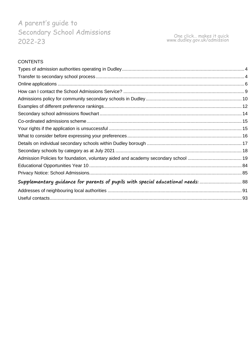# **CONTENTS**

| Supplementary guidance for parents of pupils with special educational needs: |  |
|------------------------------------------------------------------------------|--|
|                                                                              |  |
|                                                                              |  |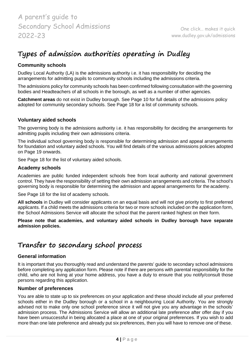# <span id="page-3-0"></span>**Types of admission authorities operating in Dudley**

# **Community schools**

Dudley Local Authority (LA) is the admissions authority i.e. it has responsibility for deciding the arrangements for admitting pupils to community schools including the admissions criteria.

The admissions policy for community schools has been confirmed following consultation with the governing bodies and Headteachers of all schools in the borough, as well as a number of other agencies.

**Catchment areas** do not exist in Dudley borough. See Page 10 for full details of the admissions policy adopted for community secondary schools. See Page 18 for a list of community schools.

# **Voluntary aided schools**

The governing body is the admissions authority i.e. it has responsibility for deciding the arrangements for admitting pupils including their own admissions criteria.

The individual school governing body is responsible for determining admission and appeal arrangements for foundation and voluntary aided schools. You will find details of the various admissions policies adopted on Page 19 onwards.

See Page 18 for the list of voluntary aided schools.

# **Academy schools**

Academies are public funded independent schools free from local authority and national government control. They have the responsibility of setting their own admission arrangements and criteria. The school's governing body is responsible for determining the admission and appeal arrangements for the academy.

See Page 18 for the list of academy schools.

**All schools** in Dudley will consider applicants on an equal basis and will not give priority to first preferred applicants. If a child meets the admissions criteria for two or more schools included on the application form, the School Admissions Service will allocate the school that the parent ranked highest on their form.

**Please note that academies, and voluntary aided schools in Dudley borough have separate admission policies.**

# <span id="page-3-1"></span>**Transfer to secondary school process**

# **General information**

It is important that you thoroughly read and understand the parents' guide to secondary school admissions before completing any application form. Please note if there are persons with parental responsibility for the child, who are not living at your home address, you have a duty to ensure that you notify/consult those persons regarding this application.

### **Number of preferences**

You are able to state up to six preferences on your application and these should include all your preferred schools either in the Dudley borough or a school in a neighbouring Local Authority. You are strongly advised not to make only one school preference since it will not give you any advantage in the schools' admission process. The Admissions Service will allow an additional late preference after offer day if you have been unsuccessful in being allocated a place at one of your original preferences. If you wish to add more than one late preference and already put six preferences, then you will have to remove one of these.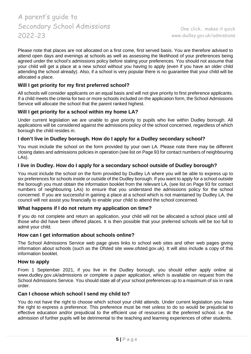Please note that places are not allocated on a first come, first served basis. You are therefore advised to attend open days and evenings at schools as well as assessing the likelihood of your preferences being agreed under the school's admissions policy before stating your preferences. You should not assume that your child will get a place at a new school without you having to apply (even if you have an older child attending the school already). Also, if a school is very popular there is no guarantee that your child will be allocated a place.

# **Will I get priority for my first preferred school?**

All schools will consider applicants on an equal basis and will not give priority to first preference applicants. If a child meets the criteria for two or more schools included on the application form, the School Admissions Service will allocate the school that the parent ranked highest.

# **Will I get priority for a school within my home LA?**

Under current legislation we are unable to give priority to pupils who live within Dudley borough. All applications will be considered against the admissions policy of the school concerned, regardless of which borough the child resides in.

# **I don't live in Dudley borough. How do I apply for a Dudley secondary school?**

You must include the school on the form provided by your own LA. Please note there may be different closing dates and admissions policies in operation (see list on Page 93 for contact numbers of neighbouring LAs).

### **I live in Dudley. How do I apply for a secondary school outside of Dudley borough?**

You must include the school on the form provided by Dudley LA where you will be able to express up to six preferences for schools inside or outside of the Dudley borough. If you want to apply for a school outside the borough you must obtain the information booklet from the relevant LA, (see list on Page 93 for contact numbers of neighbouring LAs) to ensure that you understand the admissions policy for the school concerned. If you are successful in gaining a place at a school which is not maintained by Dudley LA, the council will not assist you financially to enable your child to attend the school concerned.

### **What happens if I do not return my application on time?**

If you do not complete and return an application, your child will not be allocated a school place until all those who did have been offered places. It is then possible that your preferred schools will be too full to admit your child.

### **How can I get information about schools online?**

The School Admissions Service web page gives links to school web sites and other web pages giving information about schools (such as the Ofsted site www.ofsted.gov.uk). It will also include a copy of this information booklet.

#### **How to apply**

From 1 September 2021, if you live in the Dudley borough, you should either apply online at [www.dudley.gov.uk/admissions o](http://www.dudley.gov.uk/admissions)r complete a paper application, which is available on request from the School Admissions Service. You should state all of your school preferences up to a maximum of six in rank order.

### **Can I choose which school I send my child to?**

You do not have the right to choose which school your child attends. Under current legislation you have the right to express a preference. This preference must be met unless to do so would be prejudicial to effective education and/or prejudicial to the efficient use of resources at the preferred school. i.e. the admission of further pupils will be detrimental to the teaching and learning experiences of other students.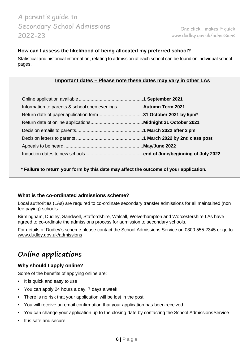One click… makes it quick [www.dudley.gov.uk/admissions](http://www.dudley.gov.uk/admissions)

### **How can I assess the likelihood of being allocated my preferred school?**

Statistical and historical information, relating to admission at each school can be found on individual school pages.

#### **Important dates – Please note these dates may vary in other LAs**

<span id="page-5-0"></span>

**\* Failure to return your form by this date may affect the outcome of your application.**

### **What is the co-ordinated admissions scheme?**

Local authorities (LAs) are required to co-ordinate secondary transfer admissions for all maintained (non fee paying) schools.

Birmingham, Dudley, Sandwell, Staffordshire, Walsall, Wolverhampton and Worcestershire LAs have agreed to co-ordinate the admissions process for admission to secondary schools.

For details of Dudley's scheme please contact the School Admissions Service on 0300 555 2345 or go to [www.dudley.gov.uk/admissions](http://www.dudley.gov.uk/admissions)

# <span id="page-5-1"></span>**Online applications**

### **Why should I apply online?**

Some of the benefits of applying online are:

- It is quick and easy to use
- You can apply 24 hours a day, 7 days a week
- There is no risk that your application will be lost in the post
- You will receive an email confirmation that your application has been received
- You can change your application up to the closing date by contacting the School AdmissionsService
- It is safe and secure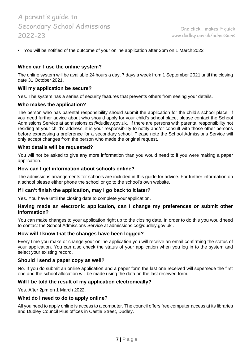• You will be notified of the outcome of your online application after 2pm on 1 March 2022

### **When can I use the online system?**

The online system will be available 24 hours a day, 7 days a week from 1 September 2021 until the closing date 31 October 2021.

### **Will my application be secure?**

Yes. The system has a series of security features that prevents others from seeing your details.

#### **Who makes the application?**

The person who has parental responsibility should submit the application for the child's school place. If you need further advice about who should apply for your child's school place, please contact the School Admissions Service at [admissions.cs@dudley.gov.uk.](mailto:admissions.cs@dudley.gov.uk) If there are persons with parental responsibility not residing at your child's address, it is your responsibility to notify and/or consult with those other persons before expressing a preference for a secondary school. Please note the School Admissions Service will only accept changes from the person who made the original request.

#### **What details will be requested?**

You will not be asked to give any more information than you would need to if you were making a paper application.

#### **How can I get information about schools online?**

The admissions arrangements for schools are included in this guide for advice. For further information on a school please either phone the school or go to the school's own website.

#### **If I can't finish the application, may I go back to it later?**

Yes. You have until the closing date to complete yourapplication.

#### **Having made an electronic application, can I change my preferences or submit other information?**

You can make changes to your application right up to the closing date. In order to do this you wouldneed to contact the School Admissions Service at [admissions.cs@dudley.gov.uk](mailto:admissions.cs@dudley.gov.uk) .

#### **How will I know that the changes have been logged?**

Every time you make or change your online application you will receive an email confirming the status of your application. You can also check the status of your application when you log in to the system and select your existing record.

#### **Should I send a paper copy as well?**

No. If you do submit an online application and a paper form the last one received will supersede the first one and the school allocation will be made using the data on the last received form.

### **Will I be told the result of my application electronically?**

Yes. After 2pm on 1 March 2022.

#### **What do I need to do to apply online?**

All you need to apply online is access to a computer. The council offers free computer access at its libraries and Dudley Council Plus offices in Castle Street, Dudley.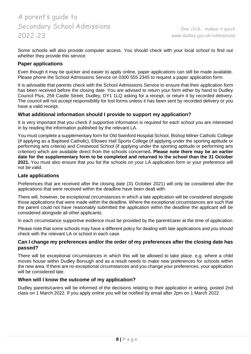Some schools will also provide computer access. You should check with your local school to find out whether they provide this service.

#### **Paper applications**

Even though it may be quicker and easier to apply online, paper applications can still be made available. Please phone the School Admissions Service on 0300 555 2345 to request a paper application form.

It is advisable that parents check with the School Admissions Service to ensure that their application form has been received before the closing date. You are advised to return your form either by hand to Dudley Council Plus, 259 Castle Street, Dudley, DY1 1LQ asking for a receipt, or return it by recorded delivery. The council will not accept responsibility for lost forms unless it has been sent by recorded delivery or you have a valid receipt.

#### **What additional information should I provide to support my application?**

It is very important that you check if supportive information is required for each school you are interested in by reading the information published by the relevant LA.

You must complete a supplementary form for Old Swinford Hospital School, Bishop Milner Catholic College (if applying as a Baptised Catholic), Ellowes Hall Sports College (if applying under the sporting aptitude or performing arts criteria) and Crestwood School (if applying under the sporting aptitude or performing arts criterion) which are available direct from the schools concerned**. Please note there may be an earlier date for the supplementary form to be completed and returned to the school than the 31 October 2021.** You must also ensure that you list the schools on your LA application form or your preference will not be valid.

#### **Late applications**

Preferences that are received after the closing date (31 October 2021) will only be considered after the applications that were received within the deadline have been dealt with.

There will, however, be exceptional circumstances in which a late application will be considered alongside those applications that were made within the deadline. Where the exceptional circumstances are such that the parent could not have reasonably submitted the application within the deadline the applicant will be considered alongside all other applicants.

In each circumstance supportive evidence must be provided by the parent/carer at the time of application.

Please note that some schools may have a different policy for dealing with late applications and you should check with the relevant LA or school in each case.

#### **Can I change my preferences and/or the order of my preferences after the closing date has passed?**

There will be exceptional circumstances in which this will be allowed to take place. e.g. where a child moves house within Dudley Borough and as a result needs to make new preferences for schools within the new area. If there are no exceptional circumstances and you change your preferences, your application will be considered late.

#### **When will I know the outcome of my application?**

Dudley parents/carers will be informed of the decisions relating to their application in writing, posted 2nd class on 1 March 2022. If you apply online you will be notified by email after 2pm on 1 March 2022.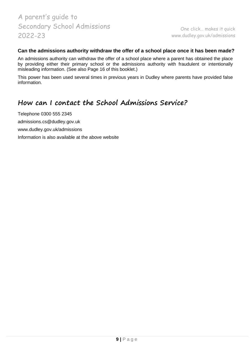### **Can the admissions authority withdraw the offer of a school place once it has been made?**

An admissions authority can withdraw the offer of a school place where a parent has obtained the place by providing either their primary school or the admissions authority with fraudulent or intentionally misleading information. (See also Page [16 o](#page-15-1)f this booklet.)

This power has been used several times in previous years in Dudley where parents have provided false information.

# <span id="page-8-0"></span>**How can I contact the School Admissions Service?**

Telephone 0300 555 2345 [admissions.cs@dudley.gov.uk](mailto:admissions.cs@dudley.gov.uk)

[www.dudley.gov.uk/admissions](http://www.dudley.gov.uk/admissions)

Information is also available at the above website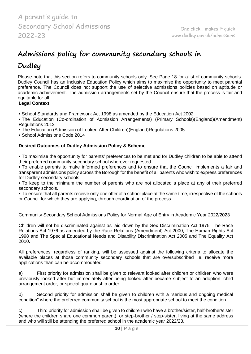# <span id="page-9-0"></span>**Admissions policy for community secondary schools in**

# **Dudley**

Please note that this section refers to community schools only. See Page 18 for alist of community schools. Dudley Council has an Inclusive Education Policy which aims to maximise the opportunity to meet parental preference. The Council does not support the use of selective admissions policies based on aptitude or academic achievement. The admission arrangements set by the Council ensure that the process is fair and equitable for all.

# **Legal Context:**

- School Standards and Framework Act 1998 as amended by the Education Act 2002
- The Education (Co-ordination of Admission Arrangements) (Primary Schools)(England)(Amendment) Regulations 2012
- The Education (Admission of Looked After Children)(England)Regulations 2005

• School Admissions Code 2014

# **Desired Outcomes of Dudley Admission Policy & Scheme**:

• To maximise the opportunity for parents' preferences to be met and for Dudley children to be able to attend their preferred community secondary school wherever requested.

• To enable parents to make informed preferences and to ensure that the Council implements a fair and transparent admissions policy across the Borough for the benefit of all parents who wish to express preferences for Dudley secondary schools.

• To keep to the minimum the number of parents who are not allocated a place at any of their preferred secondary schools.

• To ensure that all parents receive only one offer of a school place at the same time, irrespective of the schools or Council for which they are applying, through coordination of the process.

Community Secondary School Admissions Policy for Normal Age of Entry in Academic Year 2022/2023

Children will not be discriminated against as laid down by the Sex Discrimination Act 1975, The Race Relations Act 1976 as amended by the Race Relations (Amendment) Act 2000, The Human Rights Act 1998 and The Special Educational Needs and Disability Discrimination Act 2005 and The Equality Act 2010.

All preferences, regardless of ranking, will be assessed against the following criteria to allocate the available places at those community secondary schools that are oversubscribed i.e. receive more applications than can be accommodated.

a) First priority for admission shall be given to relevant looked after children or children who were previously looked after but immediately after being looked after became subject to an adoption, child arrangement order, or special guardianship order.

b) Second priority for admission shall be given to children with a "serious and ongoing medical condition" where the preferred community school is the most appropriate school to meet the condition.

c) Third priority for admission shall be given to children who have a brother/sister, half-brother/sister (where the children share one common parent), or step-brother / step-sister, living at the same address and who will still be attending the preferred school in the academic year 2022/23.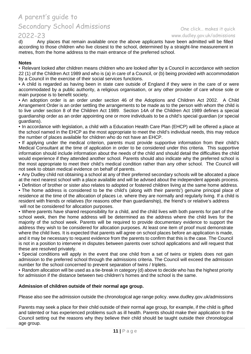# 2022-23<br>d) Any

#### One click… makes it quick [www.dudley.gov.uk/admissions](http://www.dudley.gov.uk/admissions)

Any places that remain available once the above applicants have been admitted will be filled according to those children who live closest to the school, determined by a straight-line measurement in metres, from the home address to the main entrance of the preferred school.

#### **Notes**

• Relevant looked after children means children who are looked after by a Council in accordance with section 22 (1) of the Children Act 1989 and who is (a) in care of a Council, or (b) being provided with accommodation by a Council in the exercise of their social services functions.

• A child is regarded as having been in state care outside of England if they were in the care of or were accommodated by a public authority, a religious organisation, or any other provider of care whose sole or main purpose is to benefit society.

• An adoption order is an order under section 46 of the Adoptions and Children Act 2002. A Child Arrangement Order is an order settling the arrangements to be made as to the person with whom the child is to live under section 8 of the Children Act 1989. Section 14A of the Children Act 1989 defines a special guardianship order as an order appointing one or more individuals to be a child's special guardian (or special guardians).

• In accordance with legislation, a child with a Education Health Care Plan (EHCP) will be offered a place at the school named in the EHCP as the most appropriate to meet the child's individual needs, this may reduce the number of places available for children who do not have an EHCP.

• If applying under the medical criterion, parents must provide supportive information from their child's Medical Consultant at the time of application in order to be considered under this criteria. This supportive information should include information about the needs of the child and should detail the difficulties the child would experience if they attended another school. Parents should also indicate why the preferred school is the most appropriate to meet their child's medical condition rather than any other school. The Council will not seek to obtain medical evidence on behalf of parents.

• Any Dudley child not obtaining a school at any of their preferred secondary schools will be allocated a place at the next nearest school with a place available and will be advised about the independent appeals process.

• Definition of brother or sister also relates to adopted or fostered children living at the same home address. • The home address is considered to be the child's (along with their parents') genuine principal place of residence at the time of the allocation of places i.e. where they are normally and regularly living. If a child is resident with friends or relatives (for reasons other than guardianship), the friend's or relative's address will not be considered for allocation purposes.

• Where parents have shared responsibility for a child, and the child lives with both parents for part of the school week, then the home address will be determined as the address where the child lives for the majority of the school week. Parents will be required to provide documentary evidence to support the address they wish to be considered for allocation purposes. At least one item of proof must demonstrate where the child lives. It is expected that parents will agree on school places before an application is made, and it may be necessary to request evidence from the parents to confirm that this is the case. The Council is not in a position to intervene in disputes between parents over school applications and will request that these are resolved privately.

• Special conditions will apply in the event that one child from a set of twins or triplets does not gain admission to the preferred school through the admissions criteria. The Council will exceed the admission number for the school concerned to prevent separation of twins / triplets.

• Random allocation will be used as a tie-break in category (d) above to decide who has the highest priority for admission if the distance between two children's homes and the school is the same.

### **Admission of children outside of their normal age group.**

Please also see the admission outside the chronological age range policy. www.dudley.gov.uk/admissions

Parents may seek a place for their child outside of their normal age group, for example, if the child is gifted and talented or has experienced problems such as ill health. Parents should make their application to the Council setting out the reasons why they believe their child should be taught outside their chronological age group.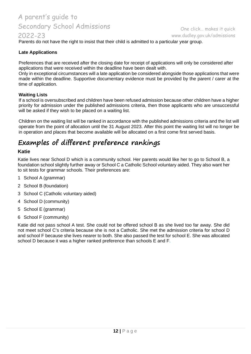# 2022-23

Parents do not have the right to insist that their child is admitted to a particular year group.

# **Late Applications**

Preferences that are received after the closing date for receipt of applications will only be considered after applications that were received within the deadline have been dealt with.

Only in exceptional circumstances will a late application be considered alongside those applications that were made within the deadline. Supportive documentary evidence must be provided by the parent / carer at the time of application.

#### **Waiting Lists**

If a school is oversubscribed and children have been refused admission because other children have a higher priority for admission under the published admissions criteria, then those applicants who are unsuccessful will be asked if they wish to be placed on a waiting list.

Children on the waiting list will be ranked in accordance with the published admissions criteria and the list will operate from the point of allocation until the 31 August 2023. After this point the waiting list will no longer be in operation and places that become available will be allocated on a first come first served basis.

# <span id="page-11-0"></span>**Examples of different preference rankings**

### **Katie**

Katie lives near School D which is a community school. Her parents would like her to go to School B, a foundation school slightly further away or School C a Catholic School voluntary aided. They also want her to sit tests for grammar schools. Their preferences are:

- 1 School A (grammar)
- 2 School B (foundation)
- 3 School C (Catholic voluntary aided)
- 4 School D (community)
- 5 School E (grammar)
- 6 School F (community)

Katie did not pass school A test. She could not be offered school B as she lived too far away. She did not meet school C's criteria because she is not a Catholic. She met the admission criteria for school D and school F because she lives nearer to both. She also passed the test for school E. She was allocated school D because it was a higher ranked preference than schools E and F.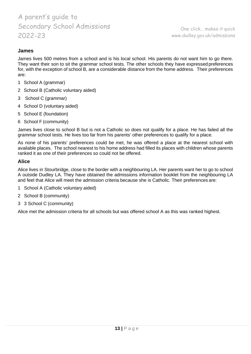# **James**

James lives 500 metres from a school and is his local school. His parents do not want him to go there. They want their son to sit the grammar school tests. The other schools they have expressedpreferences for, with the exception of school B, are a considerable distance from the home address. Their preferences are:

- 1 School A (grammar)
- 2 School B (Catholic voluntary aided)
- 3 School C (grammar)
- 4 School D (voluntary aided)
- 5 School E (foundation)
- 6 School F (community)

James lives close to school B but is not a Catholic so does not qualify for a place. He has failed all the grammar school tests. He lives too far from his parents' other preferences to qualify for a place.

As none of his parents' preferences could be met, he was offered a place at the nearest school with available places. The school nearest to his home address had filled its places with children whose parents ranked it as one of their preferences so could not be offered.

### **Alice**

Alice lives in Stourbridge, close to the border with a neighbouring LA. Her parents want her to go to school A outside Dudley LA. They have obtained the admissions information booklet from the neighbouring LA and feel that Alice will meet the admission criteria because she is Catholic. Their preferences are:

- 1 School A (Catholic voluntary aided)
- 2 School B (community)
- 3 3 School C (community)

Alice met the admission criteria for all schools but was offered school A as this was ranked highest.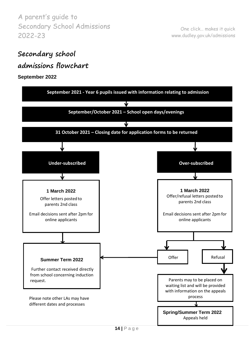One click… makes it quick [www.dudley.gov.uk/admissions](http://www.dudley.gov.uk/admissions)

# <span id="page-13-0"></span>**Secondary school**

# **admissions flowchart**

# **September 2022**

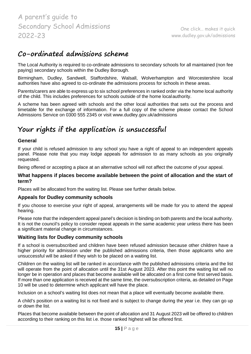# <span id="page-14-0"></span>**Co-ordinated admissions scheme**

The Local Authority is required to co-ordinate admissions to secondary schools for all maintained (non fee paying) secondary schools within the Dudley Borough.

Birmingham, Dudley, Sandwell, Staffordshire, Walsall, Wolverhampton and Worcestershire local authorities have also agreed to co-ordinate the admissions process for schools in these areas.

Parents/carers are able to express up to six school preferences in ranked order via the home local authority of the child. This includes preferences for schools outside of the home localauthority.

A scheme has been agreed with schools and the other local authorities that sets out the process and timetable for the exchange of information. For a full copy of the scheme please contact the School Admissions Service on 0300 555 2345 or visit [www.dudley.gov.uk/admissions](http://www.dudley.gov.uk/admissions)

# <span id="page-14-1"></span>**Your rights if the application is unsuccessful**

# **General**

If your child is refused admission to any school you have a right of appeal to an independent appeals panel. Please note that you may lodge appeals for admission to as many schools as you originally requested.

Being offered or accepting a place at an alternative school will not affect the outcome of your appeal.

#### **What happens if places become available between the point of allocation and the start of term?**

Places will be allocated from the waiting list. Please see further details below.

### **Appeals for Dudley community schools**

If you choose to exercise your right of appeal, arrangements will be made for you to attend the appeal hearing.

Please note that the independent appeal panel's decision is binding on both parents and the local authority. It is not the council's policy to consider repeat appeals in the same academic year unless there has been a significant material change in circumstances.

### **Waiting lists for Dudley community schools**

If a school is oversubscribed and children have been refused admission because other children have a higher priority for admission under the published admissions criteria, then those applicants who are unsuccessful will be asked if they wish to be placed on a waiting list.

Children on the waiting list will be ranked in accordance with the published admissions criteria and the list will operate from the point of allocation until the 31st August 2023. After this point the waiting list will no longer be in operation and places that become available will be allocated on a first come first served basis. If more than one application is received at the same time, the oversubscription criteria, as detailed on Page 10 will be used to determine which applicant will have the place.

Inclusion on a school's waiting list does not mean that a place will eventually become available there.

A child's position on a waiting list is not fixed and is subject to change during the year i.e. they can go up or down the list.

Places that become available between the point of allocation and 31 August 2023 will be offered to children according to their ranking on this list i.e. those ranked highest will be offered first.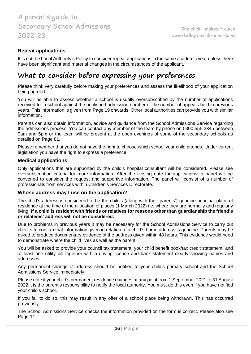# **Repeat applications**

It is not the Local Authority's Policy to consider repeat applications in the same academic year unless there have been significant and material changes in the circumstances of the applicant.

# <span id="page-15-0"></span>**What to consider before expressing your preferences**

Please think very carefully before making your preferences and assess the likelihood of your application being agreed.

You will be able to assess whether a school is usually oversubscribed by the number of applications received for a school against the published admission number or the number of appeals held in previous years. This information is given from Page 19 onwards. Other local authorities can provide you with similar information.

Parents can also obtain information, advice and guidance from the School Admissions Service regarding the admissions process. You can contact any member of the team by phone on 0300 555 2345 between 9am and 5pm or the team will be present at the open evenings of some of the secondary schools as detailed on Page 81.

Please remember that you do not have the right to choose which school your child attends. Under current legislation you have the right to express a preference.

#### **Medical applications**

Only applications that are supported by the child's hospital consultant will be considered. Please see oversubscription criteria for more information. After the closing date for applications, a panel will be convened to consider the request and supportive information. The panel will consist of a number of professionals from services within Children's Services Directorate.

#### <span id="page-15-1"></span>**Whose address may I use on the application?**

The child's address is considered to be the child's (along with their parents') genuine principal place of residence at the time of the allocation of places (1 March 2022) i.e. where they are normally and regularly living. **If a child is resident with friends or relatives for reasons other than guardianship the friend's or relatives' address will not be considered.**

Due to problems in previous years it may be necessary for the School Admissions Service to carry out checks to confirm that information given in relation to a child's home address is genuine. Parents may be asked to produce documentary evidence of the address given within 48 hours. This evidence would need to demonstrate where the child lives as well as the parent.

You will be asked to provide your council tax statement, your child benefit book/tax credit statement, and at least one utility bill together with a driving licence and bank statement clearly showing names and addresses.

Any permanent change of address should be notified to your child's primary school and the School Admissions Service immediately.

Please note if your child's permanent residence changes at any point from 1 September 2021 to 31 August 2022 it is the parent's responsibility to notify the local authority. You must do this even if you have notified your child's school.

If you fail to do so, this may result in any offer of a school place being withdrawn. This has occurred previously.

The School Admissions Service checks the information provided on the form is correct. Please also see Page 11.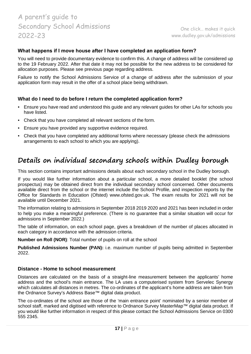# **What happens if I move house after I have completed an application form?**

You will need to provide documentary evidence to confirm this. A change of address will be considered up to the 19 February 2022. After that date it may not be possible for the new address to be considered for allocation purposes. Please see previous page regarding address.

Failure to notify the School Admissions Service of a change of address after the submission of your application form may result in the offer of a school place being withdrawn.

# **What do I need to do before I return the completed application form?**

- Ensure you have read and understood this guide and any relevant guides for other LAs for schools you have listed.
- Check that you have completed all relevant sections of the form.
- Ensure you have provided any supportive evidence required.
- Check that you have completed any additional forms where necessary (please check the admissions arrangements to each school to which you are applying).

# <span id="page-16-0"></span>**Details on individual secondary schools within Dudley borough**

This section contains important admissions details about each secondary school in the Dudley borough.

If you would like further information about a particular school, a more detailed booklet (the school prospectus) may be obtained direct from the individual secondary school concerned. Other documents available direct from the school or the internet include the School Profile, and inspection reports by the Office for Standards in Education (Ofsted) [www.ofsted.gov.uk.](http://www.ofsted.gov.uk/) The exam results for 2021 will not be available until December 2021.

The information relating to admissions in September 2018 2019 2020 and 2021 has been included in order to help you make a meaningful preference. (There is no guarantee that a similar situation will occur for admissions in September 2022.)

The table of information, on each school page, gives a breakdown of the number of places allocated in each category in accordance with the admission criteria.

**Number on Roll (NOR)**: Total number of pupils on roll at the school

**Published Admissions Number (PAN):** i.e. maximum number of pupils being admitted in September 2022.

### **Distance - Home to school measurement**

Distances are calculated on the basis of a straight-line measurement between the applicants' home address and the school's main entrance. The LA uses a computerised system from Servelec Synergy which calculates all distances in metres. The co-ordinates of the applicant's home address are taken from the Ordnance Survey's Address Base™ digital data product.

The co-ordinates of the school are those of the 'main entrance point' nominated by a senior member of school staff, marked and digitised with reference to Ordnance Survey MasterMap™ digital data product. If you would like further information in respect of this please contact the School Admissions Service on 0300 555 2345.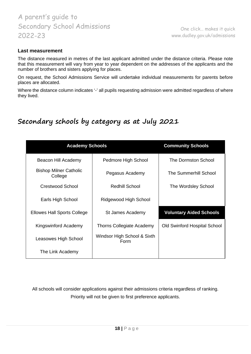One click… makes it quick [www.dudley.gov.uk/admissions](http://www.dudley.gov.uk/admissions)

### **Last measurement**

The distance measured in metres of the last applicant admitted under the distance criteria. Please note that this measurement will vary from year to year dependent on the addresses of the applicants and the number of brothers and sisters applying for places.

On request, the School Admissions Service will undertake individual measurements for parents before places are allocated.

Where the distance column indicates '-' all pupils requesting admission were admitted regardless of where they lived.

# <span id="page-17-0"></span>**Secondary schools by category as at July 2021**

| <b>Academy Schools</b>                   | <b>Community Schools</b>            |                                     |
|------------------------------------------|-------------------------------------|-------------------------------------|
| Beacon Hill Academy                      | Pedmore High School                 | The Dormston School                 |
| <b>Bishop Milner Catholic</b><br>College | Pegasus Academy                     | <b>The Summerhill School</b>        |
| Crestwood School                         | <b>Redhill School</b>               | The Wordsley School                 |
| Earls High School                        | Ridgewood High School               |                                     |
| Ellowes Hall Sports College              | St James Academy                    | <b>Voluntary Aided Schools</b>      |
| Kingswinford Academy                     | Thorns Collegiate Academy           | <b>Old Swinford Hospital School</b> |
| Leasowes High School                     | Windsor High School & Sixth<br>Form |                                     |
| The Link Academy                         |                                     |                                     |

All schools will consider applications against their admissions criteria regardless of ranking. Priority will not be given to first preference applicants.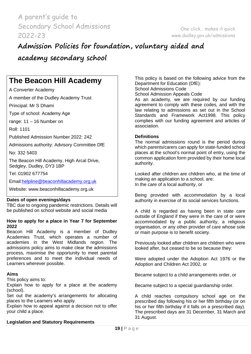# <span id="page-18-0"></span>**Admission Policies for foundation, voluntary aided and**

**academy secondary school**

# **The Beacon Hill Academy**

A Converter Academy

A member of the Dudley Academy Trust

Principal: Mr S Dhami

Type of school: Academy Age

range: 11 – 16 Number on

Roll: 1101

Published Admission Number 2022: 242

Admissions authority: Advisory Committee DfE

No: 332 5403

The Beacon Hill Academy, High Arcal Drive, Sedgley, Dudley, DY3 1BP

Tel: 01902 677754

Email[:helpline@beaconhillacademy.org.uk](mailto:helpline@beaconhillacademy.org.uk)

Website: [www.beaconhillacademy.org.uk](http://www.beaconhillacademy.org.uk/)

### **Dates of open evenings/days**

TBC due to ongoing pandemic restrictions. Details will be published on school website and social media

#### **How to apply for a place in Year 7 for September 2022**

Beacon Hill Academy is a member of Dudley Academies Trust, which operates a number of academies in the West Midlands region. The admissions policy aims to make clear the admissions process, maximise the opportunity to meet parental preferences and to meet the individual needs of Learners wherever possible.

### **Aims**

This policy aims to:

Explain how to apply for a place at the academy (school).

Set out the academy's arrangements for allocating places to the Learners who apply.

Explain how to appeal against a decision not to offer your child a place.

# **Legislation and Statutory Requirements**

This policy is based on the following advice from the Department for Education (DfE):

School Admissions Code

School Admission Appeals Code

As an academy, we are required by our funding agreement to comply with these codes, and with the law relating to admissions as set out in the School Standards and Framework Act1998. This policy complies with our funding agreement and articles of association.

#### **Definitions**

The normal admissions round is the period during which parents/carers can apply for state-funded school places at the school's normal point of entry, using the common application form provided by their home local authority.

Looked after children are children who, at the time of making an application to a school, are: In the care of a local authority, or

Being provided with accommodation by a local authority in exercise of its social services functions.

A child is regarded as having been in state care outside of England if they were in the care of or were accommodated by a public authority, a religious organisation, or any other provider of care whose sole or main purpose is to benefit society.

Previously looked after children are children who were looked after, but ceased to be so because they:

Were adopted under the Adoption Act 1976 or the Adoption and Children Act 2002, or

Became subject to a child arrangements order, or

Became subject to a special guardianship order.

A child reaches compulsory school age on the prescribed day following his or her fifth birthday (or on his or her fifth birthday if it falls on a prescribed day). The prescribed days are 31 December, 31 March and 31 August.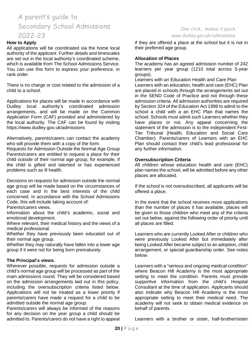#### **How to Apply**

All applications will be coordinated via the home local authority of the applicant. Further details and timescales are set out in the local authority's coordinated scheme, which is available from The School Admissions Service. You can use this form to express your preference, in rank order.

There is no charge or cost related to the admission of a child to a school.

Applications for places will be made in accordance with Dudley local authority's coordinated admission arrangements, and will be made on the Common Application Form (CAF) provided and administered by the local authority. The CAF can be found by visiting https://www.dudley.gov.uk/admissions

Alternatively, parents/carers can contact the academy who will provide them with a copy of the form.

Requests for Admission Outside the Normal Age Group Parents/carers are entitled to request a place for their child outside of their normal age group, for example, if the child is gifted and talented or has experienced problems such as ill health.

Decisions on requests for admission outside the normal age group will be made based on the circumstances of each case and in the best interests of the child concerned. In accordance with the School Admissions Code, this will include taking account of:

Parents/carers views.

Information about the child's academic, social and emotional development.

Where relevant, their medical history and the views of a medical professional.

Whether they have previously been educated out of their normal age group.

Whether they may naturally have fallen into a lower age group if it were not for being born prematurely.

#### **The Principal's views.**

Wherever possible, requests for admission outside a child's normal age group will be processed as part of the main admissions round. They will be considered based on the admission arrangements laid out in this policy, including the oversubscription criteria listed below. Applications will not be treated as a lower priority if parents/carers have made a request for a child to be admitted outside the normal age group.

Parents/carers will always be informed of the reasons for any decision on the year group a child should be admitted to. Parents/carers do not have a right to appeal

# One click… makes it quick [www.dudley.gov.uk/admissions](http://www.dudley.gov.uk/admissions)

if they are offered a place at the school but it is not in their preferred age group.

#### **Allocation of Places**

The academy has an agreed admission number of 242 learners per year group (1210 total across 5-year groups).

Learners with an Education Health and Care Plan Learners with an education, health and care (EHC) Plan are placed in schools through the arrangements set out in the SEND Code of Practice and not through these admission criteria. All admission authorities are required by Section 324 of the Education Act 1996 to admit to the school a child with a an EHC Plan that names the school. Schools must admit such Learners whether they have places or not. Any appeal concerning the statement of the admission is to the independent First-Tier Tribunal (Health, Education and Social Care Chamber). Parents/carers of Learners with an EHC Plan should contact their child's lead professional for any further information.

#### **Oversubscription Criteria**

All children whose education health and care (EHC) plan names the school, will be admitted before any other places are allocated.

If the school is not oversubscribed, all applicants will be offered a place.

In the event that the school receives more applications than the number of places it has available, places will be given to those children who meet any of the criteria set out below, against the following order of priority until all places are filled.

Learners who are currently Looked After or children who were previously Looked After but immediately after being Looked After became subject to an adoption, child arrangement, or special guardianship order. See notes below.

Learners with a "serious and ongoing medical condition" where Beacon Hill Academy is the most appropriate setting to meet the condition. Parents must provide supportive information from the child's Hospital Consultant at the time of application. Applicants should also indicate why Beacon Hill Academy is the most appropriate setting to meet their medical need. The academy will not seek to obtain medical evidence on behalf of parents.

Learners with a brother or sister, half-brother/sister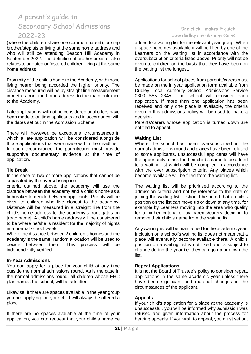(where the children share one common parent), or step brother/step sister living at the same home address and who will still be attending Beacon Hill Academy in September 2022. The definition of brother or sister also relates to adopted or fostered children living at the same home address

Proximity of the child's home to the Academy, with those living nearer being accorded the higher priority. The distance measured will be by straight line measurement in metres from the home address to the main entrance to the Academy.

Late applications will not be considered until offers have been made to on time applicants and in accordance with the dates set out in the Admission Scheme.

There will, however, be exceptional circumstances in which a late application will be considered alongside those applications that were made within the deadline. In each circumstance, the parent/carer must provide supportive documentary evidence at the time of application.

#### **Tie Break**

In the case of two or more applications that cannot be separated by the oversubscription

criteria outlined above, the academy will use the distance between the academy and a child's home as a tiebreaker to decide between applicants. Priority will be given to children who live closest to the academy. Distance will be measured in a straight line from the child's home address to the academy's front gates on [road name]. A child's home address will be considered to be where he/she is resident for the majority of nights in a normal school week.

Where the distance between 2 children's homes and the academy is the same, random allocation will be used to decide between them. This process will be independently verified.

#### **In-Year Admissions**

You can apply for a place for your child at any time outside the normal admissions round. As is the case in the normal admissions round, all children whose EHC plan names the school, will be admitted.

Likewise, if there are spaces available in the year group you are applying for, your child will always be offered a place.

If there are no spaces available at the time of your application, you can request that your child's name be

# One click… makes it quick [www.dudley.gov.uk/admissions](http://www.dudley.gov.uk/admissions)

added to a waiting list for the relevant year group. When a space becomes available it will be filled by one of the Learners on the waiting list in accordance with the oversubscription criteria listed above. Priority will not be given to children on the basis that they have been on the waiting list the longest.

Applications for school places from parents/carers must be made on the in year application form available from Dudley Local Authority School Admissions Service 0300 555 2345. The school will consider each application. If more than one application has been received and only one place is available, the criteria given in this admissions policy will be used to make a decision.

Parents/carers whose application is turned down are entitled to appeal.

#### **Waiting List**

Where the school has been oversubscribed in the normal admissions round and places have been refused to some applicants, unsuccessful applicants will have the opportunity to ask for their child's name to be added to a waiting list which will be compiled in accordance with the over subscription criteria. Any places which become available will be filled from the waiting list.

The waiting list will be prioritised according to the admission criteria and not by reference to the date of joining the waiting list. It should be noted that a child's position on the list can move up or down at any time, for example by Learners moving into the area who qualify for a higher criteria or by parents/carers deciding to remove their child's name from the waiting list.

Any waiting list will be maintained for the academic year. Inclusion on a school's waiting list does not mean that a place will eventually become available there. A child's position on a waiting list is not fixed and is subject to change during the year i.e. they can go up or down the list.

### **Repeat Applications**

It is not the Board of Trustee's policy to consider repeat applications in the same academic year unless there have been significant and material changes in the circumstances of the applicant.

### **Appeals**

If your child's application for a place at the academy is unsuccessful, you will be informed why admission was refused and given information about the process for hearing appeals. If you wish to appeal, you must set out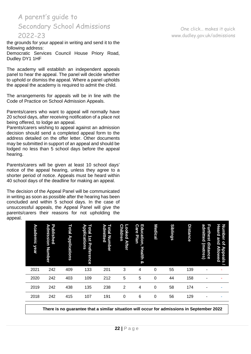the grounds for your appeal in writing and send it to the following address:

Democratic Services Council House Priory Road, Dudley DY1 1HF

The academy will establish an independent appeals panel to hear the appeal. The panel will decide whether to uphold or dismiss the appeal. Where a panel upholds the appeal the academy is required to admit the child.

The arrangements for appeals will be in line with the Code of Practice on School Admission Appeals.

Parents/carers who want to appeal will normally have 20 school days, after receiving notification of a place not being offered, to lodge an appeal.

Parents/carers wishing to appeal against an admission decision should send a completed appeal form to the address detailed on the offer letter. Other documents may be submitted in support of an appeal and should be lodged no less than 5 school days before the appeal hearing.

Parents/carers will be given at least 10 school days' notice of the appeal hearing, unless they agree to a shorter period of notice. Appeals must be heard within 40 school days of the deadline for making an appeal.

The decision of the Appeal Panel will be communicated in writing as soon as possible after the hearing has been concluded and within 5 school days. In the case of unsuccessful appeals, the Appeal Panel will give the parents/carers their reasons for not upholding the appeal.

| <b>Heard</b><br>Number<br>and<br>$\overline{\mathbf{a}}$<br>Allowed<br>Appeals |      |      |      |             |  |
|--------------------------------------------------------------------------------|------|------|------|-------------|--|
| admitted<br><b>Furthest</b><br>distance<br>(metres)                            |      |      |      |             |  |
| <b>Distance</b>                                                                | 139  | 158  | 174  | 129         |  |
| <b>Siblings</b>                                                                | 55   | 44   | 58   | 56          |  |
| <b>Medical</b>                                                                 | 0    | 0    | 0    | $\mathbf 0$ |  |
| Education,<br><b>Care</b><br>Plan<br><b>Health</b><br>ହ                        | 4    | 5    | 4    | 6           |  |
| <b>Children</b><br><b>Looked After</b>                                         | 3    | 5    | 2    | 0           |  |
| Total<br>⋗<br>dmitted<br><b>Number</b>                                         | 201  | 212  | 238  | 191         |  |
| Е<br>Applications<br><b>Stal</b><br>151<br>Preference                          | 133  | 109  | 135  | 107         |  |
| Total<br><b>Applications</b>                                                   | 409  | 403  | 438  | 415         |  |
| Published<br><b>Admission</b><br>Number                                        | 242  | 242  | 242  | 242         |  |
| Academic<br>year                                                               | 2021 | 2020 | 2019 | 2018        |  |

**There is no guarantee that a similar situation will occur for admissions in September 2022**

One click… makes it quick [www.dudley.gov.uk/admissions](http://www.dudley.gov.uk/admissions)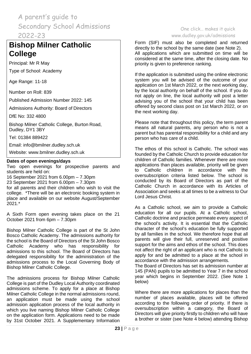# **Bishop Milner Catholic College**

Principal: Mr R May

Type of School: Academy

Age Range: 11-18

Number on Roll: 839

Published Admission Number 2022: 145

Admissions Authority: Board of Directors

DfE No: 332 4800

Bishop Milner Catholic College, Burton Road, Dudley, DY1 3BY

Tel: 01384 889422

Email: [info@bmilner.dudley.sch.uk](mailto:info@bmilner.dudley.sch.uk)

Website: [www.bmilner.dudley.sch.uk](http://www.bmilner.dudley.sch.uk/)

#### **Dates of open evenings/days**

Two open evenings for prospective parents and students are held on:

16 September 2021 from 6.00pm – 7.30pm 23 September 2021 from 6.00pm – 7.30pm for all parents and their children who wish to visit the college. \*There will be an electronic booking system in place and available on our website August/September 2021.\*

A Sixth Form open evening takes place on the 21 October 2021 from 6pm – 7.30pm

Bishop Milner Catholic College is part of the St John Bosco Catholic Academy. The admissions authority for the school is the Board of Directors of the St John Bosco Catholic Academy who has responsibility for admissions to this school. The Board of Directors has delegated responsibility for the administration of the admissions process to the Local Governing Body of Bishop Milner Catholic College.

The admissions process for Bishop Milner Catholic College is part of the Dudley Local Authority coordinated admissions scheme. To apply for a place at Bishop Milner Catholic College in the normal admissions round, an application must be made using the school admission application process of the local authority in which you live naming Bishop Milner Catholic College on the application form. Applications need to be made by 31st October 2021. A Supplementary Information

# One click… makes it quick [www.dudley.gov.uk/admissions](http://www.dudley.gov.uk/admissions)

Form (SIF) must also be completed and returned directly to the school by the same date (see Note 2). All applications which are submitted on time will be considered at the same time, after the closing date. No priority is given to preference ranking.

If the application is submitted using the online electronic system you will be advised of the outcome of your application on 1st March 2022, or the next working day, by the local authority on behalf of the school. If you do not apply on line, the local authority will post a letter advising you of the school that your child has been offered by second class post on 1st March 2022, or on the next working day.

Please note that throughout this policy, the term parent means all natural parents, any person who is not a parent but has parental responsibility for a child and any person who has care of a child.

The ethos of this school is Catholic. The school was founded by the Catholic Church to provide education for children of Catholic families. Whenever there are more applications than places available, priority will be given to Catholic children in accordance with the oversubscription criteria listed below. The school is conducted by its Board of Directors as part of the Catholic Church in accordance with its Articles of Association and seeks at all times to be a witness to Our Lord Jesus Christ.

As a Catholic school, we aim to provide a Catholic education for all our pupils. At a Catholic school, Catholic doctrine and practice permeate every aspect of the school's activity. It is essential that the Catholic character of the school's education be fully supported by all families in the school. We therefore hope that all parents will give their full, unreserved and positive support for the aims and ethos of the school. This does not affect the right of an applicant who is not Catholic to apply for and be admitted to a place at the school in accordance with the admission arrangements.

The Board of Directors has set its admission number at 145 (PAN) pupils to be admitted to Year 7 in the school year which begins in September 2022. (See Note 1 below)

Where there are more applications for places than the number of places available, places will be offered according to the following order of priority. If there is oversubscription within a category, the Board of Directors will give priority firstly to children who will have a brother or sister (see Note 4 below) attending Bishop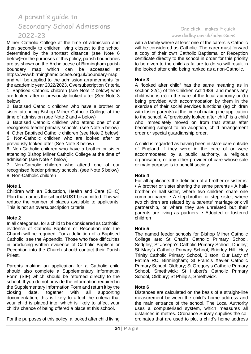Milner Catholic College at the time of admission and then secondly to children living closest to the school determined by the shortest distance (see Note 6 below)For the purposes of this policy, parish boundaries are as shown on the Archdiocese of Birmingham parish boundary map which can be accessed at https://www.birminghamdiocese.org.uk/boundary-map and will be applied to the admission arrangements for the academic year 2022/2023. Oversubscription Criteria 1. Baptised Catholic children (see Note 2 below) who are looked after or previously looked after (See Note 3 below)

2. Baptised Catholic children who have a brother or sister attending Bishop Milner Catholic College at the time of admission (see Note 2 and 4 below)

3. Baptised Catholic children who attend one of our recognised feeder primary schools. (see Note 5 below)

4. Other Baptised Catholic children (see Note 2 below) 5. Non-Catholic children who are looked after or previously looked after (See Note 3 below)

6. Non-Catholic children who have a brother or sister attending Bishop Milner Catholic College at the time of admission (see Note 4 below)

7. Non-Catholic children who attend one of our recognised feeder primary schools. (see Note 5 below) 8. Non-Catholic children

#### **Note 1**

Children with an Education, Health and Care (EHC) Plan that names the school MUST be admitted. This will reduce the number of places available to applicants. This is not an oversubscription criteria.

### **Note 2**

In all categories, for a child to be considered as Catholic, evidence of Catholic Baptism or Reception into the Church will be required. For a definition of a Baptised Catholic, see the Appendix. Those who face difficulties in producing written evidence of Catholic Baptism or Reception into the Church should contact their Parish Priest.

Parents making an application for a Catholic child should also complete a Supplementary Information Form (SIF) which should be returned directly to the school. If you do not provide the information required in the Supplementary Information Form and return it by the closing date, together with all supporting documentation, this is likely to affect the criteria that your child is placed into, which is likely to affect your child's chance of being offered a place at this school.

For the purposes of this policy, a looked after child living

# One click… makes it quick [www.dudley.gov.uk/admissions](http://www.dudley.gov.uk/admissions)

with a family where at least one of the carers is Catholic will be considered as Catholic. The carer must forward a copy of their own Catholic Baptismal or Reception certificate directly to the school in order for this priority to be given to the child as failure to do so will result in the looked after child being ranked as a non-Catholic.

### **Note 3**

A "looked after child" has the same meaning as in section 22(1) of the Children Act 1989, and means any child who is (a) in the care of the local authority or (b) being provided with accommodation by them in the exercise of their social services functions (eg children with foster parents) at the time of making the application to the school. A "previously looked after child" is a child who immediately moved on from that status after becoming subject to an adoption, child arrangement order or special guardianship order.

A child is regarded as having been in state care outside of England if they were in the care of or were accommodated by a public authority, a religious organisation, or any other provider of care whose sole or main purpose is to benefit society.

### **Note 4**

For all applicants the definition of a brother or sister is: • A brother or sister sharing the same parents • A halfbrother or half-sister, where two children share one common parent • A step-brother or step-sister, where two children are related by a parents' marriage or civil partnership, or where they are unrelated but their parents are living as partners. • Adopted or fostered children

### **Note 5**

The named feeder schools for Bishop Milner Catholic College are: St Chad's Catholic Primary School, Sedgley; St Joseph's Catholic Primary School, Dudley; St Mary's Catholic Primary School, Brierley Hill; Holy Trinity Catholic Primary School, Bilston; Our Lady of Fatima RC, Birmingham; St Francis Xavier Catholic Primary School, Oldbury; St Gregory's Catholic Primary School, Smethwick; St Hubert's Catholic Primary School, Oldbury; St Philip's, Smethwick.

### **Note 6**

Distances are calculated on the basis of a straight-line measurement between the child's home address and the main entrance of the school. The Local Authority uses a computerised system, which measures all distances in metres. Ordnance Survey supplies the coordinates that are used to plot a child's home address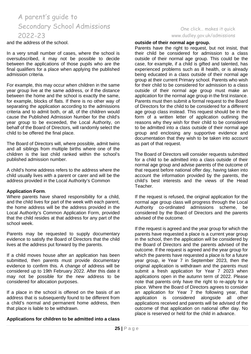and the address of the school.

In a very small number of cases, where the school is oversubscribed, it may not be possible to decide between the applications of those pupils who are the final qualifiers for a place when applying the published admission criteria.

For example, this may occur when children in the same year group live at the same address, or if the distance between the home and the school is exactly the same, for example, blocks of flats. If there is no other way of separating the application according to the admissions criteria and to admit both, or all, of the children would cause the Published Admission Number for the child's year group to be exceeded, the Local Authority, on behalf of the Board of Directors, will randomly select the child to be offered the final place.

The Board of Directors will, where possible, admit twins and all siblings from multiple births where one of the children is the last child ranked within the school's published admission number.

A child's home address refers to the address where the child usually lives with a parent or carer and will be the address provided in the Local Authority's Common

#### **Application Form**.

Where parents have shared responsibility for a child, and the child lives for part of the week with each parent, the home address will be the address provided in the Local Authority's Common Application Form, provided that the child resides at that address for any part of the school week.

Parents may be requested to supply documentary evidence to satisfy the Board of Directors that the child lives at the address put forward by the parents.

If a child moves house after an application has been submitted, then parents must provide documentary evidence to confirm this. A change of address will be considered up to 19th February 2022. After this date it may not be possible for the new address to be considered for allocation purposes.

If a place in the school is offered on the basis of an address that is subsequently found to be different from a child's normal and permanent home address, then that place is liable to be withdrawn.

#### **Applications for children to be admitted into a class**

#### One click… makes it quick [www.dudley.gov.uk/admissions](http://www.dudley.gov.uk/admissions)

#### **outside of their normal age group.**

Parents have the right to request, but not insist, that their child be considered for admission to a class outside of their normal age group. This could be the case, for example, if a child is gifted and talented, has experienced problems such as ill health, or is already being educated in a class outside of their normal age group at their current Primary school. Parents who wish for their child to be considered for admission to a class outside of their normal age group must make an application for the normal age group in the first instance. Parents must then submit a formal request to the Board of Directors for the child to be considered for a different age group class instead. This request should be in the form of a written letter of application outlining the reasons why they wish for their child to be considered to be admitted into a class outside of their normal age group and enclosing any supportive evidence and documentation that they wish to be taken into account as part of that request.

The Board of Directors will consider requests submitted for a child to be admitted into a class outside of their normal age group and advise parents of the outcome of that request before national offer day, having taken into account the information provided by the parents, the child's best interests and the views of the Head Teacher.

If the request is refused, the original application for the normal age group class will progress through the Local Authority co-ordinated admissions scheme, be considered by the Board of Directors and the parents advised of the outcome.

If the request is agreed and the year group for which the parents have requested a place is a current year group in the school, then the application will be considered by the Board of Directors and the parents advised of the outcome. If the request is agreed and the year group for which the parents have requested a place is for a future year group, ie Year 7 in September 2023, then the original application is withdrawn and the parents must submit a fresh application for Year 7 2023 when applications open in the autumn term of 2022. Please note that parents only have the right to re-apply for a place. Where the Board of Directors agrees to consider an application for Year 7 the following year, that application is considered alongside all other considered alongside applications received and parents will be advised of the outcome of that application on national offer day. No place is reserved or held for the child in advance.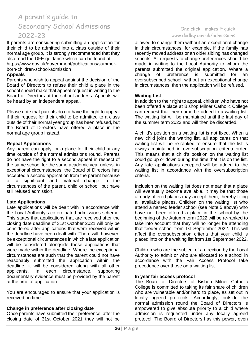If parents are considering submitting an application for their child to be admitted into a class outside of their normal age group, it is strongly recommended that they also read the DFE guidance which can be found at: https://www.gov.uk/government/publications/summerborn-children-school-admission

#### **Appeals**

Parents who wish to appeal against the decision of the Board of Directors to refuse their child a place in the school should make that appeal request in writing to the Board of Directors at the school address. Appeals will be heard by an independent appeal.

Please note that parents do not have the right to appeal if their request for their child to be admitted to a class outside of their normal year group has been refused, but the Board of Directors have offered a place in the normal age group instead.

#### **Repeat Applications**

Any parent can apply for a place for their child at any time outside of the normal admissions round. Parents do not have the right to a second appeal in respect of the same school for the same academic year unless, in exceptional circumstances, the Board of Directors has accepted a second application from the parent because of a significant and material change in the circumstances of the parent, child or school, but have still refused admission.

#### **Late Applications**

Late applications will be dealt with in accordance with the Local Authority's co-ordinated admissions scheme. This states that applications that are received after the closing date deadline of 31st October 2021 will only be considered after applications that were received within the deadline have been dealt with. There will, however, be exceptional circumstances in which a late application will be considered alongside those applications that were made within the deadline. Where the exceptional circumstances are such that the parent could not have reasonably submitted the application within the deadline, it will be considered along with all other applicants. In each circumstance, supporting documentary evidence must be provided by the parent at the time of application.

You are encouraged to ensure that your application is received on time.

#### **Change in preference after closing date**

Once parents have submitted their preference, after the closing date of 31st October 2021 they will not be

### One click… makes it quick [www.dudley.gov.uk/admissions](http://www.dudley.gov.uk/admissions)

allowed to change them without an exceptional change in their circumstances, for example, if the family has recently moved address or an older sibling has changed schools. All requests to change preferences should be made in writing to the Local Authority to whom the parents submitted the original application. Where a change of preference is submitted for an oversubscribed school, without an exceptional change in circumstances, then the application will be refused.

#### **Waiting List**

In addition to their right to appeal, children who have not been offered a place at Bishop Milner Catholic College can request that their name be added to a waiting list. The waiting list will be maintained until the last day of the summer term 2023 and will then be discarded.

A child's position on a waiting list is not fixed. When a new child joins the waiting list, all applicants on that waiting list will be re-ranked to ensure that the list is always maintained in oversubscription criteria order. This means that a child's position on the waiting list could go up or down during the time that it is on the list. Any late applications accepted will be added to the waiting list in accordance with the oversubscription criteria.

Inclusion on the waiting list does not mean that a place will eventually become available. It may be that those already offered places may accept them, thereby filling all available places. Children on the waiting list who attend a named feeder school (see Note 5 above) who have not been offered a place in the school by the beginning of the Autumn term 2022 will be re-ranked to take into account that they will no longer be attending that feeder school from 1st September 2022. This will affect the oversubscription criteria that your child is placed into on the waiting list from 1st September 2022.

Children who are the subject of a direction by the Local Authority to admit or who are allocated to a school in accordance with the Fair Access Protocol take precedence over those on a waiting list.

#### **In year fair access protocol**

The Board of Directors of Bishop Milner Catholic College is committed to taking its fair share of children who are vulnerable and/or hard to place, as set out in locally agreed protocols. Accordingly, outside the normal admission round the Board of Directors is empowered to give absolute priority to a child where admission is requested under any locally agreed protocol. The Board of Directors has this power, even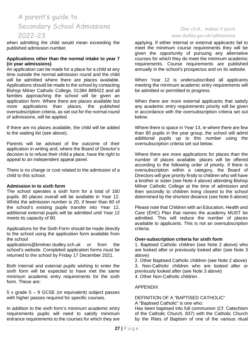when admitting the child would mean exceeding the published admission number.

#### **Applications other than the normal intake to year 7 (in year admissions)**

An application can be made for a place for a child at any time outside the normal admission round and the child will be admitted where there are places available. Applications should be made to the school by contacting Bishop Milner Catholic College, 01384 889422 and all families approaching the school will be given an application form. Where there are places available but more applications than places, the published oversubscription criteria, as set out for the normal round of admissions, will be applied.

If there are no places available, the child will be added to the waiting list (see above).

Parents will be advised of the outcome of their application in writing and, where the Board of Director's decision is to refuse their child a place, have the right to appeal to an independent appeal panel.

There is no charge or cost related to the admission of a child to this school.

#### **Admission in to sixth form**

The school operates a sixth form for a total of 160 pupils. 80 places overall will be available in Year 12. Whilst the admission number is 20, if fewer than 60 of the school's existing pupils transfer into Year 12, additional external pupils will be admitted until Year 12 meets its capacity of 80.

Applications for the Sixth Form should be made directly to the school using the application form available from the school

applications@bmilner.dudley.sch.uk or from the school's website. Completed application forms must be returned to the school by Friday 17 December 2021.

Both internal and external pupils wishing to enter the sixth form will be expected to have met the same minimum academic entry requirements for the sixth form. These are:

5 x grade 5 – 9 GCSE (or equivalent) subject passes with higher passes required for specific courses.

In addition to the sixth form's minimum academic entry requirements pupils will need to satisfy minimum entrance requirements to the courses for which they are

# One click… makes it quick [www.dudley.gov.uk/admissions](http://www.dudley.gov.uk/admissions)

applying. If either internal or external applicants fail to meet the minimum course requirements they will be given the opportunity of pursuing any alternative courses for which they do meet the minimum academic requirements. Course requirements are published annually in the school's prospectus and on its website.

When Year 12 is undersubscribed all applicants meeting the minimum academic entry requirements will be admitted or permitted to progress.

When there are more external applicants that satisfy any academic entry requirements priority will be given in accordance with the oversubscription criteria set out below.

Where there is space in Year 13, ie where there are few than 80 pupils in the year group, the school will admit additional pupils up to this number using the oversubscription criteria set out below.

Where there are more applications for places than the number of places available, places will be offered according to the following order of priority. If there is oversubscription within a category, the Board of Directors will give priority firstly to children who will have a brother or sister (see Note 4 above) attending Bishop Milner Catholic College at the time of admission and then secondly to children living closest to the school determined by the shortest distance (see Note 6 above)

Please note that Children with an Education, Health and Care (EHC) Plan that names the academy MUST be admitted. This will reduce the number of places available to applicants. This is not an oversubscription criteria.

#### **Over-subscription criteria for sixth form**

1. Baptised Catholic children (see Note 2 above) who are looked after or previously looked after (see Note 3 above)

2. Other Baptised Catholic children (see Note 2 above) 3. Non-Catholic children who are looked after or previously looked after (see Note 3 above) 4. Other Non-Catholic children .

### APPENDIX

#### DEFINITION OF A "BAPTISED CATHOLIC"

A "Baptised Catholic" is one who:

Has been baptised into full communion (Cf. Catechism of the Catholic Church, 837) with the Catholic Church by the Rites of Baptism of one of the various ritual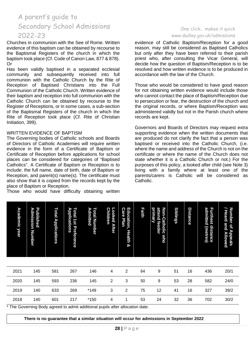Churches in communion with the See of Rome. Written evidence of this baptism can be obtained by recourse to the Baptismal Registers of the church in which the baptism took place (Cf. Code of Canon Law, 877 & 878). Or

Has been validly baptised in a separated ecclesial community and subsequently received into full communion with the Catholic Church by the Rite of Reception of Baptised Christians into the Full Communion of the Catholic Church. Written evidence of their baptism and reception into full communion with the Catholic Church can be obtained by recourse to the Register of Receptions, or in some cases, a sub-section of the Baptismal Registers of the church in which the Rite of Reception took place (Cf. Rite of Christian Initiation, 399).

#### WRITTEN EVIDENCE OF BAPTISM

The Governing bodies of Catholic schools and Boards of Directors of Catholic Academies will require written evidence in the form of a Certificate of Baptism or Certificate of Reception before applications for school places can be considered for categories of "Baptised Catholics". A Certificate of Baptism or Reception is to include: the full name, date of birth, date of Baptism or Reception, and parent(s) name(s). The certificate must also show that it is copied from the records kept by the place of Baptism or Reception.

Those who would have difficulty obtaining written

#### One click… makes it quick [www.dudley.gov.uk/admissions](http://www.dudley.gov.uk/admissions)

evidence of Catholic Baptism/Reception for a good reason, may still be considered as Baptised Catholics but only after they have been referred to their parish priest who, after consulting the Vicar General, will decide how the question of Baptism/Reception is to be resolved and how written evidence is to be produced in accordance with the law of the Church.

Those who would be considered to have good reason for not obtaining written evidence would include those who cannot contact the place of Baptism/Reception due to persecution or fear, the destruction of the church and the original records, or where Baptism/Reception was administered validly but not in the Parish church where records are kept.

Governors and Boards of Directors may request extra supporting evidence when the written documents that are produced do not clarify the fact that a person was baptised or received into the Catholic Church, (i.e. where the name and address of the Church is not on the certificate or where the name of the Church does not state whether it is a Catholic Church or not.) For the purposes of this policy, a looked after child (see Note 3) living with a family where at least one of the parents/carers is Catholic will be considered as Catholic.

| <b>Academic year</b>                                                          | Published<br>Admission<br>Number | <b>Total Applications</b> | Applications<br><b>Total 1st Preference</b> | Admitted<br>Total Number | <b>Children</b><br>Looked<br><b>After</b> | Education,<br>Care<br>Plan<br>Health<br>ଦୁ | Faith | attend feeder<br>primary<br>Non-Catholic<br>who | <b>Siblings</b> | Distance | admitted<br><b>Furthest</b><br>distance<br>(metres) | <b>Number</b><br>/ Heard and Allowed<br>$\vec{\sigma}$<br>Appeals |
|-------------------------------------------------------------------------------|----------------------------------|---------------------------|---------------------------------------------|--------------------------|-------------------------------------------|--------------------------------------------|-------|-------------------------------------------------|-----------------|----------|-----------------------------------------------------|-------------------------------------------------------------------|
|                                                                               |                                  |                           |                                             |                          |                                           |                                            |       |                                                 |                 |          |                                                     |                                                                   |
| 2021                                                                          | 145                              | 581                       | 267                                         | 146                      | 4                                         | $\overline{2}$                             | 64    | 9                                               | 51              | 16       | 436                                                 | 20/1                                                              |
| 2020                                                                          | 145                              | 593                       | 236                                         | 145                      | $\overline{2}$                            | 3                                          | 50    | 9                                               | 53              | 28       | 582                                                 | 24/0                                                              |
| 2019                                                                          | 140                              | 633                       | 269                                         | $*149$                   | 3                                         | $\overline{2}$                             | 75    | 12                                              | 41              | 16       | 327                                                 | 39/2                                                              |
| 2018                                                                          | 140                              | 601                       | 217                                         | *150                     | 4                                         |                                            | 53    | 24                                              | 32              | 36       | 702                                                 | 30/2                                                              |
| * The Governing Body agreed to admit additional pupils after allocation date. |                                  |                           |                                             |                          |                                           |                                            |       |                                                 |                 |          |                                                     |                                                                   |

**There is no guarantee that a similar situation will occur for admissions in September 2022**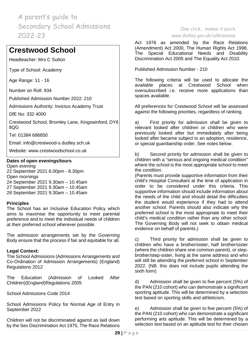# **Crestwood School**

Headteacher: Mrs C Sutton

Type of School: Academy

Age Range: 11 - 16

Number on Roll: 934

Published Admission Number 2022: 210

Admissions Authority: Invictus Academy Trust

DfE No: 332 4000

Crestwood School, Bromley Lane, Kingswinford, DY6 8QG

Tel: 01384 686850

Email: [info@crestwood-s.dudley.sch.uk](mailto:info@crestwood-s.dudley.sch.uk)

Website: [www.crestwoodschool.co.uk](http://www.crestwoodschool.co.uk/)

#### **Dates of open evenings/tours**

Open evening 22 September 2021 6.00pm - 8.30pm Open mornings 24 September 2021 9.30am – 10.45am 27 September 2021 9.30am – 10.45am 28 September 2021 9.30am – 10.45am

### **Principles**

The School has an Inclusive Education Policy which aims to maximise the opportunity to meet parental preference and to meet the individual needs of children at their preferred school wherever possible.

The admission arrangements set by the Governing Body ensure that the process if fair and equitable for all.

### **Legal Context:**

The School Admissions (Admissions Arrangements and Co-Ordination of Admission Arrangements) (England) Regulations 2012

The Education (Admission of Looked After Children)(England)Regulations 2005

School Admissions Code 2014

School Admissions Policy for Normal Age of Entry in September 2022

Children will not be discriminated against as laid down by the Sex Discrimination Act 1975, The Race Relations

### One click… makes it quick [www.dudley.gov.uk/admissions](http://www.dudley.gov.uk/admissions)

Act 1976 as amended by the Race Relations (Amendment) Act 2000, The Human Rights Act 1998, The Special Educational Needs and Disability Discrimination Act 2005 and The Equality Act 2010.

Published Admission Number - 210

The following criteria will be used to allocate the available places at Crestwood School when oversubscribed i.e. receive more applications than spaces available.

All preferences for Crestwood School will be assessed against the following priorities, regardless of ranking.

a) First priority for admission shall be given to relevant looked after children or children who were previously looked after but immediately after being looked after became subject to an adoption, residence, or special guardianship order. See notes below.

b) Second priority for admission shall be given to children with a "serious and ongoing medical condition" where the school is the most appropriate school to meet the condition.

(Parents must provide supportive information from their child's Hospital Consultant at the time of application in order to be considered under this criteria. This supportive information should include information about the needs of the child and should detail the difficulties the student would experience if they had to attend another school. Parents should also indicate why the preferred school is the most appropriate to meet their child's medical condition rather than any other school. The Governing Body will not seek to obtain medical evidence on behalf of parents.)

c) Third priority for admission shall be given to children who have a brother/sister, half brother/sister (where the children share one common parent), or stepbrother/step-sister, living at the same address and who will still be attending the preferred school in September 2022. (NB: this does not include pupils attending the sixth form)

d) Admission shall be given to five percent (5%) of the PAN (210 cohort) who can demonstrate a significant sporting aptitude. This will be determined by a selection test based on sporting skills and athleticism.

e) Admission shall be given to five percent (5%) of the PAN (210 cohort) who can demonstrate a significant performing arts aptitude. This will be determined by a selection test based on an aptitude test for their chosen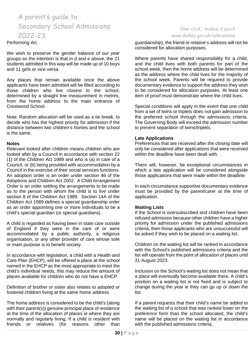#### Performing Art.

We wish to preserve the gender balance of our year groups so the intention is that in d and e above, the 21 students admitted in this way will be made up of 10 boys and 11 girls or vice versa.

Any places that remain available once the above applicants have been admitted will be filled according to those children who live closest to the school, determined by a straight line measurement in metres, from the home address to the main entrance of Crestwood School.

Note: Random allocation will be used as a tie break, to decide who has the highest priority for admission if the distance between two children's homes and the school is the same.

#### **Notes**

Relevant looked after children means children who are looked after by a Council in accordance with section 22 (1) of the Children Act 1989 and who is (a) in care of a Council, or (b) being provided with accommodation by a Council in the exercise of their social services functions. An adoption order is an order under section 46 of the Adoptions and Children Act 2002. A Child Arrangement Order is an order settling the arrangements to be made as to the person with whom the child is to live under section 8 of the Children Act 1989. Section 14A of the Children Act 1989 defines a special guardianship order as an order appointing one or more individuals to be a child's special guardian (or special guardians).

A child is regarded as having been in state care outside of England if they were in the care of or were accommodated by a public authority, a religious organisation, or any other provider of care whose sole or main purpose is to benefit society.

In accordance with legislation, a child with a Health and Care Plan (EHCP), will be offered a place at the school named in the EHCP as the most appropriate to meet the child's individual needs, this may reduce the amount of places available for children who do not have a EHCP.

Definition of brother or sister also relates to adopted or fostered children living at the same home address.

The home address is considered to be the child's (along with their parent(s)) genuine principal place of residence at the time of the allocation of places ie where they are normally and regularly living. If a child is resident with friends or relatives (for reasons other than

### One click… makes it quick [www.dudley.gov.uk/admissions](http://www.dudley.gov.uk/admissions)

guardianship), the friend or relative's address will not be considered for allocation purposes.

Where parents have shared responsibility for a child, and the child lives with both parents for part of the school week, then the home address will be determined as the address where the child lives for the majority of the school week. Parents will be required to provide documentary evidence to support the address they wish to be considered for allocation purposes. At least one item of proof must demonstrate where the child lives.

Special conditions will apply in the event that one child from a set of twins or triplets does not gain admission to the preferred school through the admissions criteria. The Governing Body will exceed the admission number to prevent separation of twins/triplets.

#### **Late Applications**

Preferences that are received after the closing date will only be considered after applications that were received within the deadline have been dealt with.

There will, however, be exceptional circumstances in which a late application will be considered alongside those applications that were made within the deadline.

In each circumstance supportive documentary evidence must be provided by the parent/carer at the time of application.

### **Waiting Lists**

If the School is oversubscribed and children have been refused admission because other children have a higher priority for admission under the published admissions criteria, then those applicants who are unsuccessful will be asked if they wish to be placed on a waiting list.

Children on the waiting list will be ranked in accordance with the School's published admissions criteria and the list will operate from the point of allocation of places until 31 August 2023.

Inclusion on the School's waiting list does not mean that a place will eventually become available there. A child's position on a waiting list is not fixed and is subject to change during the year ie they can go up or down the list.

If a parent requests that their child's name be added to the waiting list of a school that was ranked lower on the preference form than the school allocated, the child's name will be placed on the waiting list in accordance with the published admissions criteria.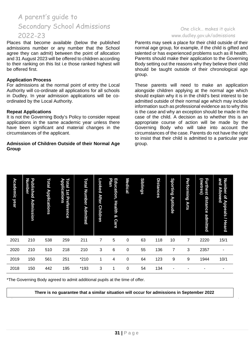Places that become available (below the published admissions number or any number that the School agree they can admit) between the point of allocation and 31 August 2023 will be offered to children according to their ranking on this list i.e those ranked highest will be offered first.

#### **Application Process**

For admissions at the normal point of entry the Local Authority will co-ordinate all applications for all schools in Dudley. In year admission applications will be coordinated by the Local Authority.

#### **Repeat Applications**

It is not the Governing Body's Policy to consider repeat applications in the same academic year unless there have been significant and material changes in the circumstances of the applicant.

#### **Admission of Children Outside of their Normal Age Group**

### One click… makes it quick [www.dudley.gov.uk/admissions](http://www.dudley.gov.uk/admissions)

Parents may seek a place for their child outside of their normal age group, for example, if the child is gifted and talented or has experienced problems such as ill health. Parents should make their application to the Governing Body setting out the reasons why they believe their child should be taught outside of their chronological age group.

These parents will need to make an application alongside children applying at the normal age which should explain why it is in the child's best interest to be admitted outside of their normal age which may include information such as professional evidence as to why this is the case and why an exception should be made in the case of the child. A decision as to whether this is an appropriate course of action will be made by the Governing Body who will take into account the circumstances of the case. Parents do not have the right to insist that their child is admitted to a particular year group.

| <b>Academic year</b> | <b>Number</b><br>Published<br>Admission                                     | Total<br><b>Applications</b> | Applications<br>Total<br>$\frac{1}{2}$<br><b>Preference</b> | <b>Total Number</b><br><b>Admitted</b> | Looked<br><b>After</b><br><b>Children</b> | Plan<br>Education, Health<br>$\infty$<br><b>Care</b> | <b>Medical</b>   | <b>Siblings</b> | <b>Distances</b> | Sporting<br>Aptitude | Performing<br><b>Arts</b> | (metres)<br><b>Furthest</b><br>distance<br>admitted | and<br><b>Number</b><br>Allowed<br>đ<br><b>Appeals / Heard</b> |
|----------------------|-----------------------------------------------------------------------------|------------------------------|-------------------------------------------------------------|----------------------------------------|-------------------------------------------|------------------------------------------------------|------------------|-----------------|------------------|----------------------|---------------------------|-----------------------------------------------------|----------------------------------------------------------------|
| 2021                 | 210                                                                         | 538                          | 259                                                         | 211                                    | 7                                         | 5                                                    | $\pmb{0}$        | 63              | 118              | 10                   | 7                         | 2220                                                | 15/1                                                           |
| 2020                 | 210                                                                         | 510                          | 218                                                         | 210                                    | 3                                         | 6                                                    | 0                | 55              | 136              | $\overline{7}$       | 3                         | 2357                                                | ۰                                                              |
| 2019                 | 150                                                                         | 561                          | 251                                                         | $*210$                                 | 1                                         | 4                                                    | 0                | 64              | 123              | 9                    | 9                         | 1944                                                | 10/1                                                           |
| 2018                 | 150                                                                         | 442                          | 195                                                         | *193                                   | 3                                         | 1                                                    | $\boldsymbol{0}$ | 54              | 134              |                      |                           |                                                     |                                                                |
|                      | *The Governing Body agreed to admit additional pupils at the time of offer. |                              |                                                             |                                        |                                           |                                                      |                  |                 |                  |                      |                           |                                                     |                                                                |

**There is no guarantee that a similar situation will occur for admissions in September 2022**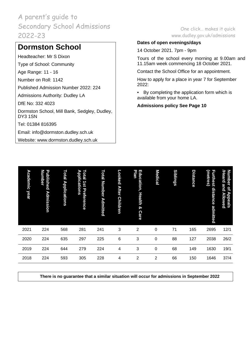# **Dormston School**

Headteacher: Mr S Dixon

Type of School: Community

Age Range: 11 - 16

Number on Roll: 1142

Published Admission Number 2022: 224

Admissions Authority: Dudley LA

DfE No: 332 4023

Dormston School, Mill Bank, Sedgley, Dudley, DY3 1SN

Tel: 01384 816395

Email: [info@dormston.dudley.sch.uk](mailto:info@dormston.dudley.sch.uk)

Website: [www.dormston.dudley.sch.uk](http://www.dormston.dudley.sch.uk/)

# One click… makes it quick [www.dudley.gov.uk/admissions](http://www.dudley.gov.uk/admissions)

# **Dates of open evenings/days**

14 October 2021. 7pm - 9pm

Tours of the school every morning at 9.00am and 11.15am week commencing 18 October 2021.

Contact the School Office for an appointment.

How to apply for a place in year 7 for September 2022:

• By completing the application form which is available from your home LA.

**Admissions policy See Page 10**

| Academic<br>year | <b>Number</b><br>Published<br><b>Admission</b> | Total<br><b>Applications</b> | Total<br>Applications<br>181<br>Preference | Total<br><b>Number Admitted</b> | Looked<br><b>After</b><br><b>Children</b> | Education,<br>Plan<br><b>Health</b><br>$\boldsymbol{\infty}$<br><b>Care</b> | <b>Medical</b> | <b>Siblings</b> | Distance | (metres)<br><b>Furthest</b><br>distance admitted | <b>/Heard</b><br><b>Number</b><br>and Allowed<br>pf<br><b>Appeals</b> |
|------------------|------------------------------------------------|------------------------------|--------------------------------------------|---------------------------------|-------------------------------------------|-----------------------------------------------------------------------------|----------------|-----------------|----------|--------------------------------------------------|-----------------------------------------------------------------------|
| 2021             | 224                                            | 568                          | 281                                        | 241                             | 3                                         | $\overline{2}$                                                              | $\mathbf 0$    | 71              | 165      | 2695                                             | 12/1                                                                  |
| 2020             | 224                                            | 635                          | 297                                        | 225                             | $6\phantom{1}6$                           | 3                                                                           | 0              | 88              | 127      | 2038                                             | 26/2                                                                  |
| 2019             | 224                                            | 644                          | 279                                        | 224                             | 4                                         | 3                                                                           | $\mathbf 0$    | 68              | 149      | 1630                                             | 19/1                                                                  |
| 2018             | 224                                            | 593                          | 305                                        | 228                             | 4                                         | 2                                                                           | 2              | 66              | 150      | 1646                                             | 37/4                                                                  |

**There is no guarantee that a similar situation will occur for admissions in September 2022**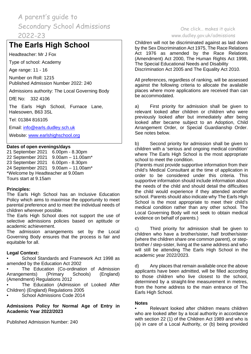# **The Earls High School**

Headteacher: Mr J Fox

Type of school: Academy

Age range: 11 - 16

Number on Roll: 1215 Published Admission Number 2022: 240

Admissions authority: The Local Governing Body

DfE No: 332 4106

The Earls High School, Furnace Lane, Halesowen, B63 3SL

Tel: 01384 816105

Email: [info@earls.dudley.sch.uk](mailto:info@earls.dudley.sch.uk)

Website: [www.earlshighschool.org](http://www.earlshighschool.org/)

#### **Dates of open evenings/days**

21 September 2021 6.00pm - 8.30pm 22 September 2021 9.00am – 11.00am\* 23 September 2021 6.00pm - 8.30pm 24 September 2021 9.00am – 11.00am\* \*Welcome by Headteacher at 9.00am Tours start at 9.15am

#### **Principles:**

The Earls High School has an Inclusive Education Policy which aims to maximise the opportunity to meet parental preference and to meet the individual needs of children wherever possible.

The Earls High School does not support the use of selective admissions policies based on aptitude or academic achievement.

The admission arrangements set by the Local Governing Body ensures that the process is fair and equitable for all.

#### **Legal Context:**

• School Standards and Framework Act 1998 as amended by the Education Act 2002

• The Education (Co-ordination of Admission Arrangements) (Primary Schools) (England) (Amendment) Regulations 2012

The Education (Admission of Looked After Children) (England) Regulations 2005

• School Admissions Code 2014

#### **Admissions Policy for Normal Age of Entry in Academic Year 2022/2023**

Published Admission Number: 240

# One click… makes it quick [www.dudley.gov.uk/admissions](http://www.dudley.gov.uk/admissions)

Children will not be discriminated against as laid down by the Sex Discrimination Act 1975, The Race Relations Act 1976 as amended by the Race Relations (Amendment) Act 2000, The Human Rights Act 1998, The Special Educational Needs and Disability Discrimination Act 2005 and The Equality Act 2010.

All preferences, regardless of ranking, will be assessed against the following criteria to allocate the available places where more applications are received than can be accommodated.

a) First priority for admission shall be given to relevant looked after children or children who were previously looked after but immediately after being looked after became subject to an Adoption, Child Arrangement Order, or Special Guardianship Order. See notes below.

b) Second priority for admission shall be given to children with a 'serious and ongoing medical condition' where The Earls High School is the most appropriate school to meet the condition.

(Parents must provide supportive information from their child's Medical Consultant at the time of application in order to be considered under this criteria. This supportive information should include information about the needs of the child and should detail the difficulties the child would experience if they attended another school. Parents should also indicate why The Earls High School is the most appropriate to meet their child's medical condition rather than any other school. The Local Governing Body will not seek to obtain medical evidence on behalf of parents.)

c) Third priority for admission shall be given to children who have a brother/sister, half brother/sister (where the children share one common parent), or stepbrother / step-sister, living at the same address and who will still be attending The Earls High School in the academic year 2022/2023.

d) Any places that remain available once the above applicants have been admitted, will be filled according to those children who live closest to the school, determined by a straight-line measurement in metres, from the home address to the main entrance of The Earls High School.

#### **Notes**

• Relevant looked after children means children who are looked after by a local authority in accordance with section 22 (1) of the Children Act 1989 and who is (a) in care of a Local Authority, or (b) being provided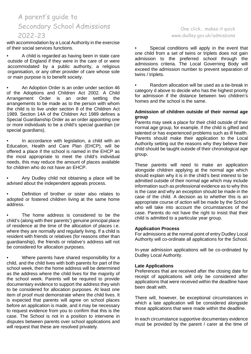with accommodation by a Local Authority in the exercise of their social services functions.

• A child is regarded as having been in state care outside of England if they were in the care of or were accommodated by a public authority, a religious organisation, or any other provider of care whose sole or main purpose is to benefit society.

• An Adoption Order is an order under section 46 of the Adoptions and Children Act 2002. A Child Arrangement Order is an order settling the arrangements to be made as to the person with whom the child is to live under section 8 of the Children Act 1989. Section 14A of the Children Act 1989 defines a Special Guardianship Order as an order appointing one or more individuals to be a child's special guardian (or special guardians).

In accordance with legislation, a child with an Education, Health and Care Plan (EHCP), will be offered a place if the school is named in the EHCP as the most appropriate to meet the child's individual needs, this may reduce the amount of places available for children who do not have an EHCP.

• Any Dudley child not obtaining a place will be advised about the independent appeals process.

• Definition of brother or sister also relates to adopted or fostered children living at the same home address.

The home address is considered to be the child's (along with their parents') genuine principal place of residence at the time of the allocation of places i.e. where they are normally and regularly living. If a child is resident with friends or relatives (for reasons other than guardianship), the friends or relative's address will not be considered for allocation purposes.

• Where parents have shared responsibility for a child, and the child lives with both parents for part of the school week, then the home address will be determined as the address where the child lives for the majority of the school week. Parents will be required to provide documentary evidence to support the address they wish to be considered for allocation purposes. At least one item of proof must demonstrate where the child lives. It is expected that parents will agree on school places before an application is made, and it may be necessary to request evidence from you to confirm that this is the case. The School is not in a position to intervene in disputes between parents over school applications and will request that these are resolved privately.

### One click… makes it quick [www.dudley.gov.uk/admissions](http://www.dudley.gov.uk/admissions)

Special conditions will apply in the event that one child from a set of twins or triplets does not gain admission to the preferred school through the admissions criteria. The Local Governing Body will exceed the admission number to prevent separation of twins / triplets.

• Random allocation will be used as a tie-break in category d above to decide who has the highest priority for admission if the distance between two children's homes and the school is the same.

#### **Admission of children outside of their normal age group**

Parents may seek a place for their child outside of their normal age group, for example, if the child is gifted and talented or has experienced problems such as ill health. Parents should make their application to the Local Authority setting out the reasons why they believe their child should be taught outside of their chronological age group.

These parents will need to make an application alongside children applying at the normal age which should explain why it is in the child's best interest to be admitted outside of their normal age which may include information such as professional evidence as to why this is the case and why an exception should be made in the case of the child. A decision as to whether this is an appropriate course of action will be made by the School who will take into account the circumstances of the case. Parents do not have the right to insist that their child is admitted to a particular year group.

#### **Application Process**

For admissions at the normal point of entry Dudley Local Authority will co-ordinate all applications for the School.

In-year admission applications will be co-ordinated by Dudley Local Authority.

#### **Late Applications**

Preferences that are received after the closing date for receipt of applications will only be considered after applications that were received within the deadline have been dealt with.

There will, however, be exceptional circumstances in which a late application will be considered alongside those applications that were made within the deadline.

In each circumstance supportive documentary evidence must be provided by the parent / carer at the time of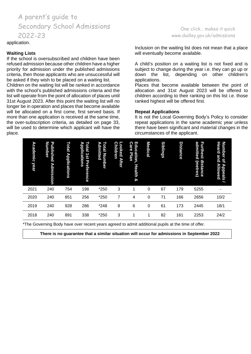application.

#### **Waiting Lists**

If the school is oversubscribed and children have been refused admission because other children have a higher priority for admission under the published admissions criteria, then those applicants who are unsuccessful will be asked if they wish to be placed on a waiting list.

Children on the waiting list will be ranked in accordance with the school's published admissions criteria and the list will operate from the point of allocation of places until 31st August 2023. After this point the waiting list will no longer be in operation and places that become available will be allocated on a first come, first served basis. If more than one application is received at the same time, the over-subscription criteria, as detailed on page 33, will be used to determine which applicant will have the place.

#### One click… makes it quick [www.dudley.gov.uk/admissions](http://www.dudley.gov.uk/admissions)

Inclusion on the waiting list does not mean that a place will eventually become available.

A child's position on a waiting list is not fixed and is subject to change during the year i.e. they can go up or down the list, depending on other children's applications.

Places that become available between the point of allocation and 31st August 2023 will be offered to children according to their ranking on this list i.e. those ranked highest will be offered first.

#### **Repeat Applications**

It is not the Local Governing Body's Policy to consider repeat applications in the same academic year unless there have been significant and material changes in the circumstances of the applicant.

| Academic<br>year | Published<br><b>Number</b><br><b>Admission</b> | Total<br><b>Applications</b> | Applications<br>Total<br>1st<br>Preference | Admitted<br>Total<br><b>Number</b> | <b>Children</b><br>Looked<br><b>After</b> | Education,<br><b>Care</b><br>Plan<br><b>Health</b><br>ଚ | <b>Medical</b> | <b>Siblings</b> | <b>Distance</b> | admitted<br><b>Furthest</b><br>distance<br>(metres) | Number<br><b>Heard</b><br>and<br>$\overline{a}$<br><b>Allowed</b><br><b>Appeals</b> |
|------------------|------------------------------------------------|------------------------------|--------------------------------------------|------------------------------------|-------------------------------------------|---------------------------------------------------------|----------------|-----------------|-----------------|-----------------------------------------------------|-------------------------------------------------------------------------------------|
| 2021             | 240                                            | 754                          | 198                                        | *250                               | 3                                         | 1                                                       | 0              | 67              | 179             | 5255                                                |                                                                                     |
| 2020             | 240                                            | 851                          | 256                                        | *250                               | 7                                         | 4                                                       | 0              | 71              | 166             | 2656                                                | 10/2                                                                                |
| 2019             | 240                                            | 928                          | 286                                        | *248                               | 8                                         | 6                                                       | 0              | 61              | 173             | 2445                                                | 18/1                                                                                |
| 2018             | 240                                            | 891                          | 338                                        | *250                               | 3                                         | 1                                                       |                | 82              | 161             | 2253                                                | 24/2                                                                                |

\*The Governing Body have over recent years agreed to admit additional pupils at the time of offer.

**There is no guarantee that a similar situation will occur for admissions in September 2022**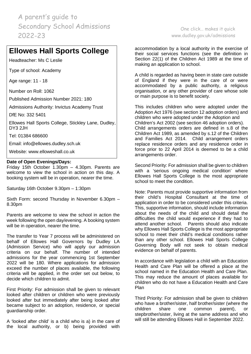# **Ellowes Hall Sports College**

Headteacher: Ms C Leslie

Type of school: Academy

Age range: 11 - 18

Number on Roll: 1062

Published Admission Number 2021: 180

Admissions Authority: Invictus Academy Trust

DfE No: 332 5401

Ellowes Hall Sports College, Stickley Lane, Dudley, DY3 2JH

Tel: 01384 686600

Email: [info@ellowes.dudley.sch.uk](mailto:info@ellowes.dudley.sch.uk)

Website: [www.elloweshall.co.uk](http://www.elloweshall.co.uk/)

#### **Date of Open Evenings/Days:**

Friday 15th October 1.30pm – 4.30pm. Parents are welcome to view the school in action on this day. A booking system will be in operation, nearer the time.

Saturday 16th October 9.30pm – 1:30pm

Sixth Form: second Thursday in November 6.30pm – 8.30pm

Parents are welcome to view the school in action the week following the open day/evening. A booking system will be in operation, nearer the time.

The transfer to Year 7 process will be administered on behalf of Ellowes Hall Governors by Dudley LA (Admission Service) who will apply our admission criteria on our behalf. The number of intended admissions for the year commencing 1st September 2022 will be 180. Where applications for admission exceed the number of places available, the following criteria will be applied, in the order set out below, to decide which children to admit.

First Priority: For admission shall be given to relevant looked after children or children who were previously looked after but immediately after being looked after became subject to an adoption, residence, or special guardianship order.

A 'looked after child' is a child who is a) in the care of the local authority, or b) being provided with

One click… makes it quick [www.dudley.gov.uk/admissions](http://www.dudley.gov.uk/admissions)

accommodation by a local authority in the exercise of their social services functions (see the definition in Section 22(1) of the Children Act 1989 at the time of making an application to school.

A child is regarded as having been in state care outside of England if they were in the care of or were accommodated by a public authority, a religious organisation, or any other provider of care whose sole or main purpose is to benefit society.

This includes children who were adopted under the Adoption Act 1976 (see section 12 adoption orders) and children who were adopted under the Adoption and Children's Act 2002 (see section 46 adoption orders). Child arrangements orders are defined in s.8 of the Children Act 1989, as amended by s.12 of the Children and Families Act 2014. Child arrangement orders replace residence orders and any residence order in force prior to 22 April 2014 is deemed to be a child arrangements order.

Second Priority: For admission shall be given to children with a 'serious ongoing medical condition' where Ellowes Hall Sports College is the most appropriate school to meet the condition.

Note: Parents must provide supportive information from their child's Hospital Consultant at the time of application in order to be considered under this criteria. This, supportive information, should include information about the needs of the child and should detail the difficulties the child would experience if they had to attend another school. Parents should also indicate why Ellowes Hall Sports College is the most appropriate school to meet their child's medical conditions rather than any other school. Ellowes Hall Sports College Governing Body will not seek to obtain medical evidence on behalf of parents.

In accordance with legislation a child with an Education Health and Care Plan will be offered a place at the school named in the Education Health and Care Plan. This may reduce the amount of places available for children who do not have a Education Health and Care Plan

Third Priority: For admission shall be given to children who have a brother/sister, half brother/sister (where the children share one common parent), stepbrother/sister, living at the same address and who will still be attending Ellowes Hall in September 2022.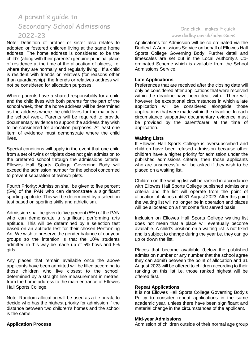Note: Definition of brother or sister also relates to adopted or fostered children living at the same home address. The home address is considered to be the child's (along with their parents') genuine principal place of residence at the time of the allocation of places, i.e. where they are normally and regularly living. If a child is resident with friends or relatives (for reasons other than guardianship), the friends or relatives address will not be considered for allocation purposes.

Where parents have a shared responsibility for a child and the child lives with both parents for the part of the school week, then the home address will be determined as the address where the child lives for the majority of the school week. Parents will be required to provide documentary evidence to support the address they wish to be considered for allocation purposes. At least one item of evidence must demonstrate where the child lives.

Special conditions will apply in the event that one child from a set of twins or triplets does not gain admission to the preferred school through the admissions criteria. Ellowes Hall Sports College Governing Body will exceed the admission number for the school concerned to prevent separation of twins/triplets.

Fourth Priority: Admission shall be given to five percent (5%) of the PAN who can demonstrate a significant sporting aptitude. This will be determined by a selection test based on sporting skills and athleticism.

Admission shall be given to five percent (5%) of the PAN who can demonstrate a significant performing arts aptitude. This will be determined by a selection test based on an aptitude test for their chosen Performing Art. We wish to preserve the gender balance of our year groups so the intention is that the 10% students admitted in this way be made up of 5% boys and 5% girls.

Any places that remain available once the above applicants have been admitted will be filled according to those children who live closest to the school, determined by a straight line measurement in metres, from the home address to the main entrance of Ellowes Hall Sports College.

Note: Random allocation will be used as a tie break, to decide who has the highest priority for admission if the distance between two children's homes and the school is the same.

# **Application Process**

# One click… makes it quick [www.dudley.gov.uk/admissions](http://www.dudley.gov.uk/admissions)

Applications for Admission will be co-ordinated via the Dudley LA Admissions Service on behalf of Ellowes Hall Sports College Governing Body. Further detail and timescales are set out in the Local Authority's Coordinated Scheme which is available from the School Admissions Service.

### **Late Applications**

Preferences that are received after the closing date will only be considered after applications that were received within the deadline have been dealt with. There will, however, be exceptional circumstances in which a late application will be considered alongside those applications that were made within the deadline. In each circumstance supportive documentary evidence must be provided by the parent/carer at the time of application.

#### **Waiting Lists**

If Ellowes Hall Sports College is oversubscribed and children have been refused admission because other children have a higher priority for admission under the published admissions criteria, then those applicants who are unsuccessful will be asked if they wish to be placed on a waiting list.

Children on the waiting list will be ranked in accordance with Ellowes Hall Sports College published admissions criteria and the list will operate from the point of allocation of places until 31 August 2023. After this point the waiting list will no longer be in operation and places will be allocated on a first come first served basis.

Inclusion on Ellowes Hall Sports College waiting list does not mean that a place will eventually become available. A child's position on a waiting list is not fixed and is subject to change during the year i.e. they can go up or down the list.

Places that become available (below the published admission number or any number that the school agree they can admit) between the point of allocation and 31 August 2023 will be offered to children according to their ranking on this list i.e. those ranked highest will be offered first.

## **Repeat Applications**

It is not Ellowes Hall Sports College Governing Body's Policy to consider repeat applications in the same academic year, unless there have been significant and material change in the circumstances of the applicant.

### **Mid-year Admissions**

Admission of children outside of their normal age group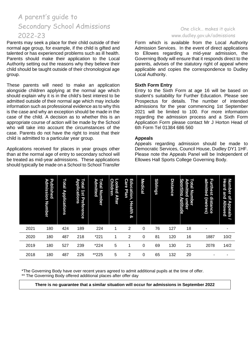Parents may seek a place for their child outside of their normal age group, for example, if the child is gifted and talented or has experienced problems such as ill health. Parents should make their application to the Local Authority setting out the reasons why they believe their child should be taught outside of their chronological age group.

These parents will need to make an application alongside children applying at the normal age which should explain why it is in the child's best interest to be admitted outside of their normal age which may include information such as professional evidence as to why this is the case and why an exception should be made in the case of the child. A decision as to whether this is an appropriate course of action will be made by the School who will take into account the circumstances of the case. Parents do not have the right to insist that their child is admitted to a particular year group.

Applications received for places in year groups other than at the normal age of entry to secondary school will be treated as mid-year admissions. These applications should typically be made on a School to School Transfer

# One click… makes it quick [www.dudley.gov.uk/admissions](http://www.dudley.gov.uk/admissions)

Form which is available from the Local Authority Admission Services. In the event of direct applications to Ellowes regarding a mid-year admission, the Governing Body will ensure that it responds direct to the parents, advises of the statutory right of appeal where applicable and copies the correspondence to Dudley Local Authority.

#### **Sixth Form Entry**

Entry to the Sixth Form at age 16 will be based on student's suitability for Further Education. Please see Prospectus for details. The number of intended admissions for the year commencing 1st September 2021 will be limited to 100. For more information regarding the admission process and a Sixth Form Application Form please contact Mr J Horton Head of 6th Form Tel 01384 686 560

#### **Appeals**

Appeals regarding admission should be made to Democratic Services, Council House, Dudley DY1 1HF. Please note the Appeals Panel will be Independent of Ellowes Hall Sports College Governing Body.

|      | Published<br>Admission<br>Number                                                                                                                                      | Total<br><b>Applications</b> | ъ<br>Total<br>pplications<br>1st<br><b>Preference</b> | Admitted<br>Total Number | o<br>o<br>O<br>ldren<br><b>Ked</b><br><b>After</b> | E<br>ຕ<br>ducation,<br>äre<br><b>Plan</b><br>Health<br>ଦୁ | <b>Medical</b> | <b>Siblings</b> | <b>Distance</b> | <b>Sporting</b><br>O<br>dmitted<br>圙<br>ÃΝ<br>Aptitude<br>nber<br>under | ω<br>π<br>dmitted<br>urthest<br>distance<br>(metres) | Number<br>Heard<br>and<br>$\overline{\mathbf{c}}$<br>Allowed<br>Appeals |
|------|-----------------------------------------------------------------------------------------------------------------------------------------------------------------------|------------------------------|-------------------------------------------------------|--------------------------|----------------------------------------------------|-----------------------------------------------------------|----------------|-----------------|-----------------|-------------------------------------------------------------------------|------------------------------------------------------|-------------------------------------------------------------------------|
| 2021 | 180                                                                                                                                                                   | 424                          | 189                                                   | 224                      |                                                    | $\overline{2}$                                            | 0              | 76              | 127             | 18                                                                      |                                                      |                                                                         |
| 2020 | 180                                                                                                                                                                   | 487                          | 218                                                   | *221                     |                                                    | 2                                                         | 0              | 81              | 120             | 16                                                                      | 1887                                                 | 10/2                                                                    |
| 2019 | 180                                                                                                                                                                   | 527                          | 239                                                   | $*224$                   | 5                                                  | 1                                                         | 0              | 69              | 130             | 21                                                                      | 2078                                                 | 14/2                                                                    |
| 2018 | 180                                                                                                                                                                   | 487                          | 226                                                   | **225                    | 5                                                  | 2                                                         | 0              | 65              | 132             | 20                                                                      |                                                      |                                                                         |
|      | *The Governing Body have over recent years agreed to admit additional pupils at the time of offer.<br>** The Governing Body offered additional places after offer day |                              |                                                       |                          |                                                    |                                                           |                |                 |                 |                                                                         |                                                      |                                                                         |

**There is no guarantee that a similar situation will occur for admissions in September 2022**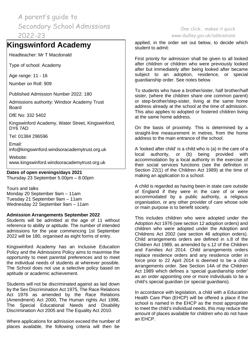# **Kingswinford Academy**

Headteacher: Mr T Macdonald

Type of school: Academy

Age range: 11 - 16

Number on Roll: 909

Published Admission Number 2022: 180

Admissions authority: Windsor Academy Trust Board

DfE No: 332 5402

Kingswinford Academy, Water Street, Kingswinford, DY6 7AD

Tel: 01384 296596

Email:

info@kingswinford.windsoracademytrust.org.uk

Website: www.kingswinford.windsoracademytrust.org.uk

## **Dates of open evenings/days 2021**

Thursday 23 September 5.00pm – 8.00pm

Tours and talks Monday 20 September 9am – 11am Tuesday 21 September 9am – 11am Wednesday 22 September 9am – 11am

## **Admission Arrangements September 2022**

Students will be admitted at the age of 11 without reference to ability or aptitude. The number of intended admissions for the year commencing 1st September 2022 will be 180, organised as eight forms of entry.

Kingswinford Academy has an Inclusive Education Policy and the Admissions Policy aims to maximise the opportunity to meet parental preferences and to meet the individual needs of students at wherever possible. The School does not use a selective policy based on aptitude or academic achievement.

Students will not be discriminated against as laid down by the Sex Discrimination Act 1975, The Race Relations Act 1976 as amended by the Race Relations (Amendment) Act 2000, The Human rights Act 1998, The Special Educational Needs and Disability Discrimination Act 2005 and The Equality Act 2010.

Where applications for admission exceed the number of places available, the following criteria will then be

One click… makes it quick [www.dudley.gov.uk/admissions](http://www.dudley.gov.uk/admissions)

applied, in the order set out below, to decide which student to admit:

First priority for admission shall be given to all looked after children or children who were previously looked after but immediately after being looked after became subject to an adoption, residence, or special guardianship order. See notes below.

To students who have a brother/sister, half brother/half sister, (where the children share one common parent) or step-brother/step-sister, living at the same home address already at the school at the time of admission. This also applies to adopted or fostered children living at the same home address.

On the basis of proximity. This is determined by a straight-line measurement in metres, from the home address to the main entrance of the school.

A 'looked after child' is a child who is (a) in the care of a local authority, or (b) being provided with accommodation by a local authority in the exercise of their social services functions (see the definition in Section 22(1) of the Children Act 1989) at the time of making an application to a school.

A child is regarded as having been in state care outside of England if they were in the care of or were accommodated by a public authority, a religious organisation, or any other provider of care whose sole or main purpose is to benefit society.

This includes children who were adopted under the Adoption Act 1976 (see section 12 adoption orders) and children who were adopted under the Adoption and Childrens Act 2002 (see section 46 adoption orders). Child arrangements orders are defined in s.8 of the Children Act 1989, as amended by s.12 of the Children and Families Act 2014. Child arrangements orders replace residence orders and any residence order in force prior to 22 April 2014 is deemed to be a child arrangements order. See Section 14A of the Children Act 1989 which defines a 'special guardianship order' as an order appointing one or more individuals to be a child's special guardian (or special guardians).

In accordance with legislation, a child with a Education Health Care Plan (EHCP) will be offered a place if the school is named in the EHCP as the most appropriate to meet the child's individual needs, this may reduce the amount of places available for children who do not have an EHCP.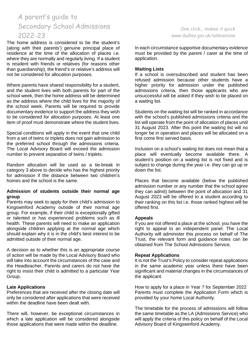The home address is considered to be the student's (along with their parents') genuine principal place of residence at the time of the allocation of places i.e. where they are normally and regularly living. If a student is resident with friends or relatives (for reasons other than guardianship), the friend's or relative's address will not be considered for allocation purposes.

Where parents have shared responsibility for a student, and the student lives with both parents for part of the school week, then the home address will be determined as the address where the child lives for the majority of the school week. Parents will be required to provide documentary evidence to support the address they wish to be considered for allocation purposes. At least one item of proof must demonstrate where the student lives.

Special conditions will apply in the event that one child from a set of twins or triplets does not gain admission to the preferred school through the admissions criteria. The Local Advisory Board will exceed the admission number to prevent separation of twins / triplets.

Random allocation will be used as a tie-break in category 3 above to decide who has the highest priority for admission if the distance between two children's homes and the school is the same.

#### **Admission of students outside their normal age group**

Parents may seek to apply for their child's admission to Kingswinford Academy outside of their normal age group. For example, if their child is exceptionally gifted or talented or has experienced problems such as ill health. These parents will need to make an application alongside children applying at the normal age which should explain why it is in the child's best interest to be admitted outside of their normal age.

A decision as to whether this is an appropriate course of action will be made by the Local Advisory Board who will take into account the circumstances of the case and the Headteacher. Parents and carers do not have the right to insist their child is admitted to a particular Year Group.

## **Late Applications**

Preferences that are received after the closing date will only be considered after applications that were received within the deadline have been dealt with.

There will, however, be exceptional circumstances in which a late application will be considered alongside those applications that were made within the deadline.

# One click… makes it quick [www.dudley.gov.uk/admissions](http://www.dudley.gov.uk/admissions)

In each circumstance supportive documentary evidence must be provided by the parent / carer at the time of application.

## **Waiting Lists**

If a school is oversubscribed and student has been refused admission because other students have a higher priority for admission under the published admissions criteria, then those applicants who are unsuccessful will be asked if they wish to be placed on a waiting list.

Students on the waiting list will be ranked in accordance with the school's published admissions criteria and the list will operate from the point of allocation of places until 31 August 2023. After this point the waiting list will no longer be in operation and places will be allocated on a first come first served basis.

Inclusion on a school's waiting list does not mean that a place will eventually become available there. A student's position on a waiting list is not fixed and is subject to change during the year i.e. they can go up or down the list.

Places that become available (below the published admission number or any number that the school agree they can admit) between the point of allocation and 31 August 2023 will be offered to a student according to their ranking on this list i.e. those ranked highest will be offered first.

## **Appeals**

If you are not offered a place at the school, you have the right to appeal to an independent panel. The Local Authority will administer this process on behalf of The Trust, the relevant form and guidance notes can be obtained from The School Admissions Service.

#### **Repeat Applications**

It is not the Trust's Policy to consider repeat applications in the same academic year unless there have been significant and material changes in the circumstances of the applicant.

How to apply for a place in Year 7 for September 2022 Parents must complete the Application Form which is provided by your home Local Authority.

The timetable for the process of admissions will follow the same timetable as the LA (Admissions Service) who will apply the criteria of this policy on behalf of the Local Advisory Board of Kingswinford Academy.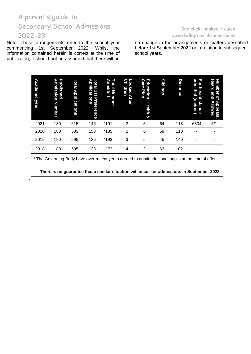Note: These arrangements refer to the school year commencing 1st September 2022. Whilst the 1st September 2022. Whilst the information contained herein is correct at the time of publication, it should not be assumed that there will be

# One click… makes it quick [www.dudley.gov.uk/admissions](http://www.dudley.gov.uk/admissions)

no change in the arrangements or matters described before 1st September 2022 or in relation to subsequent school years.

| <b>Academic</b><br>year | п.<br>r<br>dmission<br>blished<br>Number                                                            | Total<br><b>Applications</b> | $\bullet$<br>pplications<br>國<br>L<br>ăť<br>Preference | O<br>dmitted<br>ā<br>Number | <b>Children</b><br>ooked<br><b>After</b> | Education,<br><b>Care</b><br>Plan<br>Health<br>ହ | <b>Siblings</b> | <b>Distance</b> | admitted<br>F<br>(metres)<br>்<br>tance | leard<br>umber<br>and<br>ă<br>ъ<br>llowed<br>ppeals |  |
|-------------------------|-----------------------------------------------------------------------------------------------------|------------------------------|--------------------------------------------------------|-----------------------------|------------------------------------------|--------------------------------------------------|-----------------|-----------------|-----------------------------------------|-----------------------------------------------------|--|
| 2021                    | 180                                                                                                 | 615                          | 146                                                    | *191                        | 3                                        | 5                                                | 64              | 118             | 6804                                    | 5/1                                                 |  |
| 2020                    | 180                                                                                                 | 583                          | 153                                                    | *185                        | $\overline{2}$                           | 6                                                | 59              | 118             |                                         |                                                     |  |
| 2019                    | 180                                                                                                 | 595                          | 126                                                    | *193                        | 3                                        | 5                                                | 45              | 140             |                                         |                                                     |  |
| 2018                    | 180                                                                                                 | 595                          | 133                                                    | 172                         | 4                                        | 3                                                | 63              | 102             |                                         |                                                     |  |
|                         | * The Governing Body have over recent years agreed to admit additional pupils at the time of offer. |                              |                                                        |                             |                                          |                                                  |                 |                 |                                         |                                                     |  |

**There is no guarantee that a similar situation will occur for admissions in September 2022**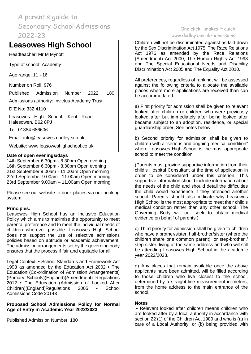# **Leasowes High School**

Headteacher: Mr M Mynott

Type of school: Academy

Age range: 11 - 16

Number on Roll: 976

Published Admission Number 2022: 180

Admissions authority: Invictus Academy Trust

DfE No: 332 4110

Leasowes High School, Kent Road, Halesowen, B62 8PJ

Tel: 01384 686606

Email: [info@leasowes.dudley.sch.uk](mailto:info@leasowes.dudley.sch.uk)

Website: [www.leasoweshighschool.co.uk](http://www.leasoweshighschool.co.uk/)

#### **Date of open evenings/days**

14th September 6.30pm - 8.30pm Open evening 16th September 6.30pm - 8.30pm Open evening 21st September 9.00am - 11.00am Open morning 22nd September 9.00am - 11.00am Open morning 23rd September 9.00am – 11.00am Open morning

Please see our website to book places via our booking system

## **Principles:**

Leasowes High School has an Inclusive Education Policy which aims to maximise the opportunity to meet parental preference and to meet the individual needs of children wherever possible. Leasowes High School does not support the use of selective admissions policies based on aptitude or academic achievement. The admission arrangements set by the governing body ensures that the process if fair and equitable for all.

Legal Context: • School Standards and Framework Act 1998 as amended by the Education Act 2002 • The Education (Co-ordination of Admission Arrangements) (Primary Schools)(England)(Amendment) Regulations 2012 • The Education (Admission of Looked After Children)(England)Regulations 2005 • Admissions Code 20143

## **Proposed School Admissions Policy for Normal Age of Entry in Academic Year 2022/2023**

Published Admission Number: 180

# One click… makes it quick [www.dudley.gov.uk/admissions](http://www.dudley.gov.uk/admissions)

Children will not be discriminated against as laid down by the Sex Discrimination Act 1975, The Race Relations Act 1976 as amended by the Race Relations (Amendment) Act 2000, The Human Rights Act 1998 and The Special Educational Needs and Disability Discrimination Act 2005 and The Equality Act 2010.

All preferences, regardless of ranking, will be assessed against the following criteria to allocate the available places where more applications are received than can be accommodated.

a) First priority for admission shall be given to relevant looked after children or children who were previously looked after but immediately after being looked after became subject to an adoption, residence, or special guardianship order. See notes below.

b) Second priority for admission shall be given to children with a "serious and ongoing medical condition" where Leasowes High School is the most appropriate school to meet the condition.

(Parents must provide supportive information from their child's Hospital Consultant at the time of application in order to be considered under this criterion. This supportive information should include information about the needs of the child and should detail the difficulties the child would experience if they attended another school. Parents should also indicate why Leasowes High School is the most appropriate to meet their child's medical condition rather than any other school. The Governing Body will not seek to obtain medical evidence on behalf of parents.)

c) Third priority for admission shall be given to children who have a brother/sister, half-brother/sister (where the children share one common parent), or step-brother / step-sister, living at the same address and who will still be attending Leasowes High School in the academic year 2022/2023.

d) Any places that remain available once the above applicants have been admitted, will be filled according to those children who live closest to the school, determined by a straight-line measurement in metres, from the home address to the main entrance of the school.

#### **Notes**

• Relevant looked after children means children who are looked after by a local authority in accordance with section 22 (1) of the Children Act 1989 and who is (a) in care of a Local Authority, or (b) being provided with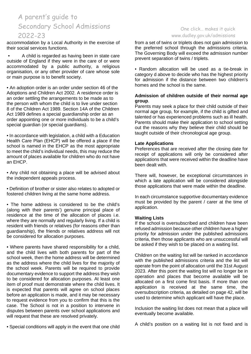accommodation by a Local Authority in the exercise of their social services functions.

• A child is regarded as having been in state care outside of England if they were in the care of or were accommodated by a public authority, a religious organisation, or any other provider of care whose sole or main purpose is to benefit society.

• An adoption order is an order under section 46 of the Adoptions and Children Act 2002. A residence order is an order settling the arrangements to be made as to the person with whom the child is to live under section 8 of the Children Act 1989. Section 14A of the Children Act 1989 defines a special guardianship order as an order appointing one or more individuals to be a child's special guardian (or special guardians).

• In accordance with legislation, a child with a Education Health Care Plan (EHCP) will be offered a place if the school is named in the EHCP as the most appropriate to meet the child's individual needs, this may reduce the amount of places available for children who do not have an EHCP.

• Any child not obtaining a place will be advised about the independent appeals process.

• Definition of brother or sister also relates to adopted or fostered children living at the same home address.

• The home address is considered to be the child's (along with their parents') genuine principal place of residence at the time of the allocation of places i.e. where they are normally and regularly living. If a child is resident with friends or relatives (for reasons other than guardianship), the friends or relatives address will not be considered for allocation purposes.

• Where parents have shared responsibility for a child, and the child lives with both parents for part of the school week, then the home address will be determined as the address where the child lives for the majority of the school week. Parents will be required to provide documentary evidence to support the address they wish to be considered for allocation purposes. At least one item of proof must demonstrate where the child lives. It is expected that parents will agree on school places before an application is made, and it may be necessary to request evidence from you to confirm that this is the case. The School is not in a position to intervene in disputes between parents over school applications and will request that these are resolved privately.

• Special conditions will apply in the event that one child

# One click… makes it quick [www.dudley.gov.uk/admissions](http://www.dudley.gov.uk/admissions)

from a set of twins or triplets does not gain admission to the preferred school through the admissions criteria. The Governing Body will exceed the admission number prevent separation of twins / triplets.

• Random allocation will be used as a tie-break in category d above to decide who has the highest priority for admission if the distance between two children's homes and the school is the same.

### **Admission of children outside of their normal age group**.

Parents may seek a place for their child outside of their normal age group, for example, if the child is gifted and talented or has experienced problems such as ill health. Parents should make their application to school setting out the reasons why they believe their child should be taught outside of their chronological age group.

## **Late Applications**

Preferences that are received after the closing date for receipt of applications will only be considered after applications that were received within the deadline have been dealt with.

There will, however, be exceptional circumstances in which a late application will be considered alongside those applications that were made within the deadline.

In each circumstance supportive documentary evidence must be provided by the parent / carer at the time of application.

## **Waiting Lists**

If the school is oversubscribed and children have been refused admission because other children have a higher priority for admission under the published admissions criteria, then those applicants who are unsuccessful will be asked if they wish to be placed on a waiting list.

Children on the waiting list will be ranked in accordance with the published admissions criteria and the list will operate from the point of allocation until the 31st August 2023. After this point the waiting list will no longer be in operation and places that become available will be allocated on a first come first basis. If more than one application is received at the same time, the oversubscription criteria, as detailed on page 42, will be used to determine which applicant will have the place.

Inclusion the waiting list does not mean that a place will eventually become available.

A child's position on a waiting list is not fixed and is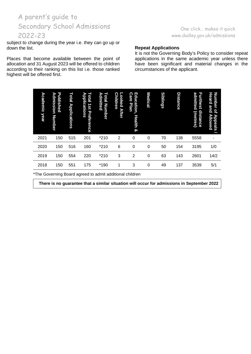subject to change during the year i.e. they can go up or down the list.

Places that become available between the point of allocation and 31 August 2023 will be offered to children according to their ranking on this list i.e. those ranked highest will be offered first.

# One click… makes it quick [www.dudley.gov.uk/admissions](http://www.dudley.gov.uk/admissions)

#### **Repeat Applications**

It is not the Governing Body's Policy to consider repeat applications in the same academic year unless there have been significant and material changes in the circumstances of the applicant.

| Academic year | Published<br>Admission<br><b>Number</b> | Total<br><b>Applications</b> | $\overline{\phantom{0}}$<br>Applications<br>leto <sup>1</sup><br>181<br>Preference | c.<br>Admitted<br>otal Number | ດ<br>ooked After<br>hildren | Education,<br>Care<br>Plan<br>Health<br>ହ | Medical     | <b>Siblings</b> | <b>Distance</b> | admitted<br>Furthest<br>distance<br>(metres) | <b>Number</b><br>Heard<br>and<br>q<br>Allowed<br>Appeals |
|---------------|-----------------------------------------|------------------------------|------------------------------------------------------------------------------------|-------------------------------|-----------------------------|-------------------------------------------|-------------|-----------------|-----------------|----------------------------------------------|----------------------------------------------------------|
| 2021          | 150                                     | 515                          | 201                                                                                | $*210$                        | 2                           | 0                                         | 0           | 70              | 138             | 5558                                         | ۰                                                        |
| 2020          | 150                                     | 516                          | 160                                                                                | $*210$                        | 6                           | $\mathbf 0$                               | $\mathbf 0$ | 50              | 154             | 3195                                         | 1/0                                                      |
| 2019          | 150                                     | 554                          | 220                                                                                | $*210$                        | 3                           | 2                                         | 0           | 63              | 143             | 2601                                         | 14/2                                                     |
| 2018          | 150                                     | 551                          | 175                                                                                | *190                          | 1                           | 3                                         | 0           | 49              | 137             | 3539                                         | 5/1                                                      |

\*The Governing Board agreed to admit additional children

**There is no guarantee that a similar situation will occur for admissions in September 2022**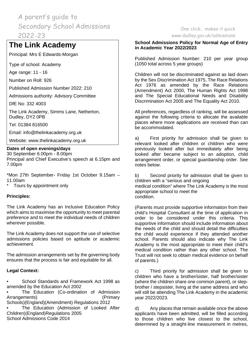# **The Link Academy**

Principal: Mrs E Edwards-Morgan

Type of school: Academy

Age range: 11 - 16

Number on Roll: 926

Published Admission Number 2022: 210

Admissions authority: Advisory Committee

DfE No: 332 4003

The Link Academy, Simms Lane, Netherton, Dudley, DY2 0PB

Tel: 01384 816500

Email: [info@thelinkacademy.org.uk](mailto:info@thelinkacademy.org.uk)

Website: [www.thelinkacademy.org.uk](http://www.thelinkacademy.org.uk/)

## **Dates of open evenings/days**

30 September 6.00pm - 8.00pm Principal and Chief Executive's speech at 6.15pm and 7.00pm

\*Mon 27th September- Friday 1st October 9.15am – 11.00am

\* Tours by appointment only

# **Principles:**

The Link Academy has an Inclusive Education Policy which aims to maximise the opportunity to meet parental preference and to meet the individual needs of children wherever possible.

The Link Academy does not support the use of selective admissions policies based on aptitude or academic achievement.

The admission arrangements set by the governing body ensures that the process is fair and equitable for all.

# **Legal Context:**

• School Standards and Framework Act 1998 as amended by the Education Act 2002

The Education (Co-ordination of Admission Arrangements) (Primary Schools)(England)(Amendment) Regulations 2012

The Education (Admission of Looked After Children)(England)Regulations 2005 School Admissions Code 2014

# One click… makes it quick [www.dudley.gov.uk/admissions](http://www.dudley.gov.uk/admissions)

## **School Admissions Policy for Normal Age of Entry in Academic Year 2022/2023**

Published Admission Number: 210 per year group (1050 total across 5 year groups)

Children will not be discriminated against as laid down by the Sex Discrimination Act 1975, The Race Relations Act 1976 as amended by the Race Relations (Amendment) Act 2000, The Human Rights Act 1998 and The Special Educational Needs and Disability Discrimination Act 2005 and The Equality Act 2010.

All preferences, regardless of ranking, will be assessed against the following criteria to allocate the available places where more applications are received than can be accommodated.

a) First priority for admission shall be given to relevant looked after children or children who were previously looked after but immediately after being looked after became subject to an adoption, child arrangement order, or special guardianship order. See notes below.

b) Second priority for admission shall be given to children with a "serious and ongoing medical condition" where The Link Academy is the most appropriate school to meet the condition.

(Parents must provide supportive information from their child's Hospital Consultant at the time of application in order to be considered under this criteria. This supportive information should include information about the needs of the child and should detail the difficulties the child would experience if they attended another school. Parents should also indicate why The Link Academy is the most appropriate to meet their child's medical condition rather than any other school. The Trust will not seek to obtain medical evidence on behalf of parents.)

c) Third priority for admission shall be given to children who have a brother/sister, half brother/sister (where the children share one common parent), or stepbrother / stepsister, living at the same address and who will still be attending The Link Academy in the academic year 2022/2023.

d) Any places that remain available once the above applicants have been admitted, will be filled according to those children who live closest to the school, determined by a straight-line measurement in metres,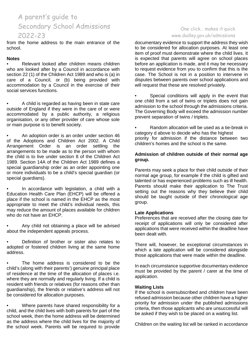from the home address to the main entrance of the school.

### **Notes**

• Relevant looked after children means children who are looked after by a Council in accordance with section 22 (1) of the Children Act 1989 and who is (a) in care of a Council, or (b) being provided with accommodation by a Council in the exercise of their social services functions.

• A child is regarded as having been in state care outside of England if they were in the care of or were accommodated by a public authority, a religious organisation, or any other provider of care whose sole or main purpose is to benefit society.

• An adoption order is an order under section 46 of the Adoptions and Children Act 2002. A Child Arrangement Order is an order settling the arrangements to be made as to the person with whom the child is to live under section 8 of the Children Act 1989. Section 14A of the Children Act 1989 defines a special guardianship order as an order appointing one or more individuals to be a child's special guardian (or special guardians).

• In accordance with legislation, a child with a Education Health Care Plan (EHCP) will be offered a place if the school is named in the EHCP as the most appropriate to meet the child's individual needs, this may reduce the amount of places available for children who do not have an EHCP.

• Any child not obtaining a place will be advised about the independent appeals process.

• Definition of brother or sister also relates to adopted or fostered children living at the same home address.

The home address is considered to be the child's (along with their parents') genuine principal place of residence at the time of the allocation of places i.e. where they are normally and regularly living. If a child is resident with friends or relatives (for reasons other than guardianship), the friends or relative's address will not be considered for allocation purposes.

• Where parents have shared responsibility for a child, and the child lives with both parents for part of the school week, then the home address will be determined as the address where the child lives for the majority of the school week. Parents will be required to provide

# One click… makes it quick [www.dudley.gov.uk/admissions](http://www.dudley.gov.uk/admissions)

documentary evidence to support the address they wish to be considered for allocation purposes. At least one item of proof must demonstrate where the child lives. It is expected that parents will agree on school places before an application is made, and it may be necessary to request evidence from you to confirm that this is the case. The School is not in a position to intervene in disputes between parents over school applications and will request that these are resolved privately.

Special conditions will apply in the event that one child from a set of twins or triplets does not gain admission to the school through the admissions criteria. The Governing Body will exceed the admission number prevent separation of twins / triplets.

• Random allocation will be used as a tie-break in category d above to decide who has the highest priority for admission if the distance between two children's homes and the school is the same.

# **Admission of children outside of their normal age group.**

Parents may seek a place for their child outside of their normal age group, for example if the child is gifted and talented or has experienced problems such as ill health. Parents should make their application to The Trust setting out the reasons why they believe their child should be taught outside of their chronological age group.

## **Late Applications**

Preferences that are received after the closing date for receipt of applications will only be considered after applications that were received within the deadline have been dealt with.

There will, however, be exceptional circumstances in which a late application will be considered alongside those applications that were made within the deadline.

In each circumstance supportive documentary evidence must be provided by the parent / carer at the time of application.

## **Waiting Lists**

If the school is oversubscribed and children have been refused admission because other children have a higher priority for admission under the published admissions criteria, then those applicants who are unsuccessful will be asked if they wish to be placed on a waiting list.

Children on the waiting list will be ranked in accordance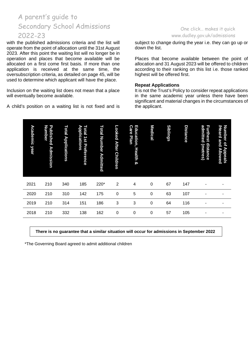with the published admissions criteria and the list will operate from the point of allocation until the 31st August 2023. After this point the waiting list will no longer be in operation and places that become available will be allocated on a first come first basis. If more than one application is received at the same time, the oversubscription criteria, as detailed on page 45, will be used to determine which applicant will have the place.

Inclusion on the waiting list does not mean that a place will eventually become available.

A child's position on a waiting list is not fixed and is

## One click… makes it quick [www.dudley.gov.uk/admissions](http://www.dudley.gov.uk/admissions)

subject to change during the year i.e. they can go up or down the list.

Places that become available between the point of allocation and 31 August 2023 will be offered to children according to their ranking on this list i.e. those ranked highest will be offered first.

#### **Repeat Applications**

It is not the Trust's Policy to consider repeat applications in the same academic year unless there have been significant and material changes in the circumstances of the applicant.

| <b>Academic year</b> | <b>Published</b><br>umber<br><b>Admission</b>                                                                                                          | Total Applications | <b>Total 1st Preference</b><br>Applications | Total Number Admitted | ooked After.<br><b>Children</b> | Education, Health<br>Care Plan<br>ଦୁ | Medical     | <b>Siblings</b> | <b>Distance</b> | admitted<br><b>Furthest</b><br>distance<br>(metres) | <b>Number</b><br><b>Heard</b><br>and<br>pf<br><b>Appeals</b><br><b>Allowed</b> |  |
|----------------------|--------------------------------------------------------------------------------------------------------------------------------------------------------|--------------------|---------------------------------------------|-----------------------|---------------------------------|--------------------------------------|-------------|-----------------|-----------------|-----------------------------------------------------|--------------------------------------------------------------------------------|--|
| 2021                 | 210                                                                                                                                                    | 340                | 185                                         | 220*                  | $\overline{2}$                  | 4                                    | 0           | 67              | 147             |                                                     |                                                                                |  |
| 2020                 | 210                                                                                                                                                    | 310                | 142                                         | 175                   | $\Omega$                        | 5                                    | 0           | 63              | 107             |                                                     |                                                                                |  |
| 2019                 | 210                                                                                                                                                    | 314                | 151                                         | 186                   | 3                               | 3                                    | 0           | 64              | 116             |                                                     |                                                                                |  |
| 2018                 | 210                                                                                                                                                    | 332                | 138                                         | 162                   | 0                               | 0                                    | $\mathbf 0$ | 57              | 105             |                                                     |                                                                                |  |
|                      | There is no guarantee that a similar situation will occur for admissions in September 2022<br>*The Governing Board agreed to admit additional children |                    |                                             |                       |                                 |                                      |             |                 |                 |                                                     |                                                                                |  |

#### **There is no guarantee that a similar situation will occur for admissions in September 2022**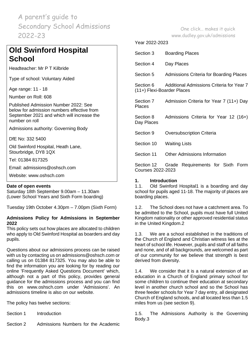# **Old Swinford Hospital School**

Headteacher: Mr P T Kilbride

Type of school: Voluntary Aided

Age range: 11 - 18

Number on Roll: 608

Published Admission Number 2022: See below for admission numbers effective from September 2021 and which will increase the number on roll

Admissions authority: Governing Body

DfE No: 332 5400

Old Swinford Hospital, Heath Lane, Stourbridge, DY8 1QX

Tel: 01384 817325

Email: [admissions@oshsch.com](mailto:admissions@oshsch.com)

Website: [www.oshsch.com](http://www.oshsch.com/)

## **Date of open events**

Saturday 18th September 9.00am – 11.30am (Lower School Years and Sixth Form boarding)

Tuesday 19th October 4.30pm – 7.00pm (Sixth Form)

## **Admissions Policy for Admissions in September 2022**

This policy sets out how places are allocated to children who apply to Old Swinford Hospital as boarders and day pupils.

Questions about our admissions process can be raised with us by contacting us on admissions@oshsch.com or calling us on 01384 817325. You may also be able to find the information you are looking for by reading our online 'Frequently Asked Questions Document' which, although not a part of this policy, provides general guidance for the admissions process and you can find this on www.oshsch.com under 'Admissions'. An admissions timeline is also on our website.

The policy has twelve sections:

- Section 1 Introduction
- Section 2 Admissions Numbers for the Academic

One click… makes it quick

[www.dudley.gov.uk/admissions](http://www.dudley.gov.uk/admissions)

#### Year 2022-2023

| Section 3                               | <b>Boarding Places</b>                    |  |  |  |  |  |  |  |  |
|-----------------------------------------|-------------------------------------------|--|--|--|--|--|--|--|--|
| Section 4                               | Day Places                                |  |  |  |  |  |  |  |  |
| Section 5                               | Admissions Criteria for Boarding Places   |  |  |  |  |  |  |  |  |
| Section 6<br>(11+) Flexi-Boarder Places | Additional Admissions Criteria for Year 7 |  |  |  |  |  |  |  |  |
| Section 7<br>Places                     | Admission Criteria for Year 7 (11+) Day   |  |  |  |  |  |  |  |  |
| Section 8<br>Day Places                 | Admissions Criteria for Year 12 (16+)     |  |  |  |  |  |  |  |  |
| Section 9                               | <b>Oversubscription Criteria</b>          |  |  |  |  |  |  |  |  |
| Section 10                              | <b>Waiting Lists</b>                      |  |  |  |  |  |  |  |  |
| Section 11                              | <b>Other Admissions Information</b>       |  |  |  |  |  |  |  |  |
| Section 12<br>Courses 2022-2023         | Grade Requirements for Sixth Form         |  |  |  |  |  |  |  |  |

# **1. Introduction**

Old Swinford Hospital1 is a boarding and day school for pupils aged 11-18. The majority of places are boarding places.

1.2. The School does not have a catchment area. To be admitted to the School, pupils must have full United Kingdom nationality or other approved residential status in the United Kingdom.2

1.3. We are a school established in the traditions of the Church of England and Christian witness lies at the heart of school life. However, pupils and staff of all faiths and none, and of all backgrounds, are welcomed as part of our community for we believe that strength is best derived from diversity.

1.4. We consider that it is a natural extension of an education in a Church of England primary school for some children to continue their education at secondary level in another church school and so the School has three feeder schools for Year 7 day entry, all designated Church of England schools, and all located less than 1.5 miles from us (see section 9).

1.5. The Admissions Authority is the Governing Body.3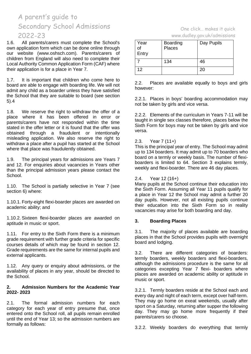1.6. All parents/carers must complete the School's own application form which can be done online through our website (www.oshsch.com). Parents/carers of children from England will also need to complete their Local Authority Common Application Form (CAF) where their application is for a place in Year 7.

1.7. It is important that children who come here to board are able to engage with boarding life. We will not admit any child as a boarder unless they have satisfied the School that they are suitable to board (see section 5).4

1.8. We reserve the right to withdraw the offer of a place where it has been offered in error or parents/carers have not responded within the time stated in the offer letter or it is found that the offer was obtained through a fraudulent or intentionally misleading application. We also reserve the right to withdraw a place after a pupil has started at the School where that place was fraudulently obtained.

1.9. The principal years for admissions are Years 7 and 12. For enquiries about vacancies in Years other than the principal admission years please contact the School.

1.10. The School is partially selective in Year 7 (see section 6) where:

1.10.1. Forty-eight flexi-boarder places are awarded on academic ability; and

1.10.2. Sixteen flexi-boarder places are awarded on aptitude in music or sport.

1.11. For entry to the Sixth Form there is a minimum grade requirement with further grade criteria for specific courses details of which may be found in section 12. Grade requirements are the same for internal pupils and external applicants.

1.12. Any query or enquiry about admissions, or the availability of places in any year, should be directed to the School.

## **2. Admission Numbers for the Academic Year 2022- 2023**

2.1. The formal admission numbers for each category for each year of entry presume that, once entered onto the School roll, all pupils remain enrolled until the end of Year 13; so the admission numbers are formally as follows:

|                              | One click makes it quick |  |
|------------------------------|--------------------------|--|
| www.dudley.gov.uk/admissions |                          |  |

| Year<br>of<br>Entry | <b>Boarding</b><br>Places | Day Pupils |
|---------------------|---------------------------|------------|
|                     | 134                       | 46         |
| 12                  |                           | 20         |

2.2. Places are available equally to boys and girls however:

2.2.1. Places in boys' boarding accommodation may not be taken by girls and vice versa.

2.2.2. Elements of the curriculum in Years 7-11 will be taught in single sex classes therefore, places below the Sixth Form for boys may not be taken by girls and vice versa.

## 2.3. Year 7 (11+)

This is the principal year of entry. The School may admit up to 134 boarders. It may admit up to 70 boarders who board on a termly or weekly basis. The number of flexiboarders is limited to 64. Section 3 explains termly, weekly and flexi-boarder. There are 46 day places.

## 2.4. Year 12 (16+)

Many pupils at the School continue their education into the Sixth Form. Assuming all Year 11 pupils qualify for a place in Year 12 the School may admit a further 20 day pupils. However, not all existing pupils continue their education into the Sixth Form so in reality vacancies may arise for both boarding and day.

## **3. Boarding Places**

3.1. The majority of places available are boarding places in that the School provides pupils with overnight board and lodging.

3.2. There are different categories of boarders: termly boarders, weekly boarders and flexi-boarders, although the admissions procedure is the same for all categories excepting Year 7 flexi- boarders where places are awarded on academic ability or aptitude in music or sport.

3.2.1. Termly boarders reside at the School each and every day and night of each term, except over half-term. They may go home on exeat weekends, usually after sport on a Saturday, returning after supper the following day. They may go home more frequently if their parents/carers so choose.

3.2.2. Weekly boarders do everything that termly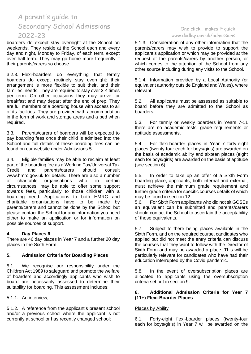boarders do except stay overnight at the School on weekends. They reside at the School each and every day and night, Monday to Friday, of each term, except over half-term. They may go home more frequently if their parents/carers so choose.

3.2.3. Flexi-boarders do everything that termly boarders do except routinely stay overnight; their arrangement is more flexible to suit their, and their families, needs. They are required to stay over 3-4 times per term. On other occasions they may arrive for breakfast and may depart after the end of prep. They are full members of a boarding house with access to all of its facilities. They are provided with accommodation in the form of work and storage areas and a bed when required.

3.3. Parents/carers of boarders will be expected to pay boarding fees once their child is admitted into the School and full details of these boarding fees can be found on our website under Admissions.5

3.4. Eligible families may be able to reclaim at least part of the boarding fee as a Working Tax/Universal Tax<br>Credit and parents/carers should consult parents/carers www.hmrc.gov.uk for details. There are also a number<br>of charitable organisations who in certain of charitable organisations who, in certain circumstances, may be able to offer some support towards fees, particularly to those children with a boarding need. Applications to both HMRC and charitable organisations have to be made by parents/carers and cannot be done by the School but please contact the School for any information you need either to make an application or for information on possible sources of support.

## **4. Day Places 6**

There are 46 day places in Year 7 and a further 20 day places in the Sixth Form.

## **5. Admission Criteria for Boarding Places**

5.1. We recognise our responsibility under the Children Act 1989 to safeguard and promote the welfare of boarders and accordingly applicants who wish to board are necessarily assessed to determine their suitability for boarding. This assessment includes:

5.1.1. An interview;

5.1.2. A reference from the applicant's present school and/or a previous school where the applicant is not currently at school or has recently changed school;

# One click… makes it quick [www.dudley.gov.uk/admissions](http://www.dudley.gov.uk/admissions)

5.1.3. Consideration of any other information that the parents/carers may wish to provide to support the applicant's application or which may be provided at the request of the parents/carers by another person, or which comes to the attention of the School from any other source including during any visits to the School.

5.1.4. Information provided by a Local Authority (or equivalent authority outside England and Wales), where relevant.

5.2. All applicants must be assessed as suitable to board before they are admitted to the School as boarders.

5.3. For termly or weekly boarders in Years 7-11 there are no academic tests, grade requirements or aptitude assessments.

5.4. For flexi-boarder places in Year 7 forty-eight places (twenty-four each for boys/girls) are awarded on the basis of academic ability and sixteen places (eight each for boys/girls) are awarded on the basis of aptitude (see section 6).

5.5. In order to take up an offer of a Sixth Form boarding place, applicants, both internal and external, must achieve the minimum grade requirement and further grade criteria for specific courses details of which may be found in section 12.

5.6. For Sixth Form applicants who did not sit GCSEs an equivalent can be submitted and parents/carers should contact the School to ascertain the acceptability of those equivalents.

5.7. Subject to there being places available in the Sixth Form, and on the required course, candidates who applied but did not meet the entry criteria can discuss the courses that they want to follow with the Director of Sixth Form and may be awarded a place. This will be particularly relevant for candidates who have had their education interrupted by the Covid pandemic.

5.8. In the event of oversubscription places are allocated to applicants using the oversubscription criteria set out in section 9.

## **6. Additional Admission Criteria for Year 7 (11+) Flexi-Boarder Places**

# Places by Ability

6.1. Forty-eight flexi-boarder places (twenty-four each for boys/girls) in Year 7 will be awarded on the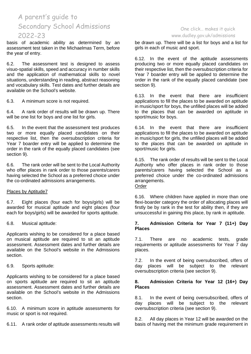basis of academic ability as determined by an assessment test taken in the Michaelmas Term, before the year of entry.

6.2. The assessment test is designed to assess visuo-spatial skills, speed and accuracy in number skills and the application of mathematical skills to novel situations, understanding in reading, abstract reasoning and vocabulary skills. Test dates and further details are available on the School's website.

6.3. A minimum score is not required.

6.4. A rank order of results will be drawn up. There will be one list for boys and one list for girls.

6.5. In the event that the assessment test produces two or more equally placed candidates on their respective list, then the oversubscription criteria for Year 7 boarder entry will be applied to determine the order in the rank of the equally placed candidates (see section 9).

6.6. The rank order will be sent to the Local Authority who offer places in rank order to those parents/carers having selected the School as a preferred choice under the co-ordinated admissions arrangements.

## Places by Aptitude7

6.7. Eight places (four each for boys/girls) will be awarded for musical aptitude and eight places (four each for boys/girls) will be awarded for sports aptitude.

6.8. Musical aptitude:

Applicants wishing to be considered for a place based on musical aptitude are required to sit an aptitude assessment. Assessment dates and further details are available on the School's website in the Admissions section.

6.9. Sports aptitude:

Applicants wishing to be considered for a place based on sports aptitude are required to sit an aptitude assessment. Assessment dates and further details are available on the School's website in the Admissions section.

6.10. A minimum score in aptitude assessments for music or sport is not required.

6.11. A rank order of aptitude assessments results will

## One click… makes it quick [www.dudley.gov.uk/admissions](http://www.dudley.gov.uk/admissions)

be drawn up. There will be a list for boys and a list for girls in each of music and sport.

6.12. In the event of the aptitude assessments producing two or more equally placed candidates on their respective list, then the oversubscription criteria for Year 7 boarder entry will be applied to determine the order in the rank of the equally placed candidate (see section 9).

6.13. In the event that there are insufficient applications to fill the places to be awarded on aptitude in music/sport for boys, the unfilled places will be added to the places that can be awarded on aptitude in sport/music for boys.

6.14. In the event that there are insufficient applications to fill the places to be awarded on aptitude in music/sport for girls, the unfilled places will be added to the places that can be awarded on aptitude in sport/music for girls.

6.15. The rank order of results will be sent to the Local Authority who offer places in rank order to those parents/carers having selected the School as a preferred choice under the co-ordinated admissions arrangements. Order

6.16. Where children have applied in more than one flexi-boarder category the order of allocating places will firstly be by rank in the test for ability then, if they are unsuccessful in gaining this place, by rank in aptitude.

## **7. Admission Criteria for Year 7 (11+) Day Places**

7.1. There are no academic tests, grade requirements or aptitude assessments for Year 7 day places.

7.2. In the event of being oversubscribed, offers of day places will be subject to the relevant oversubscription criteria (see section 9).

## **8. Admission Criteria for Year 12 (16+) Day Places**

8.1. In the event of being oversubscribed, offers of day places will be subject to the relevant places will be subject to the relevant oversubscription criteria (see section 9).

8.2. All day places in Year 12 will be awarded on the basis of having met the minimum grade requirement in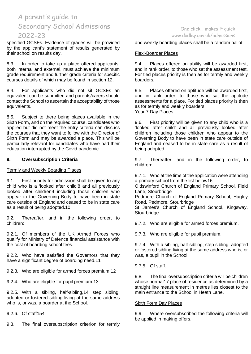specified GCSEs. Evidence of grades will be provided by the applicant's statement of results generated by their school on results day.

8.3. In order to take up a place offered applicants, both internal and external, must achieve the minimum grade requirement and further grade criteria for specific courses details of which may be found in section 12.

8.4. For applicants who did not sit GCSEs an equivalent can be submitted and parents/carers should contact the School to ascertain the acceptability of those equivalents.

8.5. Subject to there being places available in the Sixth Form, and on the required course, candidates who applied but did not meet the entry criteria can discuss the courses that they want to follow with the Director of Sixth Form and may be awarded a place. This will be particularly relevant for candidates who have had their education interrupted by the Covid pandemic.

## **9. Oversubscription Criteria**

#### Termly and Weekly Boarding Places

9.1. First priority for admission shall be given to any child who is a 'looked after child'8 and all previously looked after children9 including those children who appear to the Governing Body to have been in state care outside of England and ceased to be in state care as a result of being adopted.10

9.2. Thereafter, and in the following order, to children:

9.2.1. Of members of the UK Armed Forces who qualify for Ministry of Defence financial assistance with the cost of boarding school fees.

9.2.2. Who have satisfied the Governors that they have a significant degree of boarding need.11

9.2.3. Who are eligible for armed forces premium.12

9.2.4. Who are eligible for pupil premium.13

9.2.5. With a sibling, half-sibling,14 step sibling, adopted or fostered sibling living at the same address who is, or was, a boarder at the School.

9.2.6. Of staff154

9.3. The final oversubscription criterion for termly

# One click… makes it quick [www.dudley.gov.uk/admissions](http://www.dudley.gov.uk/admissions)

and weekly boarding places shall be a random ballot.

# Flexi-Boarder Places

9.4. Places offered on ability will be awarded first, and in rank order, to those who sat the assessment test. For tied places priority is then as for termly and weekly boarders.

9.5. Places offered on aptitude will be awarded first, and in rank order, to those who sat the aptitude assessments for a place. For tied places priority is then as for termly and weekly boarders. Year 7 Day Places

9.6. First priority will be given to any child who is a 'looked after child' and all previously looked after children including those children who appear to the Governing Body to have been in state care outside of England and ceased to be in state care as a result of being adopted.

9.7. Thereafter, and in the following order, to children:

9.7.1. Who at the time of the application were attending a primary school from the list below16:

Oldswinford Church of England Primary School, Field Lane, Stourbridge

Pedmore Church of England Primary School, Hagley Road, Pedmore, Stourbridge

St James's Church of England School, Kingsway, **Stourbridge** 

9.7.2. Who are eligible for armed forces premium.

9.7.3. Who are eligible for pupil premium.

9.7.4. With a sibling, half-sibling, step sibling, adopted or fostered sibling living at the same address who is, or was, a pupil in the School.

9.7.5. Of staff.

9.8. The final oversubscription criteria will be children whose normal17 place of residence as determined by a straight line measurement in metres lies closest to the main entrance to the School in Heath Lane.

#### Sixth Form Day Places

9.9. Where oversubscribed the following criteria will be applied in making offers.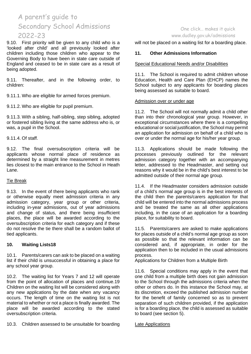9.10. First priority will be given to any child who is a 'looked after child' and all previously looked after children including those children who appear to the Governing Body to have been in state care outside of England and ceased to be in state care as a result of being adopted.

9.11. Thereafter, and in the following order, to children:

9.11.1. Who are eligible for armed forces premium.

9.11.2. Who are eligible for pupil premium.

9.11.3. With a sibling, half-sibling, step sibling, adopted or fostered sibling living at the same address who is, or was, a pupil in the School.

9.11.4. Of staff.

9.12. The final oversubscription criteria will be applicants whose normal place of residence as determined by a straight line measurement in metres lies closest to the main entrance to the School in Heath Lane.

## Tie Break

9.13. In the event of there being applicants who rank or otherwise equally meet admission criteria in any admission category, year group or other criteria, including in-year admissions, out of year admissions and change of status, and there being insufficient places, the place will be awarded according to the oversubscription criteria for each category and if these do not resolve the tie there shall be a random ballot of tied applicants.

## **10. Waiting Lists18**

10.1. Parents/carers can ask to be placed on a waiting list if their child is unsuccessful in obtaining a place for any school year group.

10.2. The waiting list for Years 7 and 12 will operate from the point of allocation of places and continue.19 Children on the waiting list will be considered along with any new applications by the date when any vacancy occurs. The length of time on the waiting list is not material to whether or not a place is finally awarded. The place will be awarded according to the stated oversubscription criteria.

10.3. Children assessed to be unsuitable for boarding

# One click… makes it quick [www.dudley.gov.uk/admissions](http://www.dudley.gov.uk/admissions)

will not be placed on a waiting list for a boarding place.

## **11. Other Admissions Information**

#### Special Educational Needs and/or Disabilities

11.1. The School is required to admit children whose Education, Health and Care Plan (EHCP) names the School subject to any applicants for boarding places being assessed as suitable to board.

#### Admission over or under age

11.2. The School will not normally admit a child other than into their chronological year group. However, in exceptional circumstances where there is a compelling educational or social justification, the School may permit an application for admission on behalf of a child who is over or under the normal age for his/her year group.

11.3. Applications should be made following the processes previously outlined for the relevant admission category together with an accompanying letter, addressed to the Headmaster, and setting out reasons why it would be in the child's best interest to be admitted outside of their normal age group.

11.4. If the Headmaster considers admission outside of a child's normal age group is in the best interests of the child then the parents/carers application for that child will be entered into the normal admissions process and be treated the same as all other applications including, in the case of an application for a boarding place, for suitability to board.

11.5. Parents/carers are asked to make applications for places outside of a child's normal age group as soon as possible so that the relevant information can be considered and, if appropriate, in order for the application then to be included in the usual admissions process.

Applications for Children from a Multiple Birth

11.6. Special conditions may apply in the event that one child from a multiple birth does not gain admission to the School through the admissions criteria when the other or others do. In this instance the School may, at its discretion, exceed the published admission number for the benefit of family concerned so as to prevent separation of such children provided, if the application is for a boarding place, the child is assessed as suitable to board (see section 5).

Late Applications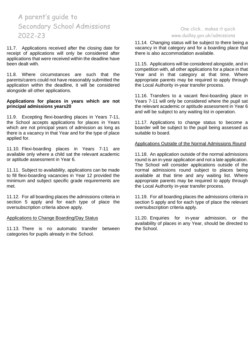11.7. Applications received after the closing date for receipt of applications will only be considered after applications that were received within the deadline have been dealt with.

11.8. Where circumstances are such that the parents/carers could not have reasonably submitted the application within the deadline, it will be considered alongside all other applications.

### **Applications for places in years which are not principal admissions years20**

11.9. Excepting flexi-boarding places in Years 7-11, the School accepts applications for places in Years which are not principal years of admission as long as there is a vacancy in that Year and for the type of place applied for.

11.10. Flexi-boarding places in Years 7-11 are available only where a child sat the relevant academic or aptitude assessment in Year 6.

11.11. Subject to availability, applications can be made to fill flexi-boarding vacancies in Year 12 provided the minimum and subject specific grade requirements are met.

11.12. For all boarding places the admissions criteria in section 5 apply and for each type of place the oversubscription criteria above apply.

#### Applications to Change Boarding/Day Status

11.13. There is no automatic transfer between categories for pupils already in the School.

## One click… makes it quick [www.dudley.gov.uk/admissions](http://www.dudley.gov.uk/admissions)

11.14. Changing status will be subject to there being a vacancy in that category and for a boarding place that there is also accommodation available.

11.15. Applications will be considered alongside, and in competition with, all other applications for a place in that Year and in that category at that time. Where appropriate parents may be required to apply through the Local Authority in-year transfer process.

11.16. Transfers to a vacant flexi-boarding place in Years 7-11 will only be considered where the pupil sat the relevant academic or aptitude assessment in Year 6 and will be subject to any waiting list in operation.

11.17. Applications to change status to become a boarder will be subject to the pupil being assessed as suitable to board.

## Applications Outside of the Normal Admissions Round

11.18. An application outside of the normal admissions round is an in-year application and not a late application. The School will consider applications outside of the normal admissions round subject to places being available at that time and any waiting list. Where appropriate parents may be required to apply through the Local Authority in-year transfer process.

11.19. For all boarding places the admissions criteria in section 5 apply and for each type of place the relevant oversubscription criteria apply.

11.20. Enquiries for in-year admission, or the availability of places in any Year, should be directed to the School.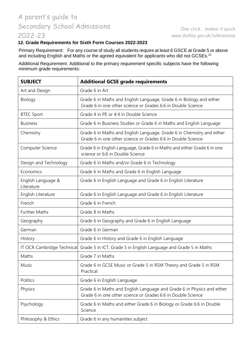# **12. Grade Requirements for Sixth Form Courses 2022-2023**

Primary Requirement: For any course of study all students require at least 6 GSCE at Grade 5 or above and including English and Maths or the agreed equivalent for applicants who did not GCSEs.<sup>21</sup>

Additional Requirement: Additional to the primary requirement specific subjects have the following minimum grade requirements:

| <b>SUBJECT</b>                   | <b>Additional GCSE grade requirements</b>                                                                                               |
|----------------------------------|-----------------------------------------------------------------------------------------------------------------------------------------|
| Art and Design                   | Grade 6 in Art                                                                                                                          |
| Biology                          | Grade 6 in Maths and English Language, Grade 6 in Biology and either<br>Grade 6 in one other science or Grades 6:6 in Double Science    |
| <b>BTEC Sport</b>                | Grade 4 in PE or 4:4 in Double Science                                                                                                  |
| <b>Business</b>                  | Grade 6 in Business Studies or Grade 6 in Maths and English Language                                                                    |
| Chemistry                        | Grade 6 in Maths and English Language, Grade 6 in Chemistry and either<br>Grade 6 in one other science or Grades 6:6 in Double Science  |
| Computer Science                 | Grade 6 in English Language, Grade 6 in Maths and either Grade 6 in one<br>science or 6:6 in Double Science                             |
| Design and Technology            | Grade 6 in Maths and/or Grade 6 in Technology                                                                                           |
| Economics                        | Grade 6 in Maths and Grade 6 in English Language                                                                                        |
| English Language &<br>Literature | Grade 6 in English Language and Grade 6 in English Literature                                                                           |
| English Literature               | Grade 6 in English Language and Grade 6 in English Literature                                                                           |
| French                           | Grade 6 in French                                                                                                                       |
| <b>Further Maths</b>             | Grade 8 in Maths                                                                                                                        |
| Geography                        | Grade 6 in Geography and Grade 6 in English Language                                                                                    |
| German                           | Grade 6 in German                                                                                                                       |
| History                          | Grade 6 in History and Grade 6 in English Language                                                                                      |
| IT OCR Cambridge Technical       | Grade 5 in ICT, Grade 5 in English Language and Grade 5 in Maths                                                                        |
| Maths                            | Grade 7 in Maths                                                                                                                        |
| Music                            | Grade 6 in GCSE Music or Grade 5 in RSM Theory and Grade 5 in RSM<br>Practical                                                          |
| Politics                         | Grade 6 in English Language                                                                                                             |
| Physics                          | Grade 6 in Maths and English Language and Grade 6 in Physics and either<br>Grade 6 in one other science or Grades 6:6 in Double Science |
| Psychology                       | Grade 6 in Maths and either Grade 6 in Biology or Grade 6:6 in Double<br>Science                                                        |
| Philosophy & Ethics              | Grade 6 in any humanities subject                                                                                                       |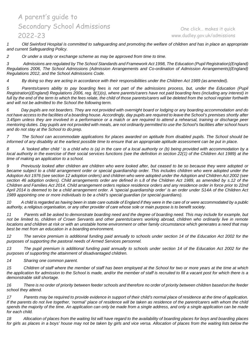One click… makes it quick [www.dudley.gov.uk/admissions](http://www.dudley.gov.uk/admissions)

*1 Old Swinford Hospital is committed to safeguarding and promoting the welfare of children and has in place an appropriate and current Safeguarding Policy.*

*2 Or under a study or exchange scheme as may be approved from time to time.*

*3 Admissions are regulated by The School Standards and Framework Act 1998, The Education (Pupil Registration)(England) Regulations 2006, The School Admissions (Admission Arrangements and Co-ordination of Admission Arrangements)(England) Regulations 2012, and the School Admissions Code.*

*4 By doing so they are acting in accordance with their responsibilities under the Children Act 1989 (as amended).*

*5 Parents/carers ability to pay boarding fees is not part of the admissions process, but, under the Education (Pupil Registration)(England) Regulations 2006, reg. 8(1)(o), where parents/carers have not paid boarding fees (including any interest) in*  full by the end of the term to which the fees relate, the child of those parents/carers will be deleted from the school register forthwith *and will not be admitted to the School the following term.*

6 Day pupils are not boarders. They are not provided with overnight board or lodging or any boarding accommodation and do not have access to the facilities of a boarding house. Accordingly, day pupils are required to leave the School's premises shortly after *3.45pm unless they are involved in a performance or a match or are required to attend a rehearsal, training or discharge peer mentoring duties. Day pupils are not provided with meals, are not ordinarily permitted to use the School's facilities after school hours and do not stay at the School to do prep.*

*7 The School can accommodate applications for places awarded on aptitude from disabled pupils. The School should be*  informed of any disability at the earliest possible time to ensure that an appropriate aptitude assessment can be put in place.

*8 A 'looked after child ' is a child who is (a) in the care of a local authority or (b) being provided with accommodation by a* local authority in the exercise of their social services functions (see the definition in section 22(1) of the Children Act 1989) at the *time of making an application to a school.*

9 Previously looked after children are children who were looked after, but ceased to be so because they were adopted or became subject to a child arrangement order or special guardianship order. This includes children who were adopted under the *Adoption Act 1976 (see section 12 adoption orders) and children who were adopted under the Adoption and Children Act 2002 (see section 46 adoption orders). Child arrangements order are defined in s.8 of the Children Act 1989, as amended by s.12 of the Children and Families Act 2014. Child arrangement orders replace residence orders and any residence order in force prior to 22nd April 2014 is deemed to be a child arrangement order. A 'special guardianship order' is an order under S14A of the Children Act 1989 appointing one or more individuals to be a child's special guardian (or special guardians).*

*10 A child is regarded as having been in state care outside of England if they were in the care of or were accommodated by a public authority, a religious organisation, or any other provider of care whose sole or main purpose is to benefit society.*

*11 Parents will be asked to demonstrate boarding need and the degree of boarding need. This may include for example, but not be limited to, children of Crown Servants and other parents/carers working abroad, children who ordinarily live in remote locations and children at risk or with an unstable home environment or other family circumstance which generates a need that may best be met from an education in a boarding environment.*

*12 The service premium is additional funding paid annually to schools under section 14 of the Education Act 2002 for the purposes of supporting the pastoral needs of Armed Services personnel.*

*13 The pupil premium is additional funding paid annually to schools under section 14 of the Education Act 2002 for the purposes of supporting the attainment of disadvantaged children.*

*14 Sharing one common parent.*

15 Children of staff where the member of staff has been employed at the School for two or more years at the time at which the application for admission to the School is made, and/or the member of staff is recruited to fill a vacant post for which there is a *demonstrable skill shortage.*

*16 There is no order of priority between feeder schools and therefore no order of priority between children basedon the feeder school they attend.*

*17 Parents may be required to provide evidence in support of their child's normal place of residence at the time of application. If the parents do not live together, 'normal' place of residence will be taken as residence of the parent/carers with whom the child spends the majority of the time. An application can only be made from a single address, and only a single application can be made for each child.*

18 Allocation of places from the waiting list will have regard to the availability of boarding places for boys and boarding places *for girls as places in a boys' house may not be taken by girls and vice versa. Allocation of places from the waiting lists below the*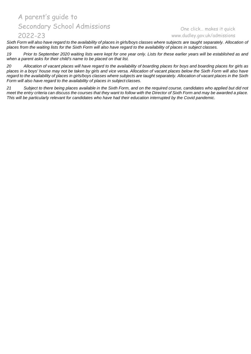# One click… makes it quick [www.dudley.gov.uk/admissions](http://www.dudley.gov.uk/admissions)

Sixth Form will also have regard to the availability of places in girls/boys classes where subjects are taught separately. Allocation of *places from the waiting lists for the Sixth Form will also have regard to the availability of places in subject classes.*

*19 Prior to September 2020 waiting lists were kept for one year only. Lists for these earlier years will be established as and when a parent asks for their child's name to be placed on that list.*

20 Allocation of vacant places will have regard to the availability of boarding places for boys and boarding places for girls as places in a boys' house may not be taken by girls and vice versa. Allocation of vacant places below the Sixth Form will also have *regard to the availability of places in girls/boys classes where subjects are taught separately. Allocation of vacant places in the Sixth Form will also have regard to the availability of places in subject classes.*

*21 Subject to there being places available in the Sixth Form, and on the required course, candidates who applied but did not meet the entry criteria can discuss the courses that they want to follow with the Director of Sixth Form and may be awarded a place. This will be particularly relevant for candidates who have had their education interrupted by the Covid pandemic.*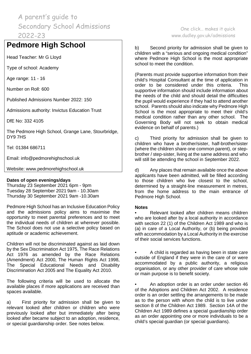# **Pedmore High School**

Head Teacher: Mr G Lloyd

Type of school: Academy

Age range: 11 - 16

Number on Roll: 600

Published Admissions Number 2022: 150

Admissions authority: Invictus Education Trust

DfE No: 332 4105

The Pedmore High School, Grange Lane, Stourbridge, DY9 7HS

Tel: 01384 686711

Email: info@pedmorehighschool.uk

Website: www.pedmorehighschool.uk

## **Dates of open evenings/days**

Thursday 23 September 2021 6pm - 9pm Tuesday 28 September 2021 9am - 10.30am Thursday 30 September 2021 9am -10.30am

Pedmore High School has an Inclusive Education Policy and the admissions policy aims to maximise the opportunity to meet parental preferences and to meet the individual needs of children at wherever possible. The School does not use a selective policy based on aptitude or academic achievement.

Children will not be discriminated against as laid down by the Sex Discrimination Act 1975, The Race Relations Act 1976 as amended by the Race Relations (Amendment) Act 2000, The Human Rights Act 1998, The Special Educational Needs and Disability Discrimination Act 2005 and The Equality Act 2010.

The following criteria will be used to allocate the available places if more applications are received than spaces available.

a) First priority for admission shall be given to relevant looked after children or children who were previously looked after but immediately after being looked after became subject to an adoption, residence, or special guardianship order. See notes below.

One click… makes it quick [www.dudley.gov.uk/admissions](http://www.dudley.gov.uk/admissions)

b) Second priority for admission shall be given to children with a "serious and ongoing medical condition" where Pedmore High School is the most appropriate school to meet the condition.

(Parents must provide supportive information from their child's Hospital Consultant at the time of application in order to be considered under this criteria. This supportive information should include information about the needs of the child and should detail the difficulties the pupil would experience if they had to attend another school. Parents should also indicate why Pedmore High School is the most appropriate to meet their child's medical condition rather than any other school. The Governing Body will not seek to obtain medical evidence on behalf of parents.)

c) Third priority for admission shall be given to children who have a brother/sister, half-brother/sister (where the children share one common parent), or stepbrother / step-sister, living at the same address and who will still be attending the school in September 2022.

d) Any places that remain available once the above applicants have been admitted, will be filled according to those children who live closest to the school, determined by a straight-line measurement in metres, from the home address to the main entrance of Pedmore High School.

## **Notes**

• Relevant looked after children means children who are looked after by a local authority in accordance with section 22 (1) of the Children Act 1989 and who is (a) in care of a Local Authority, or (b) being provided with accommodation by a Local Authority in the exercise of their social services functions.

• A child is regarded as having been in state care outside of England if they were in the care of or were accommodated by a public authority, a religious organisation, or any other provider of care whose sole or main purpose is to benefit society.

• An adoption order is an order under section 46 of the Adoptions and Children Act 2002. A residence order is an order settling the arrangements to be made as to the person with whom the child is to live under section 8 of the Children Act 1989. Section 14A of the Children Act 1989 defines a special guardianship order as an order appointing one or more individuals to be a child's special guardian (or special guardians).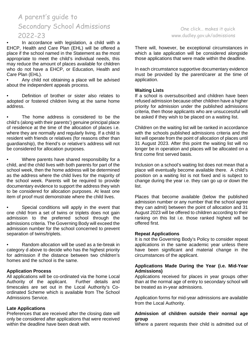• In accordance with legislation, a child with a EHCP, Health and Care Plan (EHL) will be offered a place if the school named in the Statement as the most appropriate to meet the child's individual needs, this may reduce the amount of places available for children who do not have a EHCP, or Education, Health and Care Plan (EHL).

• Any child not obtaining a place will be advised about the independent appeals process.

• Definition of brother or sister also relates to adopted or fostered children living at the same home address.

The home address is considered to be the child's (along with their parents') genuine principal place of residence at the time of the allocation of places i.e. where they are normally and regularly living. If a child is resident with friends or relatives (for reasons other than guardianship), the friend's or relative's address will not be considered for allocation purposes.

• Where parents have shared responsibility for a child, and the child lives with both parents for part of the school week, then the home address will be determined as the address where the child lives for the majority of the school week. Parents will be required to provide documentary evidence to support the address they wish to be considered for allocation purposes. At least one item of proof must demonstrate where the child lives.

Special conditions will apply in the event that one child from a set of twins or triplets does not gain admission to the preferred school through the admissions criteria. The Governing Body will exceed the admission number for the school concerned to prevent separation of twins/triplets.

• Random allocation will be used as a tie-break in category d above to decide who has the highest priority for admission if the distance between two children's homes and the school is the same.

## **Application Process**

All applications will be co-ordinated via the home Local Authority of the applicant. Further details and timescales are set out in the Local Authority's Coordinated Scheme which is available from The School Admissions Service.

## **Late Applications**

Preferences that are received after the closing date will only be considered after applications that were received within the deadline have been dealt with.

# One click… makes it quick [www.dudley.gov.uk/admissions](http://www.dudley.gov.uk/admissions)

There will, however, be exceptional circumstances in which a late application will be considered alongside those applications that were made within the deadline.

In each circumstance supportive documentary evidence must be provided by the parent/carer at the time of application.

#### **Waiting Lists**

If a school is oversubscribed and children have been refused admission because other children have a higher priority for admission under the published admissions criteria, then those applicants who are unsuccessful will be asked if they wish to be placed on a waiting list.

Children on the waiting list will be ranked in accordance with the schools published admissions criteria and the list will operate from the point of allocation of places until 31 August 2023. After this point the waiting list will no longer be in operation and places will be allocated on a first come first served basis.

Inclusion on a school's waiting list does not mean that a place will eventually become available there. A child's position on a waiting list is not fixed and is subject to change during the year i.e. they can go up or down the list.

Places that become available (below the published admission number or any number that the school agree they can admit) between the point of allocation and 31 August 2023 will be offered to children according to their ranking on this list i.e. those ranked highest will be offered first.

## **Repeat Applications**

It is not the Governing Body's Policy to consider repeat applications in the same academic year unless there have been significant and material change in the circumstances of the applicant.

## **Applications Made During the Year (i.e. Mid-Year Admissions)**

Applications received for places in year groups other than at the normal age of entry to secondary school will be treated as in-year admissions.

Application forms for mid-year admissions are available from the Local Authority.

#### **Admission of children outside their normal age group**

Where a parent requests their child is admitted out of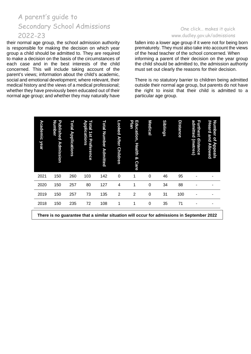their normal age group, the school admission authority is responsible for making the decision on which year group a child should be admitted to. They are required to make a decision on the basis of the circumstances of each case and in the best interests of the child concerned. This will include taking account of the parent's views; information about the child's academic, social and emotional development; where relevant, their medical history and the views of a medical professional; whether they have previously been educated out of their normal age group; and whether they may naturally have

# One click… makes it quick [www.dudley.gov.uk/admissions](http://www.dudley.gov.uk/admissions)

fallen into a lower age group if it were not for being born prematurely. They must also take into account the views of the head teacher of the school concerned. When informing a parent of their decision on the year group the child should be admitted to, the admission authority must set out clearly the reasons for their decision.

There is no statutory barrier to children being admitted outside their normal age group, but parents do not have the right to insist that their child is admitted to a particular age group.

| Academic<br>year | Number<br>Published<br><b>Admission</b> | Total<br><b>Applications</b> | <b>Applications</b><br>Total<br>151<br>Preference | Total<br>Number Admitted | Looked<br><b>After</b><br><b>Children</b> | <b>Plan</b><br>Education,<br><b>Health</b><br>ó<br><b>Care</b> | <b>Medical</b> | <b>Siblings</b> | <b>Distance</b> | admitted<br>Furthest distance<br>(metres) | /Heard and Allowed<br>Number<br>qf<br><b>Appeals</b> |
|------------------|-----------------------------------------|------------------------------|---------------------------------------------------|--------------------------|-------------------------------------------|----------------------------------------------------------------|----------------|-----------------|-----------------|-------------------------------------------|------------------------------------------------------|
| 2021             | 150                                     | 260                          | 103                                               | 142                      | $\mathbf 0$                               | 1                                                              | $\mathbf 0$    | 46              | 95              |                                           |                                                      |
| 2020             | 150                                     | 257                          | 80                                                | 127                      | 4                                         | 1                                                              | $\mathbf 0$    | 34              | 88              | ٠                                         | ۰                                                    |
| 2019             | 150                                     | 257                          | 73                                                | 135                      | 2                                         | $\overline{2}$                                                 | 0              | 31              | 100             |                                           |                                                      |
| 2018             | 150                                     | 235                          | 72                                                | 108                      | 1                                         | 1                                                              | 0              | 35              | 71              | ٠                                         | ٠                                                    |

**There is no guarantee that a similar situation will occur for admissions in September 2022**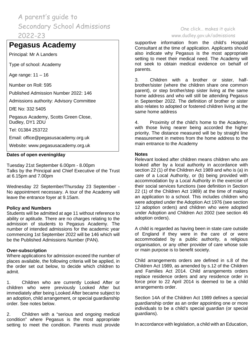# **Pegasus Academy**

Principal: Mr A Landers

Type of school: Academy

Age range: 11 – 16

Number on Roll: 595

Published Admission Number 2022: 146

Admissions authority: Advisory Committee

DfE No: 332 5405

Pegasus Academy, Scotts Green Close, Dudley, DY1 2DU

Tel: 01384 253722

Email: [office@pegasusacademy.org.uk](mailto:office@pegasusacademy.org.uk)

Website: [www.pegasusacademy.org.uk](http://www.pegasusacademy.org.uk/)

### **Dates of open evening/day**

Tuesday 21st September 6.00pm - 8.00pm Talks by the Principal and Chief Executive of the Trust at 6.15pm and 7.00pm

Wednesday 22 September/Thursday 23 September - No appointment necessary. A tour of the Academy will leave the entrance foyer at 9.15am.

#### **Policy and Numbers**

Students will be admitted at age 11 without reference to ability or aptitude. There are no charges relating to the admission of students to Pegasus Academy. The number of intended admissions for the academic year commencing 1st September 2022 will be 146 which will be the Published Admissions Number (PAN).

#### **Over-subscription**

Where applications for admission exceed the number of places available, the following criteria will be applied, in the order set out below, to decide which children to admit.

1. Children who are currently Looked After or children who were previously Looked After but immediately after being Looked After became subject to an adoption, child arrangement, or special guardianship order. See notes below.

2. Children with a "serious and ongoing medical condition" where Pegasus is the most appropriate setting to meet the condition. Parents must provide

## One click… makes it quick [www.dudley.gov.uk/admissions](http://www.dudley.gov.uk/admissions)

supportive information from the child's Hospital Consultant at the time of application. Applicants should also indicate why Pegasus is the most appropriate setting to meet their medical need. The Academy will not seek to obtain medical evidence on behalf of parents.

3. Children with a brother or sister, halfbrother/sister (where the children share one common parent), or step brother/step sister living at the same home address and who will still be attending Pegasus in September 2022. The definition of brother or sister also relates to adopted or fostered children living at the same home address

4. Proximity of the child's home to the Academy, with those living nearer being accorded the higher priority. The distance measured will be by straight line measurement in metres from the home address to the main entrance to the Academy

#### **Notes**

Relevant looked after children means children who are looked after by a local authority in accordance with section 22 (1) of the Children Act 1989 and who is (a) in care of a Local Authority, or (b) being provided with accommodation by a Local Authority in the exercise of their social services functions (see definition in Section 22 (1) of the Children Act 1989) at the time of making an application to a school. This includes children who were adopted under the Adoption Act 1976 (see section 12 adoption orders) and children who were adopted under Adoption and Children Act 2002 (see section 46 adoption orders).

A child is regarded as having been in state care outside of England if they were in the care of or were accommodated by a public authority, a religious organisation, or any other provider of care whose sole or main purpose is to benefit society.

Child arrangements orders are defined in s.8 of the Children Act 1989, as amended by s.12 of the Children and Families Act 2014. Child arrangements orders replace residence orders and any residence order in force prior to 22 April 2014 is deemed to be a child arrangements order.

Section 14A of the Children Act 1989 defines a special guardianship order as an order appointing one or more individuals to be a child's special guardian (or special guardians).

In accordance with legislation, a child with an Education,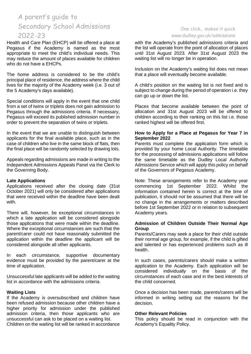Health and Care Plan (EHCP) will be offered a place at Pegasus if the Academy is named as the most appropriate to meet the child's individual needs. This may reduce the amount of places available for children who do not have a EHCPs.

The home address is considered to be the child's principal place of residence, the address where the child lives for the majority of the Academy week (i.e. 3 out of the 5 Academy's days available).

Special conditions will apply in the event that one child from a set of twins or triplets does not gain admission to Pegasus through the admissions criteria. If necessary, Pegasus will exceed its published admission number in order to prevent the separation of twins or triplets.

In the event that we are unable to distinguish between applicants for the final available place, such as in the case of children who live in the same block of flats, then the final place will be randomly selected by drawing lots.

Appeals regarding admissions are made in writing to the Independent Admissions Appeals Panel via the Clerk to the Governing Body.

#### **Late Applications**

Applications received after the closing date (31st October 2021) will only be considered after applications that were received within the deadline have been dealt with.

There will, however, be exceptional circumstances in which a late application will be considered alongside those applications that were made within the deadline. Where the exceptional circumstances are such that the parent/carer could not have reasonably submitted the application within the deadline the applicant will be considered alongside all other applicants.

In each circumstance, supportive documentary evidence must be provided by the parent/carer at the time of application.

Unsuccessful late applicants will be added to the waiting list in accordance with the admissions criteria.

#### **Waiting Lists**

If the Academy is oversubscribed and children have been refused admission because other children have a higher priority for admission under the published admission criteria, then those applicants who are unsuccessful can ask to be placed on a waiting list. Children on the waiting list will be ranked in accordance

## One click… makes it quick [www.dudley.gov.uk/admissions](http://www.dudley.gov.uk/admissions)

with the Academy's published admissions criteria and the list will operate from the point of allocation of places until 31st August 2023. After 31st August 2023 the waiting list will no longer be in operation.

Inclusion on the Academy's waiting list does not mean that a place will eventually become available.

A child's position on the waiting list is not fixed and is subject to change during the period of operation i.e. they can go up or down the list.

Places that become available between the point of allocation and 31st August 2023 will be offered to children according to their ranking on this list i.e. those ranked highest will be offered first.

### **How to Apply for a Place at Pegasus for Year 7 in September 2022**

Parents must complete the application form which is provided by your home Local Authority. The timetable for the processing of admissions applications will follow the same timetable as the Dudley Local Authority Admissions Service which will apply this policy on behalf of the Governors of Pegasus Academy.

Note: These arrangements refer to the Academy year commencing 1st September 2022. Whilst the information contained herein is correct at the time of publication, it should not be assumed that there will be no change in the arrangements or matters described before 1st September 2022 or in relation to subsequent Academy years.

#### **Admission of Children Outside Their Normal Age Group**

Parents/Carers may seek a place for their child outside their normal age group, for example, if the child is gifted and talented or has experienced problems such as ill health.

In such cases, parents/carers should make a written application to the Academy. Each application will be considered individually on the basis of the circumstances of each case and in the best interests of the child concerned.

Once a decision has been made, parents/carers will be informed in writing setting out the reasons for the decision.

#### **Other Relevant Policies**

This policy should be read in conjunction with the Academy's Equality Policy.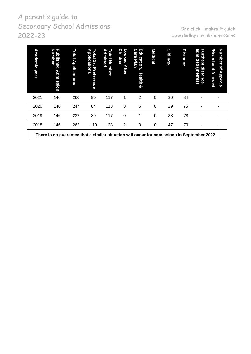One click… makes it quick [www.dudley.gov.uk/admissions](http://www.dudley.gov.uk/admissions)

| Academic<br>year | <b>Number</b><br>P<br>ublished<br>Admission                                                | Total<br><b>Applications</b> | с<br>Applications<br><b>Otal</b><br>181<br><b>Preference</b> | ь<br>Total Number<br>dmitted | <b>Children</b><br>٥<br>O<br>ked<br><b>After</b> | Education,<br><b>Care</b><br><b>Plan</b><br><b>Health</b><br>ହ | <b>Medical</b> | <b>Siblings</b> | <b>Distance</b> | admitted<br><b>Furthest</b><br>distance<br>(metres) | <b>Number</b><br>/Heard<br>and<br>p<br>Appeals<br><b>Allowed</b> |  |
|------------------|--------------------------------------------------------------------------------------------|------------------------------|--------------------------------------------------------------|------------------------------|--------------------------------------------------|----------------------------------------------------------------|----------------|-----------------|-----------------|-----------------------------------------------------|------------------------------------------------------------------|--|
| 2021             | 146                                                                                        | 260                          | 90                                                           | 117                          | 1                                                | 2                                                              | $\Omega$       | 30              | 84              |                                                     |                                                                  |  |
| 2020             | 146                                                                                        | 247                          | 84                                                           | 113                          | 3                                                | 6                                                              | $\Omega$       | 29              | 75              |                                                     |                                                                  |  |
| 2019             | 146                                                                                        | 232                          | 80                                                           | 117                          | $\Omega$                                         | 1                                                              | $\Omega$       | 38              | 78              |                                                     |                                                                  |  |
| 2018             | 146                                                                                        | 262                          | 110                                                          | 128                          | 2                                                | 0                                                              | $\Omega$       | 47              | 79              |                                                     |                                                                  |  |
|                  | There is no guarantee that a similar situation will occur for admissions in September 2022 |                              |                                                              |                              |                                                  |                                                                |                |                 |                 |                                                     |                                                                  |  |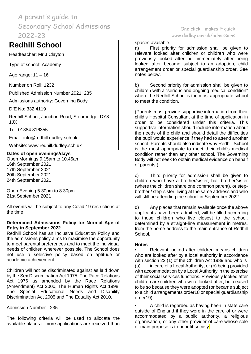# **Redhill School**

Headteacher: Mr J Clayton

Type of school: Academy

Age range: 11 – 16

Number on Roll: 1232

Published Admission Number 2021: 235

Admissions authority: Governing Body

DfE No: 332 4119

Redhill School, Junction Road, Stourbridge, DY8 1JX

Tel: 01384 816355

Email: [info@redhill.dudley.sch.uk](mailto:info@redhill.dudley.sch.uk)

Website: [www.redhill.dudley.sch.uk](http://www.redhill.dudley.sch.uk/)

## **Dates of open evenings/days**

Open Mornings 9.15am to 10.45am 16th September 2021 17th September 2021 20th September 2021 24th September 2021

Open Evening 5.30pm to 8.30pm 21st September 2021

All events will be subject to any Covid 19 restrictions at the time

## **Determined Admissions Policy for Normal Age of Entry in September 2022**

Redhill School has an Inclusive Education Policy and the admissions policy aims to maximise the opportunity to meet parental preferences and to meet the individual needs of children wherever possible. The School does not use a selective policy based on aptitude or academic achievement.

Children will not be discriminated against as laid down by the Sex Discrimination Act 1975, The Race Relations Act 1976 as amended by the Race Relations (Amendment) Act 2000, The Human Rights Act 1998, The Special Educational Needs and Disability Discrimination Act 2005 and The Equality Act 2010.

## Admission Number - 235

The following criteria will be used to allocate the available places if more applications are received than

# One click… makes it quick [www.dudley.gov.uk/admissions](http://www.dudley.gov.uk/admissions)

#### spaces available.

a) First priority for admission shall be given to relevant looked after children or children who were previously looked after but immediately after being looked after became subject to an adoption, child arrangement order or special guardianship order. See notes below.

b) Second priority for admission shall be given to children with a "serious and ongoing medical condition" where the Redhill School is the most appropriate school to meet the condition.

(Parents must provide supportive information from their child's Hospital Consultant at the time of application in order to be considered under this criteria. This supportive information should include information about the needs of the child and should detail the difficulties the pupil would experience if they had to attend another school. Parents should also indicate why Redhill School is the most appropriate to meet their child's medical condition rather than any other school. The Governing Body will not seek to obtain medical evidence on behalf of parents.)

c) Third priority for admission shall be given to children who have a brother/sister, half brother/sister (where the children share one common parent), or stepbrother / step-sister, living at the same address and who will still be attending the school in September 2022.

d) Any places that remain available once the above applicants have been admitted, will be filled according to those children who live closest to the school, determined by a straight-line measurement in metres, from the home address to the main entrance of Redhill School.

## **Notes**

• Relevant looked after children means children who are looked after by a local authority in accordance with section 22 (1) of the Children Act 1989 and who is (a) in care of a Local Authority, or (b) being provided with accommodation by a Local Authority in the exercise of their social services functions. Previously looked after children are children who were looked after, but ceased to be so because they were adopted (or became subject to a child arrangements order18 or special guardianship order19).

• A child is regarded as having been in state care outside of England if they were in the care of or were accommodated by a public authority, a religious organisation, or any other provider of care whose sole or main purpose is to benefit society.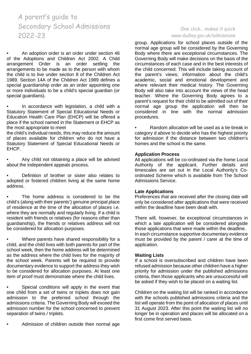• An adoption order is an order under section 46 of the Adoptions and Children Act 2002. A Child arrangement Order is an order settling the arrangements to be made as to the person with whom the child is to live under section 8 of the Children Act 1989. Section 14A of the Children Act 1989 defines a special guardianship order as an order appointing one or more individuals to be a child's special guardian (or special guardians).

• In accordance with legislation, a child with a Statutory Statement of Special Educational Needs or Education Health Care Plan (EHCP) will be offered a place if the school named in the Statement or EHCP as the most appropriate to meet

the child's individual needs, this may reduce the amount of places available for children who do not have a Statutory Statement of Special Educational Needs or EHCP.

• Any child not obtaining a place will be advised about the independent appeals process.

• Definition of brother or sister also relates to adopted or fostered children living at the same home address.

The home address is considered to be the child's (along with their parents') genuine principal place of residence at the time of the allocation of places i.e. where they are normally and regularly living. If a child is resident with friends or relatives (for reasons other than guardianship), the friends or relatives address will not be considered for allocation purposes.

• Where parents have shared responsibility for a child, and the child lives with both parents for part of the school week, then the home address will be determined as the address where the child lives for the majority of the school week. Parents will be required to provide documentary evidence to support the address they wish to be considered for allocation purposes. At least one item of proof must demonstrate where the child lives.

Special conditions will apply in the event that one child from a set of twins or triplets does not gain admission to the preferred school through the admissions criteria. The Governing Body will exceed the admission number for the school concerned to prevent separation of twins / triplets.

• Admission of children outside their normal age

# One click… makes it quick [www.dudley.gov.uk/admissions](http://www.dudley.gov.uk/admissions)

group. Applications for school places outside of the normal age group will be considered by the Governing Body where there are exceptional circumstances. The Governing Body will make decisions on the basis of the circumstances of each case and in the best interests of the child concerned. This will include taking account of the parent's views; information about the child's academic, social and emotional development and where relevant their medical history. The Governing Body will also take into account the views of the head teacher. Where the Governing Body agrees to a parent's request for their child to be admitted out of their normal age group the application will then be considered in line with the normal admission procedures.

• Random allocation will be used as a tie-break in category d above to decide who has the highest priority for admission if the distance between two children's homes and the school is the same.

#### **Application Process**

All applications will be co-ordinated via the home Local Authority of the applicant. Further details and timescales are set out in the Local Authority's Coordinated Scheme which is available from The School Admissions Service.

#### **Late Applications**

Preferences that are received after the closing date will only be considered after applications that were received within the deadline have been dealt with.

There will, however, be exceptional circumstances in which a late application will be considered alongside those applications that were made within the deadline. In each circumstance supportive documentary evidence must be provided by the parent / carer at the time of application.

#### **Waiting Lists**

If a school is oversubscribed and children have been refused admission because other children have a higher priority for admission under the published admissions criteria, then those applicants who are unsuccessful will be asked if they wish to be placed on a waiting list.

Children on the waiting list will be ranked in accordance with the schools published admissions criteria and the list will operate from the point of allocation of places until 31 August 2023. After this point the waiting list will no longer be in operation and places will be allocated on a first come first served basis.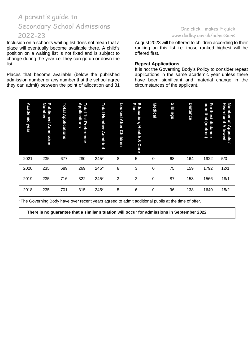Inclusion on a school's waiting list does not mean that a place will eventually become available there. A child's position on a waiting list is not fixed and is subject to change during the year i.e. they can go up or down the list.

Places that become available (below the published admission number or any number that the school agree they can admit) between the point of allocation and 31

## One click… makes it quick [www.dudley.gov.uk/admissions](http://www.dudley.gov.uk/admissions)

August 2023 will be offered to children according to their ranking on this list i.e. those ranked highest will be offered first.

#### **Repeat Applications**

It is not the Governing Body's Policy to consider repeat applications in the same academic year unless there have been significant and material change in the circumstances of the applicant.

| <b>Academic</b><br>year | Published<br>Number<br><b>Admission</b> | Total<br><b>Applications</b> | Total<br>Applications<br>1st<br><b>Preference</b> | Total<br><b>Number</b><br><b>Admitted</b> | Looked<br><b>After</b><br><b>Children</b> | <b>Plan</b><br>Education,<br><b>Health</b><br>œ<br><b>Care</b> | <b>Medical</b> | <b>Siblings</b> | <b>Distance</b> | admitted<br>Furthest<br>distance<br>(metres) | <b>Number</b><br><b>Heard and</b><br>$\overline{a}$<br><b>Allowed</b><br>Appeals<br>$\tilde{}$ |
|-------------------------|-----------------------------------------|------------------------------|---------------------------------------------------|-------------------------------------------|-------------------------------------------|----------------------------------------------------------------|----------------|-----------------|-----------------|----------------------------------------------|------------------------------------------------------------------------------------------------|
| 2021                    | 235                                     | 677                          | 280                                               | 245*                                      | 8                                         | 5                                                              | 0              | 68              | 164             | 1922                                         | 5/0                                                                                            |
| 2020                    | 235                                     | 689                          | 269                                               | 245*                                      | 8                                         | 3                                                              | 0              | 75              | 159             | 1792                                         | 12/1                                                                                           |
| 2019                    | 235                                     | 716                          | 322                                               | 245*                                      | 3                                         | $\overline{c}$                                                 | 0              | 87              | 153             | 1566                                         | 18/1                                                                                           |
| 2018                    | 235                                     | 701                          | 315                                               | 245*                                      | 5                                         | 6                                                              | 0              | 96              | 138             | 1640                                         | 15/2                                                                                           |

\*The Governing Body have over recent years agreed to admit additional pupils at the time of offer.

**There is no guarantee that a similar situation will occur for admissions in September 2022**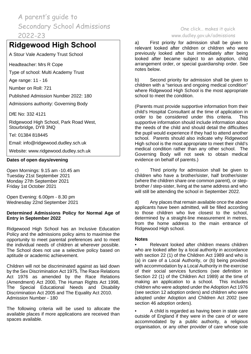# **Ridgewood High School**

A Stour Vale Academy Trust School

Headteacher: Mrs R Cope

Type of school: Multi Academy Trust

Age range: 11 - 16

Number on Roll: 721

Published Admission Number 2022: 180

Admissions authority: Governing Body

DfE No: 332 4121

Ridgewood High School, Park Road West, Stourbridge, DY8 3NQ

Tel: 01384 818445

Email: [info@ridgewood.dudley.sch.uk](mailto:info@ridgewood.dudley.sch.uk)

Website: [www.ridgewood.dudley.sch.uk](http://www.ridgewood.dudley.sch.uk/)

## **Dates of open days/evening**

Open Mornings: 9.15 am -10.45 am Tuesday 21st September 2021 Monday 27th September 2021 Friday 1st October 2021

Open Evening: 6.00pm - 8.30 pm Wednesday 22nd September 2021

## **Determined Admissions Policy for Normal Age of Entry in September 2022**

Ridgewood High School has an Inclusive Education Policy and the admissions policy aims to maximise the opportunity to meet parental preferences and to meet the individual needs of children at wherever possible. The School does not use a selective policy based on aptitude or academic achievement.

Children will not be discriminated against as laid down by the Sex Discrimination Act 1975, The Race Relations Act 1976 as amended by the Race Relations (Amendment) Act 2000, The Human Rights Act 1998, The Special Educational Needs and Disability Discrimination Act 2005 and The Equality Act 2010. Admission Number - 180

The following criteria will be used to allocate the available places if more applications are received than spaces available.

# One click… makes it quick [www.dudley.gov.uk/admissions](http://www.dudley.gov.uk/admissions)

a) First priority for admission shall be given to relevant looked after children or children who were previously looked after but immediately after being looked after became subject to an adoption, child arrangement order, or special guardianship order. See notes below.

b) Second priority for admission shall be given to children with a "serious and ongoing medical condition" where Ridgewood High School is the most appropriate school to meet the condition.

(Parents must provide supportive information from their child's Hospital Consultant at the time of application in order to be considered under this criteria. This supportive information should include information about the needs of the child and should detail the difficulties the pupil would experience if they had to attend another school. Parents should also indicate why Ridgewood High school is the most appropriate to meet their child's medical condition rather than any other school. The Governing Body will not seek to obtain medical evidence on behalf of parents.)

c) Third priority for admission shall be given to children who have a brother/sister, half brother/sister (where the children share one common parent), or stepbrother / step-sister, living at the same address and who will still be attending the school in September 2022.

d) Any places that remain available once the above applicants have been admitted, will be filled according to those children who live closest to the school, determined by a straight-line measurement in metres, from the home address to the main entrance of Ridgewood High school.

## **Notes**

• Relevant looked after children means children who are looked after by a local authority in accordance with section 22 (1) of the Children Act 1989 and who is (a) in care of a Local Authority, or (b) being provided with accommodation by a Local Authority in the exercise of their social services functions (see definition in Section 22 (1) of the Children Act 1989) at the time of making an application to a school. This includes children who were adopted under the Adoption Act 1976 (see section 12 adoption orders) and children who were adopted under Adoption and Children Act 2002 (see section 46 adoption orders).

• A child is regarded as having been in state care outside of England if they were in the care of or were accommodated by a public authority, a religious organisation, or any other provider of care whose sole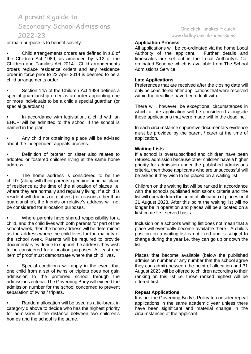or main purpose is to benefit society.

• Child arrangements orders are defined in s.8 of the Children Act 1989, as amended by s.12 of the Children and Families Act 2014. Child arrangements orders replace residence orders and any residence order in force prior to 22 April 2014 is deemed to be a child arrangements order.

Section 14A of the Children Act 1989 defines a special guardianship order as an order appointing one or more individuals to be a child's special guardian (or special guardians).

In accordance with legislation, a child with an EHCP will be admitted to the school if the school is named in the plan.

• Any child not obtaining a place will be advised about the independent appeals process.

• Definition of brother or sister also relates to adopted or fostered children living at the same home address.

The home address is considered to be the child's (along with their parents') genuine principal place of residence at the time of the allocation of places i.e. where they are normally and regularly living. If a child is resident with friends or relatives (for reasons other than guardianship), the friends or relative's address will not be considered for allocation purposes.

• Where parents have shared responsibility for a child, and the child lives with both parents for part of the school week, then the home address will be determined as the address where the child lives for the majority of the school week. Parents will be required to provide documentary evidence to support the address they wish to be considered for allocation purposes. At least one item of proof must demonstrate where the child lives.

Special conditions will apply in the event that one child from a set of twins or triplets does not gain admission to the preferred school through the admissions criteria. The Governing Body will exceed the admission number for the school concerned to prevent separation of twins / triplets.

• Random allocation will be used as a tie-break in category d above to decide who has the highest priority for admission if the distance between two children's homes and the school is the same.

# One click… makes it quick [www.dudley.gov.uk/admissions](http://www.dudley.gov.uk/admissions)

#### **Application Process**

All applications will be co-ordinated via the home Local<br>Authority of the applicant. Further details and Authority of the applicant. timescales are set out in the Local Authority's Coordinated Scheme which is available from The School Admissions Service.

### **Late Applications**

Preferences that are received after the closing date will only be considered after applications that were received within the deadline have been dealt with.

There will, however, be exceptional circumstances in which a late application will be considered alongside those applications that were made within the deadline.

In each circumstance supportive documentary evidence must be provided by the parent / carer at the time of application.

#### **Waiting Lists**

If a school is oversubscribed and children have been refused admission because other children have a higher priority for admission under the published admissions criteria, then those applicants who are unsuccessful will be asked if they wish to be placed on a waiting list.

Children on the waiting list will be ranked in accordance with the schools published admissions criteria and the list will operate from the point of allocation of places until 31 August 2023. After this point the waiting list will no longer be in operation and places will be allocated on a first come first served basis.

Inclusion on a school's waiting list does not mean that a place will eventually become available there. A child's position on a waiting list is not fixed and is subject to change during the year i.e. they can go up or down the list.

Places that become available (below the published admission number or any number that the school agree they can admit) between the point of allocation and 31 August 2023 will be offered to children according to their ranking on this list i.e. those ranked highest will be offered first.

#### **Repeat Applications**

It is not the Governing Body's Policy to consider repeat applications in the same academic year unless there have been significant and material change in the circumstances of the applicant.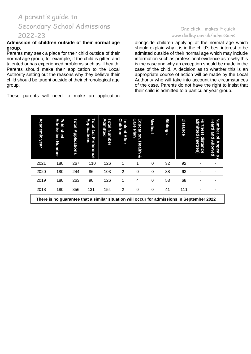#### **Admission of children outside of their normal age group**.

Parents may seek a place for their child outside of their normal age group, for example, if the child is gifted and talented or has experienced problems such as ill health. Parents should make their application to the Local Authority setting out the reasons why they believe their child should be taught outside of their chronological age group.

These parents will need to make an application

# One click… makes it quick [www.dudley.gov.uk/admissions](http://www.dudley.gov.uk/admissions)

alongside children applying at the normal age which should explain why it is in the child's best interest to be admitted outside of their normal age which may include information such as professional evidence as to why this is the case and why an exception should be made in the case of the child. A decision as to whether this is an appropriate course of action will be made by the Local Authority who will take into account the circumstances of the case. Parents do not have the right to insist that their child is admitted to a particular year group.

| Academic<br>year | Published<br>D<br>dmission<br><b>Number</b>                                                | Total<br><b>Applications</b> | <b>Applications</b><br>otal<br>1s1<br>Preference | Admitted<br><b>Dtal</b><br><b>Number</b> | <b>Children</b><br>o<br>oked<br>After | Care<br>Education,<br>Plan<br>Health<br>ହ | <b>Medical</b> | <b>Siblings</b> | Distance | admitted<br>Fu<br><b>Irthest</b><br>distance<br>(metres) | Number<br>Heard<br>and<br>qf<br><b>Allowed</b><br>ъ<br>ppeals |  |
|------------------|--------------------------------------------------------------------------------------------|------------------------------|--------------------------------------------------|------------------------------------------|---------------------------------------|-------------------------------------------|----------------|-----------------|----------|----------------------------------------------------------|---------------------------------------------------------------|--|
| 2021             | 180                                                                                        | 267                          | 110                                              | 126                                      |                                       |                                           | 0              | 32              | 92       |                                                          |                                                               |  |
| 2020             | 180                                                                                        | 244                          | 86                                               | 103                                      | $\overline{2}$                        | $\Omega$                                  | 0              | 38              | 63       |                                                          |                                                               |  |
| 2019             | 180                                                                                        | 263                          | 90                                               | 126                                      |                                       | 4                                         | 0              | 53              | 68       |                                                          |                                                               |  |
| 2018             | 180                                                                                        | 356                          | 131                                              | 154                                      | 2                                     | 0                                         | 0              | 41              | 111      |                                                          |                                                               |  |
|                  | There is no guarantee that a similar situation will occur for admissions in September 2022 |                              |                                                  |                                          |                                       |                                           |                |                 |          |                                                          |                                                               |  |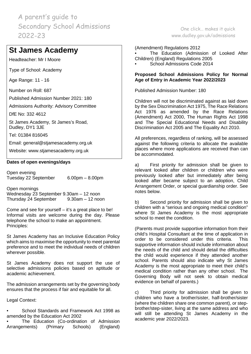# **St James Academy**

Headteacher: Mr I Moore

Type of School: Academy

Age Range: 11 - 16

Number on Roll: 687

Published Admission Number 2021: 180

Admissions Authority: Advisory Committee

DfE No: 332 4612

St James Academy, St James's Road, Dudley, DY1 3JE

Tel: 01384 816045

Email: [general@stjamesacademy.org.uk](mailto:general@stjamesacademy.org.uk)

Website: [www.stjamesacademy.org.uk](http://www.stjamesacademy.org.uk/)

## **Dates of open evenings/days**

Open evening Tuesday 22 September 6.00pm – 8.00pm

Open mornings Wednesday 23 September 9.30am – 12 noon Thursday 24 September 9.30am – 12 noon

Come and see for yourself – it's a great place to be! Informal visits are welcome during the day. Please telephone the school to make an appointment. Principles:

St James Academy has an Inclusive Education Policy which aims to maximise the opportunity to meet parental preference and to meet the individual needs of children wherever possible.

St James Academy does not support the use of selective admissions policies based on aptitude or academic achievement.

The admission arrangements set by the governing body ensures that the process if fair and equitable for all.

Legal Context:

• School Standards and Framework Act 1998 as amended by the Education Act 2002

The Education (Co-ordination of Admission Arrangements) (Primary Schools) (England)

(Amendment) Regulations 2012 The Education (Admission of Looked After Children) (England) Regulations 2005

One click… makes it quick [www.dudley.gov.uk/admissions](http://www.dudley.gov.uk/admissions)

• School Admissions Code 2014

# **Proposed School Admissions Policy for Normal Age of Entry in Academic Year 2022/2023**

Published Admission Number: 180

Children will not be discriminated against as laid down by the Sex Discrimination Act 1975, The Race Relations Act 1976 as amended by the Race Relations (Amendment) Act 2000, The Human Rights Act 1998 and The Special Educational Needs and Disability Discrimination Act 2005 and The Equality Act 2010.

All preferences, regardless of ranking, will be assessed against the following criteria to allocate the available places where more applications are received than can be accommodated.

a) First priority for admission shall be given to relevant looked after children or children who were previously looked after but immediately after being looked after became subject to an adoption, Child Arrangement Order, or special guardianship order. See notes below.

b) Second priority for admission shall be given to children with a "serious and ongoing medical condition" where St James Academy is the most appropriate school to meet the condition.

(Parents must provide supportive information from their child's Hospital Consultant at the time of application in order to be considered under this criteria. This supportive information should include information about the needs of the child and should detail the difficulties the child would experience if they attended another school. Parents should also indicate why St James Academy is the most appropriate to meet their child's medical condition rather than any other school. The Governing Body will not seek to obtain medical evidence on behalf of parents.)

c) Third priority for admission shall be given to children who have a brother/sister, half-brother/sister (where the children share one common parent), or stepbrother/step-sister, living at the same address and who will still be attending St James Academy in the academic year 2022/2023.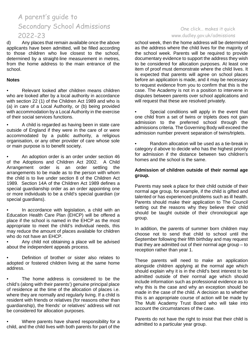d) Any places that remain available once the above applicants have been admitted, will be filled according to those children who live closest to the school, determined by a straight-line measurement in metres, from the home address to the main entrance of the school.

## **Notes**

• Relevant looked after children means children who are looked after by a local authority in accordance with section 22 (1) of the Children Act 1989 and who is (a) in care of a Local Authority, or (b) being provided with accommodation by a Local Authority in the exercise of their social services functions.

A child is regarded as having been in state care outside of England if they were in the care of or were accommodated by a public authority, a religious organisation, or any other provider of care whose sole or main purpose is to benefit society.

• An adoption order is an order under section 46 of the Adoptions and Children Act 2002. A Child Arrangement order is an order settling the arrangements to be made as to the person with whom the child is to live under section 8 of the Children Act 1989. Section 14A of the Children Act 1989 defines a special guardianship order as an order appointing one or more individuals to be a child's special guardian (or special guardians).

In accordance with legislation, a child with an Education Health Care Plan (EHCP) will be offered a place if the school is named in the EHCP as the most appropriate to meet the child's individual needs, this may reduce the amount of places available for children who do not have an EHCP.

• Any child not obtaining a place will be advised about the independent appeals process.

• Definition of brother or sister also relates to adopted or fostered children living at the same home address.

The home address is considered to be the child's (along with their parents') genuine principal place of residence at the time of the allocation of places i.e. where they are normally and regularly living. If a child is resident with friends or relatives (for reasons other than guardianship), the friends' or relatives' address will not be considered for allocation purposes.

• Where parents have shared responsibility for a child, and the child lives with both parents for part of the

# One click… makes it quick [www.dudley.gov.uk/admissions](http://www.dudley.gov.uk/admissions)

school week, then the home address will be determined as the address where the child lives for the majority of the school week. Parents will be required to provide documentary evidence to support the address they wish to be considered for allocation purposes. At least one item of proof must demonstrate where the child lives. It is expected that parents will agree on school places before an application is made, and it may be necessary to request evidence from you to confirm that this is the case. The Academy is not in a position to intervene in disputes between parents over school applications and will request that these are resolved privately.

Special conditions will apply in the event that one child from a set of twins or triplets does not gain admission to the preferred school through the admissions criteria. The Governing Body will exceed the admission number prevent separation of twins/triplets.

• Random allocation will be used as a tie-break in category d above to decide who has the highest priority for admission if the distance between two children's homes and the school is the same.

# **Admission of children outside of their normal age group.**

Parents may seek a place for their child outside of their normal age group, for example, if the child is gifted and talented or has experienced problems such as ill health. Parents should make their application to The Council setting out the reasons why they believe their child should be taught outside of their chronological age group.

In addition, the parents of summer born children may choose not to send that child to school until the September following their fifth birthday and may request that they are admitted out of their normal age group – to reception rather than year 1.

These parents will need to make an application alongside children applying at the normal age which should explain why it is in the child's best interest to be admitted outside of their normal age which should include information such as professional evidence as to why this is the case and why an exception should be made in the case of the child. A decision as to whether this is an appropriate course of action will be made by The Multi Academy Trust Board who will take into account the circumstances of the case.

Parents do not have the right to insist that their child is admitted to a particular year group.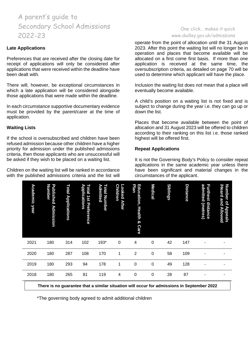#### **Late Applications**

Preferences that are received after the closing date for receipt of applications will only be considered after applications that were received within the deadline have been dealt with.

There will, however, be exceptional circumstances in which a late application will be considered alongside those applications that were made within the deadline.

In each circumstance supportive documentary evidence must be provided by the parent/carer at the time of application.

#### **Waiting Lists**

If the school is oversubscribed and children have been refused admission because other children have a higher priority for admission under the published admissions criteria, then those applicants who are unsuccessful will be asked if they wish to be placed on a waiting list.

Children on the waiting list will be ranked in accordance with the published admissions criteria and the list will

## One click… makes it quick [www.dudley.gov.uk/admissions](http://www.dudley.gov.uk/admissions)

operate from the point of allocation until the 31 August 2023. After this point the waiting list will no longer be in operation and places that become available will be allocated on a first come first basis. If more than one application is received at the same time, the oversubscription criteria, as detailed on page 70 will be used to determine which applicant will have the place.

Inclusion the waiting list does not mean that a place will eventually become available.

A child's position on a waiting list is not fixed and is subject to change during the year i.e. they can go up or down the list.

Places that become available between the point of allocation and 31 August 2023 will be offered to children according to their ranking on this list i.e. those ranked highest will be offered first.

## **Repeat Applications**

It is not the Governing Body's Policy to consider repeat applications in the same academic year unless there have been significant and material changes in the circumstances of the applicant.

| <b>/Heard</b><br>Number<br>and<br>qf<br><b>Appeals</b><br><b>Allowed</b> |             |             |             |      |  |
|--------------------------------------------------------------------------|-------------|-------------|-------------|------|--|
| admitted<br><b>Furthest</b><br>distance<br>(metres)                      | ۰           |             |             |      |  |
| <b>Distance</b>                                                          | 147         | 109         | 128         | 87   |  |
| <b>Siblings</b>                                                          | 42          | 58          | 49          | 28   |  |
| <b>Medical</b>                                                           | $\mathbf 0$ | $\mathbf 0$ | $\mathbf 0$ | 0    |  |
| <b>Plan</b><br>Education,<br><b>Health</b><br>ò<br>Care                  | 4           | 2           | 0           | 0    |  |
| <b>Children</b><br><b>Looked</b><br><b>After</b>                         | $\mathbf 0$ | 1           | 1           | 4    |  |
| <b>Total Number</b><br><b>Admitted</b>                                   | 193*        | 170         | 178         | 119  |  |
| Total<br>Applications<br>1st Preference                                  | 102         | 108         | 94          | 81   |  |
| Total<br><b>Applications</b>                                             | 314         | 287         | 293         | 265  |  |
| Published<br>Number<br><b>Admission</b>                                  | 180         | 180         | 180         | 180  |  |
| Academic<br>year                                                         | 2021        | 2020        | 2019        | 2018 |  |

**There is no guarantee that a similar situation will occur for admissions in September 2022**

\*The governing body agreed to admit additional children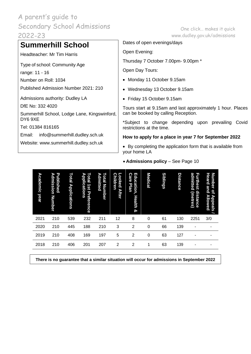### **Summerhill School**

Headteacher: Mr Tim Harris

Type of school: Community Age

range: 11 - 16

Number on Roll: 1034

Published Admission Number 2021: 210

Admissions authority: Dudley LA

DfE No: 332 4020

Summerhill School, Lodge Lane, Kingswinford, DY6 9XE

Tel: 01384 816165

Email: [info@summerhill.dudley.sch.uk](mailto:info@summerhill.dudley.sch.uk)

Website: [www.summerhill.dudley.sch.uk](http://www.summerhill.dudley.sch.uk/)

One click… makes it quick [www.dudley.gov.uk/admissions](http://www.dudley.gov.uk/admissions)

Dates of open evenings/days

Open Evening:

Thursday 7 October 7.00pm- 9.00pm \*

Open Day Tours:

- Monday 11 October 9.15am
- Wednesday 13 October 9.15am
- Friday 15 October 9.15am

Tours start at 9.15am and last approximately 1 hour. Places can be booked by calling Reception.

\*Subject to change depending upon prevailing Covid restrictions at the time.

**How to apply for a place in year 7 for September 2022**

• By completing the application form that is available from your home LA

| <b>Academic year</b> | Published<br>Admission<br>Number | Total<br><b>Applications</b> | Total<br><b>Applications</b><br>1st<br>Preference | Admitted<br>Total<br><b>Number</b> | <b>Children</b><br>Looked<br><b>After</b> | Education,<br><b>Care</b><br>Plan<br><b>Health</b><br>ଦୁ | <b>Medical</b> | <b>Siblings</b> | <b>Distance</b> | admitted<br><b>Furthest</b><br>distance<br>(metres) | Number<br>Heard<br>and<br>$\overline{\mathbf{a}}$<br><b>Appeals</b><br>Allowed |
|----------------------|----------------------------------|------------------------------|---------------------------------------------------|------------------------------------|-------------------------------------------|----------------------------------------------------------|----------------|-----------------|-----------------|-----------------------------------------------------|--------------------------------------------------------------------------------|
| 2021                 | 210                              | 539                          | 232                                               | 211                                | 12                                        | 8                                                        | 0              | 61              | 130             | 2251                                                | 3/0                                                                            |
| 2020                 | 210                              | 445                          | 188                                               | 210                                | 3                                         | $\overline{2}$                                           | $\Omega$       | 66              | 139             |                                                     | ۰                                                                              |
| 2019                 | 210                              | 408                          | 169                                               | 197                                | 5                                         | $\overline{2}$                                           | $\Omega$       | 63              | 127             |                                                     |                                                                                |
| 2018                 | 210                              | 406                          | 201                                               | 207                                | $\overline{2}$                            | 2                                                        | 1              | 63              | 139             |                                                     |                                                                                |
|                      |                                  |                              |                                                   |                                    |                                           |                                                          |                |                 |                 |                                                     |                                                                                |

• **Admissions policy** – See Page 10

**There is no guarantee that a similar situation will occur for admissions in September 2022**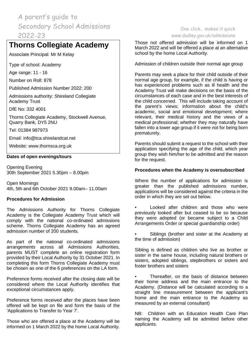# **Thorns Collegiate Academy**

Associate Principal: Mr M Kelay

Type of school: Academy

Age range: 11 - 16

Number on Roll: 878

Published Admission Number 2022: 200

Admissions authority: Shireland Collegiate Academy Trust

DfE No: 332 4001

Thorns Collegiate Academy, Stockwell Avenue, Quarry Bank, DY5 2NU

Tel: 01384 987973

Email: [info@tca.shirelandcat.net](mailto:info@thorns-s.dudley.sch.uk)

Website: [www.thornsca.org.uk](http://www.thornsca.org.uk/)

### **Dates of open evenings/tours**

Opening Evening 30th September 2021 5.30pm – 8.00pm

Open Mornings 4th, 5th and 6th October 2021 9.00am– 11.00am

### **Procedures for Admission**

The Admissions Authority for Thorns Collegiate Academy is the Collegiate Academy Trust which will comply with the national co-ordinated admissions scheme. Thorns Collegiate Academy has an agreed admission number of 200 students.

As part of the national co-ordinated admissions arrangements across all Admissions Authorities, parents MUST complete an online registration form provided by their Local Authority by 31 October 2021. In completing this form Thorns Collegiate Academy must be chosen as one of the 6 preferences on the LA form.

Preference forms received after the closing date will be considered where the Local Authority identifies that exceptional circumstances apply.

Preference forms received after the places have been offered will be kept on file and form the basis of the 'Applications to Transfer to Year 7'.

Those who are offered a place at the Academy will be informed on 1 March 2022 by the home Local Authority.

### One click… makes it quick [www.dudley.gov.uk/admissions](http://www.dudley.gov.uk/admissions)

Those not offered admission will be informed on 1 March 2022 and will be offered a place at an alternative school by the home Local Authority.

Admission of children outside their normal age group

Parents may seek a place for their child outside of their normal age group, for example, if the child is having or has experienced problems such as ill health and the Academy Trust will make decisions on the basis of the circumstances of each case and in the best interests of the child concerned. This will include taking account of the parent's views; information about the child's academic, social and emotional development; where relevant, their medical history and the views of a medical professional; whether they may naturally have fallen into a lower age group if it were not for being born prematurely.

Parents should submit a request to the school with their application specifying the age of the child, which year group they wish him/her to be admitted and the reason for the request.

### **Procedures when the Academy is oversubscribed**

Where the number of applications for admission is greater than the published admissions number, applications will be considered against the criteria in the order in which they are set out below.

Looked after children and those who were previously looked after but ceased to be so because they were adopted (or became subject to a Child Arrangements Order or special guardianship order)

Siblings (brother and sister at the Academy at the time of admission)

Sibling is defined as children who live as brother or sister in the same house, including natural brothers or sisters, adopted siblings, stepbrothers or sisters and foster brothers and sisters

Thereafter, on the basis of distance between their home address and the main entrance to the Academy. (Distance will be calculated according to a straight line measurement between the applicant's home and the main entrance to the Academy as measured by an external consultant)

NB: Children with an Education Health Care Plan naming the Academy will be admitted before other applicants.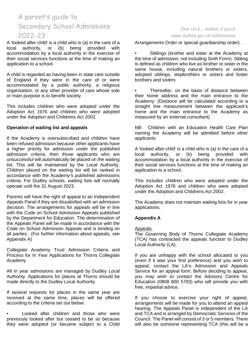A 'looked after child' is a child who is (a) in the care of a local authority, or (b) being provided with accommodation by a local authority in the exercise of their social services functions at the time of making an application to a school.

A child is regarded as having been in state care outside of England if they were in the care of or were accommodated by a public authority, a religious organisation, or any other provider of care whose sole or main purpose is to benefit society.

This includes children who were adopted under the Adoption Act 1976 and children who were adopted under the Adoption and Childrens Act 2002.

#### **Operation of waiting list and appeals**

If the Academy is oversubscribed and children have been refused admission because other applicants have a higher priority for admission under the published admission criteria, then those applicants who are unsuccessful will automatically be placed on the waiting list. This will be maintained by the Local Authority. Children placed on the waiting list will be ranked in accordance with the Academy's published admissions criteria. For Dudley schools, waiting lists will normally operate until the 31 August 2023.

Parents will have the right of appeal to an Independent Appeals Panel if they are dissatisfied with an admission decision. The arrangements for appeals will be in line with the Code on School Admission Appeals published by the Department for Education. The determination of the Appeals Panel will be made in accordance with the Code on School Admission Appeals and is binding on all parties. (For further information about appeals, see Appendix A)

Collegiate Academy Trust Admission Criteria and Process for In Year Applications for Thorns Collegiate Academy

All in year admissions are managed by Dudley Local Authority. Applications for places at Thorns should be made directly to the Dudley Local Authority.

If several requests for places in the same year are received at the same time, places will be offered according to the criteria set out below:

• Looked after children and those who were previously looked after but ceased to be so because they were adopted (or became subject to a Child

### One click… makes it quick [www.dudley.gov.uk/admissions](http://www.dudley.gov.uk/admissions)

Arrangements Order or special guardianship order).

Siblings (brother and sister at the Academy at the time of admission, not including Sixth Form). Sibling is defined as children who live as brother or sister in the same house, including natural brothers or sisters, adopted siblings, stepbrothers or sisters and foster brothers and sisters

Thereafter, on the basis of distance between their home address and the main entrance to the Academy. (Distance will be calculated according to a straight line measurement between the applicant's home and the main entrance to the Academy as measured by an external consultant)

NB: Children with an Education Health Care Plan naming the Academy will be admitted before other applicants

A 'looked after child' is a child who is (a) in the care of a local authority, or (b) being provided with accommodation by a local authority in the exercise of their social services functions at the time of making an application to a school.

This includes children who were adopted under the Adoption Act 1976 and children who were adopted under the Adoption and Childrens Act 2002.

The Academy does not maintain waiting lists for in year applications.

### **Appendix A**

Appeals

The Governing Body of Thorns Collegiate Academy (TCA) has contracted the appeals function to Dudley Local Authority (LA).

If you are unhappy with the school allocated to you (even if it was your first preference) and you wish to appeal, contact the LA's Admission and Appeals Service for an appeal form. Before deciding to appeal, you may wish to contact the Advisory Centre for Education (0808 800 5793) who will provide you with free, impartial advice.

If you choose to exercise your right of appeal, arrangements will be made for you to attend an appeal hearing. The Appeals Panel is independent of the LA and TCA and is arranged by Democratic Services of the Council. The Panel will consist of 3 or 5 members. There will also be someone representing TCA (this will be a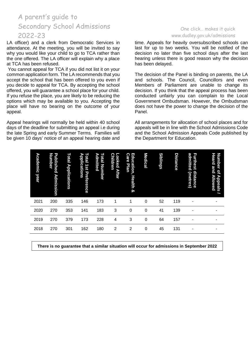LA officer) and a clerk from Democratic Services in attendance. At the meeting, you will be invited to say why you would like your child to go to TCA rather than the one offered. The LA officer will explain why a place at TCA has been refused.

You cannot appeal for TCA if you did not list it on your common application form. The LA recommends that you accept the school that has been offered to you even if you decide to appeal for TCA. By accepting the school offered, you will guarantee a school place for your child. If you refuse the place, you are likely to be reducing the options which may be available to you. Accepting the place will have no bearing on the outcome of your appeal.

Appeal hearings will normally be held within 40 school days of the deadline for submitting an appeal i.e during the late Spring and early Summer Terms. Families will be given 10 days' notice of an appeal hearing date and

### One click… makes it quick [www.dudley.gov.uk/admissions](http://www.dudley.gov.uk/admissions)

time. Appeals for heavily oversubscribed schools can last for up to two weeks. You will be notified of the decision no later than five school days after the last hearing unless there is good reason why the decision has been delayed.

The decision of the Panel is binding on parents, the LA and schools. The Council, Councillors and even Members of Parliament are unable to change its decision. If you think that the appeal process has been conducted unfairly you can complain to the Local Government Ombudsman. However, the Ombudsman does not have the power to change the decision of the Panel.

All arrangements for allocation of school places and for appeals will be in line with the School Admissions Code and the School Admission Appeals Code published by the Department for Education.

| Number<br>Heard<br>and<br>qf<br><b>Allowed</b><br><b>Appeals</b> |      |      |      |             |  |
|------------------------------------------------------------------|------|------|------|-------------|--|
| admitted<br>Furthest<br>distance<br>(metres)                     | ۰    |      |      |             |  |
| <b>Distance</b>                                                  | 119  | 139  | 157  | 131         |  |
| <b>Siblings</b>                                                  | 52   | 41   | 64   | 45          |  |
| <b>Medical</b>                                                   | 0    | 0    | 0    | $\mathbf 0$ |  |
| ດ<br>Education,<br><u>are</u><br>Plan<br><b>Health</b><br>ହ      | 1    | 0    | 3    | 2           |  |
| <b>Children</b><br>ooked<br><b>After</b>                         | 1    | 3    | 4    | 2           |  |
| <b>Total Number</b><br>Admitted                                  | 173  | 183  | 228  | 180         |  |
| Total<br>Applications<br>1st<br>Preference                       | 146  | 141  | 173  | 162         |  |
| Total<br><b>Applications</b>                                     | 335  | 353  | 379  | 301         |  |
| Published<br>Number<br><b>Admission</b>                          | 200  | 270  | 270  | 270         |  |
| Academic<br>year                                                 | 2021 | 2020 | 2019 | 2018        |  |

**There is no guarantee that a similar situation will occur for admissions in September 2022**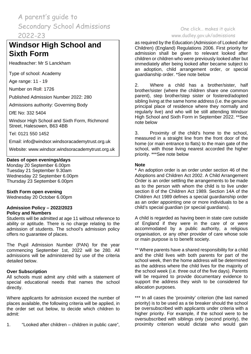## **Windsor High School and Sixth Form**

Headteacher: Mr S Lanckham

Type of school: Academy

Age range: 11 - 19

Number on Roll: 1726

Published Admission Number 2022: 280

Admissions authority: Governing Body

DfE No: 332 5404

Windsor High School and Sixth Form, Richmond Street, Halesowen, B63 4BB

Tel: 0121 550 1452

Email: info@windsor.windsoracademytrust.org.uk

Website: www.windsor.windsoracademytrust.org.uk

### **Dates of open evenings/days**

Monday 20 September 6.00pm Tuesday 21 September 9.30am Wednesday 22 September 6.00pm Thursday 23 September 6.00pm

### **Sixth Form open evening**

Wednesday 20 October 6.00pm

### **Admission Policy – 2022/2023 Policy and Numbers**

Students will be admitted at age 11 without reference to ability or aptitude. There is no charge relating to the admission of students. The school's admission policy offers no guarantee of places.

The Pupil Admission Number (PAN) for the year commencing September 1st, 2022 will be 280. All admissions will be administered by use of the criteria detailed below.

### **Over Subscription**

All schools must admit any child with a statement of special educational needs that names the school directly.

Where applicants for admission exceed the number of places available, the following criteria will be applied, in the order set out below, to decide which children to admit:

1. "Looked after children – children in public care",

### One click… makes it quick [www.dudley.gov.uk/admissions](http://www.dudley.gov.uk/admissions)

as required by the Education (Admission of Looked after Children) (England) Regulations 2006. First priority for admission shall be given to relevant looked after children or children who were previously looked after but immediately after being looked after became subject to an adoption, child arrangement order, or special guardianship order. \*See note below

2. Where a child has a brother/sister, half brother/sister (where the children share one common parent), step brother/step sister or fostered/adopted sibling living at the same home address (i.e. the genuine principal place of residence where they normally and regularly live) and who will be still attending Windsor High School and Sixth Form in September 2022. \*\*See note below

3. Proximity of the child's home to the school, measured in a straight line from the front door of the home (or main entrance to flats) to the main gate of the school, with those living nearest accorded the higher priority. \*\*\*See note below

### **Note**

\* An adoption order is an order under section 46 of the Adoptions and Children Act 2002. A Child Arrangement Order is an order settling the arrangements to be made as to the person with whom the child is to live under section 8 of the Children Act 1989. Section 14A of the Children Act 1989 defines a special guardianship order as an order appointing one or more individuals to be a child's special guardian (or special guardians).

A child is regarded as having been in state care outside of England if they were in the care of or were accommodated by a public authority, a religious organisation, or any other provider of care whose sole or main purpose is to benefit society.

\*\* Where parents have a shared responsibility for a child and the child lives with both parents for part of the school week, then the home address will be determined as the address where the child lives for the majority of the school week (i.e. three out of the five days). Parents will be required to provide documentary evidence to support the address they wish to be considered for allocation purposes.

\*\*\* In all cases the 'proximity' criterion (the last named priority) is to be used as a tie breaker should the school be oversubscribed with applicants under criteria with a higher priority. For example, if the school were to be oversubscribed with siblings only (second priority), the proximity criterion would dictate who would gain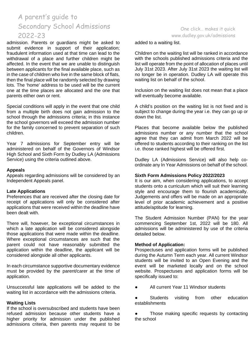admission. Parents or guardians might be asked to submit evidence in support of their application; fraudulent information used at that time can lead to the withdrawal of a place and further children might be affected. In the event that we are unable to distinguish between applicants for the final available place, such as in the case of children who live in the same block of flats, then the final place will be randomly selected by drawing lots. The 'home' address to be used will be the current one at the time places are allocated and the one that parents either own or rent.

Special conditions will apply in the event that one child from a multiple birth does not gain admission to the school through the admissions criteria; in this instance the school governors will exceed the admission number for the family concerned to prevent separation of such children.

Year 7 admissions for September entry will be administered on behalf of the Governors of Windsor High School and Sixth Form by Dudley LA (Admissions Service) using the criteria outlined above.

### **Appeals**

Appeals regarding admissions will be considered by an Independent Appeals panel.

#### **Late Applications**

Preferences that are received after the closing date for receipt of applications will only be considered after applications that were received within the deadline have been dealt with.

There will, however, be exceptional circumstances in which a late application will be considered alongside those applications that were made within the deadline. Where exceptional circumstances are such that the parent could not have reasonably submitted the application within the deadline, the applicant will be considered alongside all other applicants.

In each circumstance supportive documentary evidence must be provided by the parent/carer at the time of application.

Unsuccessful late applications will be added to the waiting list in accordance with the admissions criteria.

#### **Waiting Lists**

If the school is oversubscribed and students have been refused admission because other students have a higher priority for admission under the published admissions criteria, then parents may request to be

### One click… makes it quick [www.dudley.gov.uk/admissions](http://www.dudley.gov.uk/admissions)

added to a waiting list.

Children on the waiting list will be ranked in accordance with the schools published admissions criteria and the list will operate from the point of allocation of places until July 31st 2023. After July 31st 2023 the waiting list will no longer be in operation. Dudley LA will operate this waiting list on behalf of the school.

Inclusion on the waiting list does not mean that a place will eventually become available.

A child's position on the waiting list is not fixed and is subject to change during the year i.e. they can go up or down the list.

Places that become available below the published admissions number or any number that the school agree that they can admit from March 2022 will be offered to students according to their ranking on the list i.e. those ranked highest will be offered first.

Dudley LA (Admissions Service) will also help coordinate any In Year Admissions on behalf of the school.

#### **Sixth Form Admissions Policy 2022/2023**

It is our aim, when considering applications, to accept students onto a curriculum which will suit their learning style and encourage them to flourish academically. Judgements and offers will be made on an appropriate level of prior academic achievement and a positive attitude/aptitude for learning.

The Student Admission Number (PAN) for the year commencing September 1st, 2022 will be 180. All admissions will be administered by use of the criteria detailed below.

#### **Method of Application:**

Prospectuses and application forms will be published during the Autumn Term each year. All current Windsor students will be invited to an Open Evening and the event will be marketed locally and on the school website. Prospectuses and application forms will be specifically issued to:

- All current Year 11 Windsor students
- Students visiting from other education establishments

Those making specific requests by contacting the school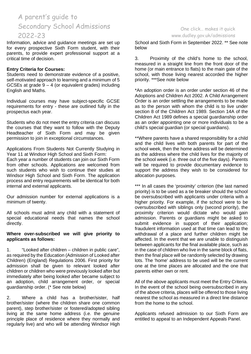Information, advice and guidance meetings are set up for every prospective Sixth Form student, with their parents, to provide expert professional support at a critical time of decision.

### **Entry Criteria for Courses:**

Students need to demonstrate evidence of a positive, self-motivated approach to learning and a minimum of 5 GCSEs at grade  $9 - 4$  (or equivalent grades) including English and Maths.

Individual courses may have subject-specific GCSE requirements for entry - these are outlined fully in the prospectus each year.

Students who do not meet the entry criteria can discuss the courses that they want to follow with the Deputy Headteacher of Sixth Form and may be given permission to join in exceptional circumstances.

Applications From Students Not Currently Studying in Year 11 at Windsor High School and Sixth Form: Each year a number of students can join our Sixth Form from other schools. Applications are welcomed from such students who wish to continue their studies at Windsor High School and Sixth Form. The application process and entry requirements will be identical for both internal and external applicants.

Our admission number for external applications is a minimum of twenty.

All schools must admit any child with a statement of special educational needs that names the school directly.

#### **Where over-subscribed we will give priority to applicants as follows:**

1. "Looked after children – children in public care", as required by the Education (Admission of Looked after Children) (England) Regulations 2006. First priority for admission shall be given to relevant looked after children or children who were previously looked after but immediately after being looked after became subject to an adoption, child arrangement order, or special guardianship order. (\* See note below)

2. Where a child has a brother/sister, half brother/sister (where the children share one common parent), step brother/sister or fostered/adopted sibling living at the same home address (i.e. the genuine principle place of residence where they normally and regularly live) and who will be attending Windsor High

### One click… makes it quick [www.dudley.gov.uk/admissions](http://www.dudley.gov.uk/admissions)

School and Sixth Form in September 2022. \*\* See note below

3. Proximity of the child's home to the school, measured in a straight line from the front door of the home (or main entrance to flats) to the main gate of the school, with those living nearest accorded the higher priority. \*\*\*See note below

\*An adoption order is an order under section 46 of the Adoptions and Children Act 2002. A Child Arrangement Order is an order settling the arrangements to be made as to the person with whom the child is to live under section 8 of the Children Act 1989. Section 14A of the Children Act 1989 defines a special guardianship order as an order appointing one or more individuals to be a child's special guardian (or special guardians).

\*\*Where parents have a shared responsibility for a child and the child lives with both parents for part of the school week, then the home address will be determined as the address where the child lives for the majority of the school week (i.e. three out of the five days). Parents will be required to provide documentary evidence to support the address they wish to be considered for allocation purposes.

\*\*\* In all cases the 'proximity' criterion (the last named priority) is to be used as a tie breaker should the school be oversubscribed with applicants under criteria with a higher priority. For example, if the school were to be oversubscribed with siblings only (second priority), the proximity criterion would dictate who would gain admission. Parents or guardians might be asked to submit evidence in support of their application; fraudulent information used at that time can lead to the withdrawal of a place and further children might be affected. In the event that we are unable to distinguish between applicants for the final available place, such as in the case of children who live in the same block of flats, then the final place will be randomly selected by drawing lots. The 'home' address to be used will be the current one at the time places are allocated and the one that parents either own or rent.

All of the above applicants must meet the Entry Criteria. In the event of the school being oversubscribed in any of the above criteria, places will be offered to those living nearest the school as measured in a direct line distance from the home to the school.

Applicants refused admission to our Sixth Form are entitled to appeal to an Independent Appeals Panel.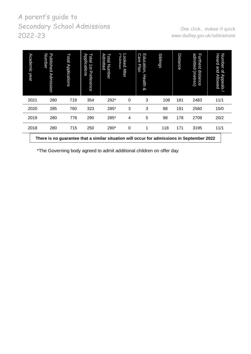| Academic<br>year | Number<br>Published<br>Admission                                                           | Total<br>Applications | Applications<br><b>Total</b><br>1st Preference | Total Nur<br>Admitted<br>Number | <b>Childran</b><br>Looked<br><b>After</b> | Education,<br>∩<br>are,<br>Plan<br>Health<br>ଡ | <b>Siblings</b> | Distance | admitted<br>Furthest<br>distance<br>(metres) | Heard<br>Number<br><b>and</b><br>$Q_{\parallel}$<br>Appeals<br>Allowed |
|------------------|--------------------------------------------------------------------------------------------|-----------------------|------------------------------------------------|---------------------------------|-------------------------------------------|------------------------------------------------|-----------------|----------|----------------------------------------------|------------------------------------------------------------------------|
| 2021             | 280                                                                                        | 719                   | 354                                            | 292*                            | 0                                         | 3                                              | 108             | 181      | 2483                                         | 11/1                                                                   |
| 2020             | 285                                                                                        | 760                   | 323                                            | 285*                            | 3                                         | 3                                              | 88              | 191      | 2560                                         | 15/0                                                                   |
| 2019             | 280                                                                                        | 776                   | 290                                            | 285*                            | 4                                         | 5                                              | 98              | 178      | 2709                                         | 20/2                                                                   |
| 2018             | 280                                                                                        | 715                   | 250                                            | 290*                            | 0                                         | 1                                              | 118             | 171      | 3195                                         | 11/1                                                                   |
|                  | There is no guarantee that a similar situation will occur for admissions in September 2022 |                       |                                                |                                 |                                           |                                                |                 |          |                                              |                                                                        |

\*The Governing body agreed to admit additional children on offer day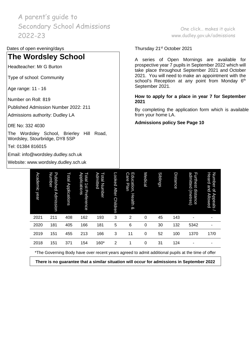### Dates of open evening/days Thursday 21<sup>st</sup> October 2021

### **The Wordsley School**

Headteacher: Mr G Burton

Type of school: Community

Age range: 11 - 16

Number on Roll: 819

Published Admission Number 2022: 211

Admissions authority: Dudley LA

DfE No: 332 4030

The Wordsley School, Brierley Hill Road, Wordsley, Stourbridge, DY8 5SP

Tel: 01384 816015

Email: [info@wordsley.dudley.sch.uk](mailto:info@wordsley.dudley.sch.uk)

Website: [www.wordsley.dudley.sch.uk](http://www.wordsley.dudley.sch.uk/)

One click… makes it quick [www.dudley.gov.uk/admissions](http://www.dudley.gov.uk/admissions)

A series of Open Mornings are available for prospective year 7 pupils in September 2022 which will take place throughout September 2021 and October 2021. You will need to make an appointment with the school's Reception at any point from Monday 6<sup>th</sup> September 2021.

#### **How to apply for a place in year 7 for September 2021**

By completing the application form which is available from your home LA.

**Admissions policy See Page 10**

| Academic<br>year | Number<br>Published<br><b>Admission</b> | Total<br>Applications | Applications<br>Total<br>1s1<br>Preference | Admitted<br>Total Number | Looked<br><b>After</b><br><b>Children</b> | <b>Care</b><br>Education,<br>Plan<br>Health<br>⊗ | Medical | <b>Siblings</b> | <b>Distance</b> | admitted<br>Furthest<br>distance<br>(metres) | Number of<br>Heard<br><b>BUG</b><br><b>Allowed</b><br>Appeals |
|------------------|-----------------------------------------|-----------------------|--------------------------------------------|--------------------------|-------------------------------------------|--------------------------------------------------|---------|-----------------|-----------------|----------------------------------------------|---------------------------------------------------------------|
| 2021             | 211                                     | 408                   | 162                                        | 193                      | 3                                         | $\overline{2}$                                   | 0       | 45              | 143             | ۰                                            | ٠                                                             |
| 2020             | 181                                     | 405                   | 166                                        | 181                      | 5                                         | 6                                                | 0       | 30              | 132             | 5342                                         | ٠                                                             |
| 2019             | 151                                     | 455                   | 213                                        | 166                      | 3                                         | 11                                               | 0       | 52              | 100             | 1370                                         | 17/0                                                          |
| 2018             | 151                                     | 371                   | 154                                        | 160*                     | 2                                         | 1                                                | 0       | 31              | 124             | ۰                                            | ٠                                                             |

\*The Governing Body have over recent years agreed to admit additional pupils at the time of offer

**There is no guarantee that a similar situation will occur for admissions in September 2022**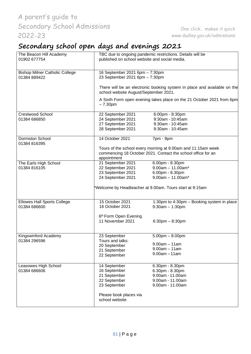# **Secondary school open days and evenings 2021**

| The Beacon Hill Academy<br>01902 677754               | published on school website and social media.                    | TBC due to ongoing pandemic restrictions. Details will be                                                                    |
|-------------------------------------------------------|------------------------------------------------------------------|------------------------------------------------------------------------------------------------------------------------------|
| <b>Bishop Milner Catholic College</b><br>01384 889422 | 16 September 2021 6pm - 7:30pm<br>23 September 2021 6pm - 7:30pm |                                                                                                                              |
|                                                       | school website August/September 2021.                            | There will be an electronic booking system in place and available on the                                                     |
|                                                       | $-7.30pm$                                                        | A Sixth Form open evening takes place on the 21 October 2021 from 6pm                                                        |
| <b>Crestwood School</b>                               | 22 September 2021                                                | 6:00pm - 8:30pm                                                                                                              |
| 01384 686850                                          | 24 September 2021                                                | 9:30am - 10:45am                                                                                                             |
|                                                       | 27 September 2021                                                | 9:30am - 10:45am                                                                                                             |
|                                                       | 28 September 2021                                                | 9:30am - 10:45am                                                                                                             |
| <b>Dormston School</b><br>01384 816395                | 14 October 2021                                                  | 7pm - 9pm                                                                                                                    |
|                                                       | appointment                                                      | Tours of the school every morning at 9.00am and 11.15am week<br>commencing 18 October 2021. Contact the school office for an |
| The Earls High School                                 | 21 September 2021                                                | 6.00pm - 8.30pm                                                                                                              |
| 01384 816105                                          | 22 September 2021                                                | $9.00$ am $-11.00$ am*                                                                                                       |
|                                                       | 23 September 2021                                                | 6.00pm - 8.30pm                                                                                                              |
|                                                       | 24 September 2021                                                | $9.00am - 11.00am*$                                                                                                          |
|                                                       |                                                                  | Welcome by Headteacher at 9.00am. Tours start at 9:15am                                                                      |
| <b>Ellowes Hall Sports College</b><br>01384 686600    | 15 October 2021<br>16 October 2021                               | 1:30pm to 4:30pm - Booking system in place<br>$9:30am - 1:30pm$                                                              |
|                                                       | 6th Form Open Evening<br>11 November 2021                        | $6:30$ pm $- 8:30$ pm                                                                                                        |
| Kingswinford Academy                                  | 23 September                                                     | $5.00$ pm $- 8.00$ pm                                                                                                        |
| 01384 296596                                          | Tours and talks:                                                 | $9.00am - 11am$                                                                                                              |
|                                                       | 20 September                                                     | $9.00am - 11am$                                                                                                              |
|                                                       | 21 September                                                     | $9.00am - 11am$                                                                                                              |
|                                                       | 22 September                                                     |                                                                                                                              |
| Leasowes High School                                  | 14 September                                                     | 6.30pm - 8.30pm                                                                                                              |
| 01384 686606                                          | 16 September                                                     | 6.30pm - 8.30pm                                                                                                              |
|                                                       | 21 September                                                     | 9.00am - 11.00am                                                                                                             |
|                                                       | 22 September                                                     | 9.00am - 11.00am                                                                                                             |
|                                                       | 23 September                                                     | 9.00am - 11.00am                                                                                                             |
|                                                       | Please book places via<br>school website                         |                                                                                                                              |
|                                                       |                                                                  |                                                                                                                              |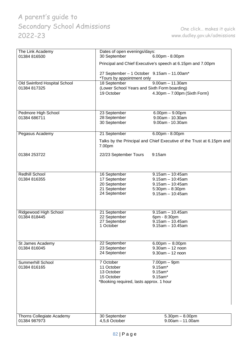| The Link Academy             | Dates of open evenings/days:                                             |                                                                       |
|------------------------------|--------------------------------------------------------------------------|-----------------------------------------------------------------------|
| 01384 816500                 | 30 September                                                             | 6.00pm - 8.00pm                                                       |
|                              |                                                                          | Principal and Chief Executive's speech at 6.15pm and 7.00pm           |
|                              | 27 September - 1 October 9.15am - 11.00am*<br>*Tours by appointment only |                                                                       |
| Old Swinford Hospital School | 18 September                                                             | $9.00am - 11.30am$                                                    |
| 01384 817325                 | (Lower School Years and Sixth Form boarding)                             |                                                                       |
|                              | 19 October                                                               | $4.30 \text{pm} - 7.00 \text{pm}$ (Sixth Form)                        |
|                              |                                                                          |                                                                       |
| Pedmore High School          | 23 September                                                             | $6.00pm - 9.00pm$                                                     |
| 01384 686711                 | 28 September                                                             | 9.00am - 10.30am                                                      |
|                              | 30 September                                                             | 9.00am - 10.30am                                                      |
|                              |                                                                          |                                                                       |
| Pegasus Academy              | 21 September                                                             | $6.00pm - 8.00pm$                                                     |
|                              | 7.00pm                                                                   | Talks by the Principal and Chief Executive of the Trust at 6.15pm and |
| 01384 253722                 | 22/23 September Tours                                                    | 9:15am                                                                |
|                              |                                                                          |                                                                       |
|                              |                                                                          |                                                                       |
| <b>Redhill School</b>        | 16 September                                                             | $9.15am - 10:45am$                                                    |
| 01384 816355                 | 17 September                                                             | $9.15$ am $-10:45$ am                                                 |
|                              | 20 September                                                             | $9.15$ am $- 10:45$ am                                                |
|                              | 21 September                                                             | $5:30$ pm $-8:30$ pm                                                  |
|                              | 24 September                                                             | $9.15$ am $- 10:45$ am                                                |
|                              |                                                                          |                                                                       |
|                              |                                                                          |                                                                       |
| Ridgewood High School        | 21 September                                                             | $9.15$ am - 10.45am                                                   |
| 01384 818445                 | 22 September                                                             | 6pm - 8:30pm                                                          |
|                              | 27 September                                                             | $9.15$ am - 10.45am                                                   |
|                              | 1 October                                                                | $9.15$ am $-10.45$ am                                                 |
|                              |                                                                          |                                                                       |
| St James Academy             | 22 September                                                             | $6.00 \text{pm} - 8.00 \text{pm}$                                     |
| 01384 816045                 | 23 September                                                             | $9.30am - 12 noon$                                                    |
|                              | 24 September                                                             | $9.30am - 12 noon$                                                    |
| Summerhill School            | 7 October                                                                | $7.00pm - 9pm$                                                        |
| 01384 816165                 | 11 October                                                               | 9.15am*                                                               |
|                              | 13 October                                                               | 9.15am*                                                               |
|                              | 15 October                                                               | 9.15am*                                                               |
|                              | *Booking required, lasts approx. 1 hour                                  |                                                                       |
|                              |                                                                          |                                                                       |
|                              |                                                                          |                                                                       |
|                              |                                                                          |                                                                       |
|                              |                                                                          |                                                                       |
|                              |                                                                          |                                                                       |
| Thorns Collegiate Academy    | 30 September                                                             | $5.30pm - 8.00pm$                                                     |
| 01384 987973                 | 4,5,6 October                                                            | $9.00am - 11.00am$                                                    |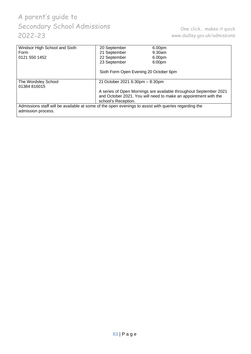| Windsor High School and Sixth                                                                                              | 20 September                           | 6.00pm                                                            |
|----------------------------------------------------------------------------------------------------------------------------|----------------------------------------|-------------------------------------------------------------------|
| Form                                                                                                                       | 21 September                           | $9.30$ am                                                         |
| 0121 550 1452                                                                                                              | 22 September                           | 6.00pm                                                            |
|                                                                                                                            | 23 September                           | 6:00pm                                                            |
|                                                                                                                            | Sixth Form Open Evening 20 October 6pm |                                                                   |
| The Wordsley School<br>01384 816015                                                                                        | 21 October 2021 6:30pm - 8:30pm        |                                                                   |
|                                                                                                                            |                                        | A series of Open Mornings are available throughout September 2021 |
|                                                                                                                            |                                        | and October 2021. You will need to make an appointment with the   |
|                                                                                                                            | school's Reception.                    |                                                                   |
| Admissions staff will be available at some of the open evenings to assist with queries regarding the<br>admission process. |                                        |                                                                   |
|                                                                                                                            |                                        |                                                                   |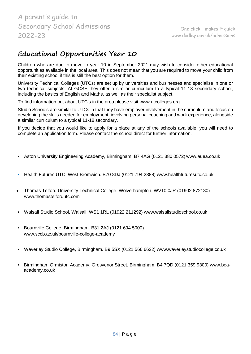## **Educational Opportunities Year 10**

Children who are due to move to year 10 in September 2021 may wish to consider other educational opportunities available in the local area. This does not mean that you are required to move your child from their existing school if this is still the best option for them.

University Technical Colleges (UTCs) are set up by universities and businesses and specialise in one or two technical subjects. At GCSE they offer a similar curriculum to a typical 11-18 secondary school, including the basics of English and Maths, as well as their specialist subject.

To find information out about UTC's in the area please visit [www.utcolleges.org.](http://www.utcolleges.org/)

Studio Schools are similar to UTCs in that they have employer involvement in the curriculum and focus on developing the skills needed for employment, involving personal coaching and work experience, alongside a similar curriculum to a typical 11-18 secondary.

If you decide that you would like to apply for a place at any of the schools available, you will need to complete an application form. Please contact the school direct for further information.

- Aston University Engineering Academy, Birmingham. B7 4AG (0121 380 0572) [www.auea.co.uk](http://www.auea.co.uk/)
- Health Futures UTC, West Bromwich. B70 8DJ (0121 794 2888) [www.healthfuturesutc.co.uk](http://www.healthfuturesutc.co.uk/)
- Thomas Telford University Technical College, Wolverhampton. WV10 0JR (01902 872180[\)](http://www.thomastelfordutc.com/) [www.thomastelfordutc.com](http://www.thomastelfordutc.com/)
- Walsall Studio School, Walsall. WS1 1RL (01922 211292) [www.walsallstudioschool.co.uk](http://www.walsallstudioschool.co.uk/)
- Bournville College, Birmingham. B31 2AJ (0121 694 5000[\)](http://www.sccb.ac.uk/bournville-college-academy) [www.sccb.ac.uk/bournville-college-academy](http://www.sccb.ac.uk/bournville-college-academy)
- Waverley Studio College, Birmingham. B9 5SX (0121 566 6622) [www.waverleystudiocollege.co.uk](http://www.waverleystudiocollege.co.uk/)
- Birmingham Ormiston Academy, Grosvenor Street, Birmingham. B4 7QD (0121 359 9300) www.boaacademy.co.uk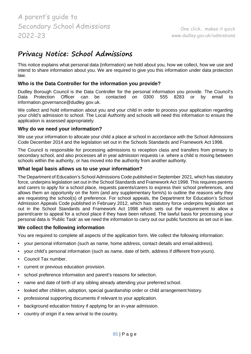### **Privacy Notice: School Admissions**

This notice explains what personal data (information) we hold about you, how we collect, how we use and intend to share information about you. We are required to give you this information under data protection law.

### **Who is the Data Controller for the information you provide?**

Dudley Borough Council is the Data Controller for the personal information you provide. The Council's Data Protection Officer can be contacted on 0300 555 8283 or by email to Data Protection Officer can be contacted on 0300 555 8283 or by email to [information.governance@dudley.gov.uk.](mailto:information.governance@dudley.gov.uk)

We collect and hold information about you and your child in order to process your application regarding your child's admission to school. The Local Authority and schools will need this information to ensure the application is assessed appropriately.

### **Why do we need your information?**

We use your information to allocate your child a place at school in accordance with the School Admissions Code December 2014 and the legislation set out in the Schools Standards and Framework Act 1998.

The Council is responsible for processing admissions to reception class and transfers from primary to secondary school, and also processes all in year admission requests i.e. where a child is moving between schools within the authority, or has moved into the authority from another authority.

### **What legal basis allows us to use your information?**

The Department of Education's School Admissions Code published in September 2021, which has statutory force, underpins legislation set out in the School Standards and Framework Act 1998. This requires parents and carers to apply for a school place, requests parents/carers to express their school preferences, and allows them an opportunity on the form (and any supplementary form/s) to outline the reasons why they are requesting the school(s) of preference. For school appeals, the Department for Education's School Admission Appeals Code published in February 2012, which has statutory force underpins legislation set out in the School Standards and Framework Act 1998 which sets out the requirement to allow a parent/carer to appeal for a school place if they have been refused. The lawful basis for processing your personal data is 'Public Task' as we need the information to carry out our public functions as set out in law.

### **We collect the following information**

You are required to complete all aspects of the application form. We collect the following information:

- your personal information (such as name, home address, contact details and email address).
- your child's personal information (such as name, date of birth, address if different fromyours).
- Council Tax number.
- current or previous education provision.
- school preference information and parent's reasons for selection.
- name and date of birth of any sibling already attending your preferred school.
- looked after children, adoption, special guardianship order or child arrangement history.
- professional supporting documents if relevant to your application.
- background education history if applying for an in-year admission.
- country of origin if a new arrival to the country.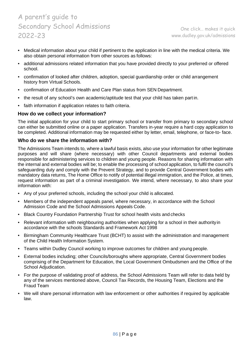- Medical information about your child if pertinent to the application in line with the medical criteria. We also obtain personal information from other sources as follows:
- additional admissions related information that you have provided directly to your preferred or offered school.
- confirmation of looked after children, adoption, special guardianship order or child arrangement history from Virtual Schools.
- confirmation of Education Health and Care Plan status from SEN Department.
- the result of any school's own academic/aptitude test that your child has taken part in.
- faith information if application relates to faith criteria.

### **How do we collect your information?**

The initial application for your child to start primary school or transfer from primary to secondary school can either be submitted online or a paper application. Transfers in-year require a hard copy application to be completed. Additional information may be requested either by letter, email, telephone, or face-to- face.

### **Who do we share the information with?**

The Admissions Team intends to, where a lawful basis exists, also use your information for other legitimate purposes and will share (where necessary) with other Council departments and external bodies responsible for administering services to children and young people. Reasons for sharing information with the internal and external bodies will be; to enable the processing of school application, to fulfil the council's safeguarding duty and comply with the Prevent Strategy, and to provide Central Government bodies with mandatory data returns, The Home Office to notify of potential illegal immigration, and the Police, at times, request information as part of a criminal investigation. We intend, where necessary, to also share your information with:

- Any of your preferred schools, including the school your child is allocated.
- Members of the independent appeals panel, where necessary, in accordance with the School Admission Code and the School Admissions Appeals Code.
- Black Country Foundation Partnership Trust for school health visits and checks
- Relevant information with neighbouring authorities when applying for a school in their authority in accordance with the schools Standards and Framework Act 1998
- Birmingham Community Healthcare Trust (BCHT) to assist with the administration and management of the Child Health Information System.
- Teams within Dudley Council working to improve outcomes for children and young people.
- External bodies including; other Councils/boroughs where appropriate, Central Government bodies comprising of the Department for Education, the Local Government Ombudsmen and the Office of the School Adjudication.
- For the purpose of validating proof of address, the School Admissions Team will refer to data held by any of the services mentioned above, Council Tax Records, the Housing Team, Elections and the Fraud Team
- We will share personal information with law enforcement or other authorities if required by applicable law.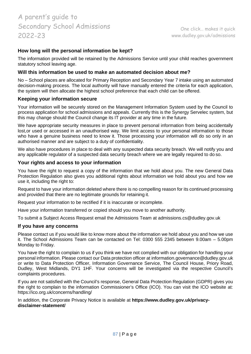### **How long will the personal information be kept?**

The information provided will be retained by the Admissions Service until your child reaches government statutory school leaving age.

### **Will this information be used to make an automated decision about me?**

No – School places are allocated for Primary Reception and Secondary Year 7 intake using an automated decision-making process. The local authority will have manually entered the criteria for each application, the system will then allocate the highest school preference that each child can be offered.

#### **Keeping your information secure**

Your information will be securely stored on the Management Information System used by the Council to process application for school admissions and appeals. Currently this is the Synergy Servelec system, but this may change should the Council change its IT provider at any time in the future.

We have appropriate security measures in place to prevent personal information from being accidentally lost,or used or accessed in an unauthorised way. We limit access to your personal information to those who have a genuine business need to know it. Those processing your information will do so only in an authorised manner and are subject to a duty of confidentiality.

We also have procedures in place to deal with any suspected data security breach. We will notify you and any applicable regulator of a suspected data security breach where we are legally required to do so.

### **Your rights and access to your information**

You have the right to request a copy of the information that we hold about you. The new General Data Protection Regulation also gives you additional rights about information we hold about you and how we use it, including the right to:

Request to have your information deleted where there is no compelling reason for its continued processing and provided that there are no legitimate grounds for retaining it.

Request your information to be rectified if it is inaccurate or incomplete.

Have your information transferred or copied should you move to another authority.

To submit a Subject Access Request email the Admissions Team at [admissions.cs@dudley.gov.uk](mailto:admissions.cs@dudley.gov.uk)

#### **If you have any concerns**

Please contact us if you would like to know more about the information we hold about you and how we use it. The School Admissions Team can be contacted on Tel: 0300 555 2345 between 9.00am – 5.00pm Monday to Friday.

You have the right to complain to us if you think we have not complied with our obligation for handling your personal information. Please contact our Data protection officer at [information.governance@dudley.gov.uk](mailto:information.governance@dudley.gov.uk) or write to Data Protection Officer, Information Governance Service, The Council House, Priory Road, Dudley, West Midlands, DY1 1HF. Your concerns will be investigated via the respective Council's complaints procedures.

If you are not satisfied with the Council's response, General Data Protection Regulation (GDPR) gives you the right to complain to the information Commissioner's Office (ICO). You can visit the ICO website at: https://ico.org.uk/concerns/handling/

In addition, the Corporate Privacy Notice is available at **https:[//www.dudley.gov.uk/privacy](http://www.dudley.gov.uk/privacy-)disclaimer-statement/**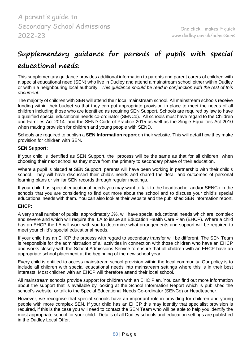# **Supplementary guidance for parents of pupils with special**

### **educational needs:**

This supplementary guidance provides additional information to parents and parent carers of children with a special educational need (SEN) who live in Dudley and attend a mainstream school either within Dudley or within a neighbouring local authority. *This guidance should be read in conjunction with the rest of this document.*

The majority of children with SEN will attend their local mainstream school. All mainstream schools receive funding within their budget so that they can put appropriate provision in place to meet the needs of all children including those who are identified as requiring SEN Support. Schools are required by law to have a qualified special educational needs co-ordinator (SENCo). All schools must have regard to the Children and Families Act 2014 and the SEND Code of Practice 2015 as well as the Single Equalities Act 2010 when making provision for children and young people with SEND.

Schools are required to publish a **SEN Information report** on their website. This will detail how they make provision for children with SEN.

### **SEN Support:**

If your child is identified as SEN Support, the process will be the same as that for all children when choosing their next school as they move from the primary to secondary phase of their education.

Where a pupil is placed at SEN Support, parents will have been working in partnership with their child's school. They will have discussed their child's needs and shared the detail and outcomes of personal learning plans or similar SEN records through regular meetings.

If your child has special educational needs you may want to talk to the headteacher and/or SENCo in the schools that you are considering to find out more about the school and to discuss your child's special educational needs with them. You can also look at their website and the published SEN information report.

### **EHCP:**

A very small number of pupils, approximately 3%, will have special educational needs which are complex and severe and which will require the LA to issue an Education Health Care Plan (EHCP). Where a child has an EHCP the LA will work with you to determine what arrangements and support will be required to meet your child's special educational needs.

If your child has an EHCP the process with regard to secondary transfer will be different. The SEN Team is responsible for the administration of all activities in connection with those children who have an EHCP and works closely with the School Admissions Service to ensure that all children with an EHCP have an appropriate school placement at the beginning of the new school year.

Every child is entitled to access mainstream school provision within the local community. Our policy is to include all children with special educational needs into mainstream settings where this is in their best interests. Most children with an EHCP will therefore attend their local school.

All mainstream schools provide support for children with an EHC Plan. You can find out more information about the support that is available by looking at the School Information Report which is published the school's website or talk to the Special Educational Needs Co-ordinator (SENCo) or Headteacher.

However, we recognise that special schools have an important role in providing for children and young people with more complex SEN. If your child has an EHCP this may identify that specialist provision is required, if this is the case you will need to contact the SEN Team who will be able to help you identify the most appropriate school for your child. Details of all Dudley schools and education settings are published in the Dudley Local Offer.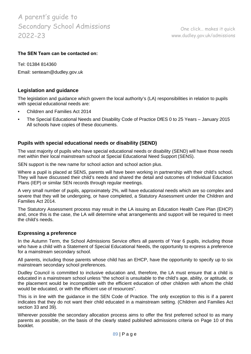### **The SEN Team can be contacted on:**

Tel: 01384 814360 Email: [senteam@dudley.gov.uk](mailto:senteam@dudley.gov.uk)

### **Legislation and guidance**

The legislation and guidance which govern the local authority's (LA) responsibilities in relation to pupils with special educational needs are:

- Children and Families Act 2014
- The Special Educational Needs and Disability Code of Practice DfES 0 to 25 Years January 2015 All schools have copies of these documents.

### **Pupils with special educational needs or disability (SEND)**

The vast majority of pupils who have special educational needs or disability (SEND) will have those needs met within their local mainstream school at Special Educational Need Support (SENS).

SEN support is the new name for school action and school action plus.

Where a pupil is placed at SENS, parents will have been working in partnership with their child's school. They will have discussed their child's needs and shared the detail and outcomes of Individual Education Plans (IEP) or similar SEN records through regular meetings.

A very small number of pupils, approximately 2%, will have educational needs which are so complex and severe that they will be undergoing, or have completed, a Statutory Assessment under the Children and Families Act 2014.

The Statutory Assessment process may result in the LA issuing an Education Health Care Plan (EHCP) and, once this is the case, the LA will determine what arrangements and support will be required to meet the child's needs.

### **Expressing a preference**

In the Autumn Term, the School Admissions Service offers all parents of Year 6 pupils, including those who have a child with a Statement of Special Educational Needs, the opportunity to express a preference for a mainstream secondary school.

All parents, including those parents whose child has an EHCP, have the opportunity to specify up to six mainstream secondary school preferences.

Dudley Council is committed to inclusive education and, therefore, the LA must ensure that a child is educated in a mainstream school unless "the school is unsuitable to the child's age, ability, or aptitude, or the placement would be incompatible with the efficient education of other children with whom the child would be educated, or with the efficient use of resources".

This is in line with the guidance in the SEN Code of Practice. The only exception to this is if a parent indicates that they do not want their child educated in a mainstream setting. (Children and Families Act section 33 and 39).

Wherever possible the secondary allocation process aims to offer the first preferred school to as many parents as possible, on the basis of the clearly stated published admissions criteria on Page 10 of this booklet.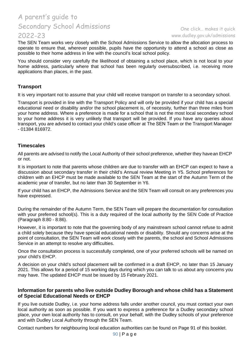### One click… makes it quick [www.dudley.gov.uk/admissions](http://www.dudley.gov.uk/admissions)

The SEN Team works very closely with the School Admissions Service to allow the allocation process to operate to ensure that, wherever possible, pupils have the opportunity to attend a school as close as possible to their home address in line with the council's local school policy.

You should consider very carefully the likelihood of obtaining a school place, which is not local to your home address, particularly where that school has been regularly oversubscribed, i.e. receiving more applications than places, in the past.

### **Transport**

It is very important not to assume that your child will receive transport on transfer to a secondary school.

Transport is provided in line with the Transport Policy and will only be provided if your child has a special educational need or disability and/or the school placement is, of necessity, further than three miles from your home address. Where a preference is made for a school that is not the most local secondary school to your home address it is very unlikely that transport will be provided. If you have any queries about transport, you are advised to contact your child's case officer at The SEN Team or the Transport Manager - 01384 816972.

### **Timescales**

All parents are advised to notify the Local Authority of their school preference, whether they havean EHCP or not.

It is important to note that parents whose children are due to transfer with an EHCP can expect to have a discussion about secondary transfer in their child's Annual review Meeting in Y5. School preferences for children with an EHCP must be made available to the SEN Team at the start of the Autumn Term of the academic year of transfer, but no later than 30 September in Y6.

If your child has an EHCP, the Admissions Service and the SEN Team will consult on any preferences you have expressed.

During the remainder of the Autumn Term, the SEN Team will prepare the documentation for consultation with your preferred school(s). This is a duty required of the local authority by the SEN Code of Practice (Paragraph 8:80 - 8:86).

However, it is important to note that the governing body of any mainstream school cannot refuse to admit a child solely because they have special educational needs or disability. Should any concerns arise at the point of consultation, the SEN Team will work closely with the parents, the school and School Admissions Service in an attempt to resolve any difficulties.

Once the consultation process is successfully completed, one of your preferred schools will be named on your child's EHCP.

A decision on your child's school placement will be confirmed in a draft EHCP, no later than 15 January 2021. This allows for a period of 15 working days during which you can talk to us about any concerns you may have. The updated EHCP must be issued by 15 February 2021.

### **Information for parents who live outside Dudley Borough and whose child has a Statement of Special Educational Needs or EHCP**

If you live outside Dudley, i.e. your home address falls under another council, you must contact your own local authority as soon as possible. If you want to express a preference for a Dudley secondary school place, your own local authority has to consult, on your behalf, with the Dudley schools of your preference and with Dudley Local Authority through the SEN Team.

Contact numbers for neighbouring local education authorities can be found on Page 91 of this booklet.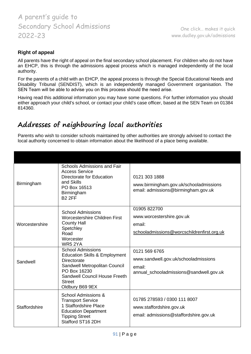### **Right of appeal**

All parents have the right of appeal on the final secondary school placement. For children who do not have an EHCP, this is through the admissions appeal process which is managed independently of the local authority.

For the parents of a child with an EHCP, the appeal process is through the Special Educational Needs and Disability Tribunal (SENDIST), which is an independently managed Government organisation. The SEN Team will be able to advise you on this process should the need arise.

Having read this additional information you may have some questions. For further information you should either approach your child's school, or contact your child's case officer, based at the SEN Team on 01384 814360.

## **Addresses of neighbouring local authorities**

Parents who wish to consider schools maintained by other authorities are strongly advised to contact the local authority concerned to obtain information about the likelihood of a place being available.

| Birmingham     | Schools Admissions and Fair<br><b>Access Service</b><br>Directorate for Education<br>and Skills<br>PO Box 16513<br>Birmingham<br><b>B2 2FF</b>                                                            | 0121 303 1888<br>www.birmingham.gov.uk/schooladmissions<br>email: admissions@birmingham.gov.uk             |
|----------------|-----------------------------------------------------------------------------------------------------------------------------------------------------------------------------------------------------------|------------------------------------------------------------------------------------------------------------|
| Worcestershire | <b>School Admissions</b><br><b>Worcestershire Children First</b><br><b>County Hall</b><br>Spetchley<br>Road<br>Worcester<br>WR5 2YA                                                                       | 01905 822700<br>www.worcestershire.gov.uk<br>email:<br>schooladmissions@worcschildrenfirst.org.uk          |
| Sandwell       | <b>School Admissions</b><br><b>Education Skills &amp; Employment</b><br>Directorate<br>Sandwell Metropolitan Council<br>PO Box 16230<br>Sandwell Council House Freeth<br><b>Street</b><br>Oldbury B69 9EX | 0121 569 6765<br>www.sandwell.gov.uk/schooladmissions<br>email:<br>annual_schooladmissions@sandwell.gov.uk |
| Staffordshire  | <b>School Admissions &amp;</b><br><b>Transport Service</b><br>1 Staffordshire Place<br><b>Education Department</b><br><b>Tipping Street</b><br>Stafford ST16 2DH                                          | 01785 278593 / 0300 111 8007<br>www.staffordshire.gov.uk<br>email: admissions@staffordshire.gov.uk         |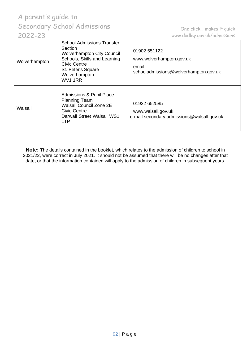| Wolverhampton | <b>School Admissions Transfer</b><br>Section<br><b>Wolverhampton City Council</b><br>Schools, Skills and Learning<br>Civic Centre<br>St. Peter's Square<br>Wolverhampton<br>WV1 1RR | 01902 551122<br>www.wolverhampton.gov.uk<br>email:<br>schooladmissions@wolverhampton.gov.uk |
|---------------|-------------------------------------------------------------------------------------------------------------------------------------------------------------------------------------|---------------------------------------------------------------------------------------------|
| Walsall       | <b>Admissions &amp; Pupil Place</b><br><b>Planning Team</b><br><b>Walsall Council Zone 2E</b><br><b>Civic Centre</b><br>Darwall Street Walsall WS1<br>1TP                           | 01922 652585<br>www.walsall.gov.uk<br>e-mail:secondary.admissions@walsall.gov.uk            |

**Note:** The details contained in the booklet, which relates to the admission of children to school in 2021/22, were correct in July 2021. It should not be assumed that there will be no changes after that date, or that the information contained will apply to the admission of children in subsequent years.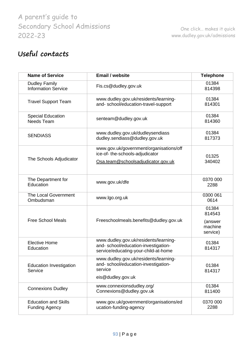# **Useful contacts**

| <b>Name of Service</b>                               | <b>Email / website</b>                                                                                               | <b>Telephone</b>                                  |
|------------------------------------------------------|----------------------------------------------------------------------------------------------------------------------|---------------------------------------------------|
| <b>Dudley Family</b><br><b>Information Service</b>   | Fis.cs@dudley.gov.uk                                                                                                 | 01384<br>814398                                   |
| <b>Travel Support Team</b>                           | www.dudley.gov.uk/residents/learning-<br>and- school/education-travel-support                                        | 01384<br>814301                                   |
| <b>Special Education</b><br>Needs Team               | senteam@dudley.gov.uk                                                                                                | 01384<br>814360                                   |
| <b>SENDIASS</b>                                      | www.dudley.gov.uk/dudleysendiass<br>dudley.sendiass@dudley.gov.uk                                                    | 01384<br>817373                                   |
| The Schools Adjudicator                              | www.gov.uk/government/organisations/off<br>ice-of- the-schools-adjudicator<br>Osa.team@schoolsadjudicator.gov.uk     | 01325<br>340402                                   |
| The Department for<br>Education                      | www.gov.uk/dfe                                                                                                       | 0370 000<br>2288                                  |
| <b>The Local Government</b><br>Ombudsman             | www.lgo.org.uk                                                                                                       | 0300 061<br>0614                                  |
| <b>Free School Meals</b>                             | Freeschoolmeals.benefits@dudley.gov.uk                                                                               | 01384<br>814543<br>(answer<br>machine<br>service) |
| <b>Elective Home</b><br>Education                    | www.dudley.gov.uk/residents/learning-<br>and-school/education-investigation-<br>service/educating-your-child-at-home | 01384<br>814317                                   |
| <b>Education Investigation</b><br>Service            | www.dudley.gov.uk/residents/learning-<br>and-school/education-investigation-<br>service<br>eis@dudley.gov.uk         | 01384<br>814317                                   |
| <b>Connexions Dudley</b>                             | www.connexionsdudley.org/<br>Connexions@dudley.gov.uk                                                                | 01384<br>811400                                   |
| <b>Education and Skills</b><br><b>Funding Agency</b> | www.gov.uk/government/organisations/ed<br>ucation-funding-agency                                                     | 0370 000<br>2288                                  |